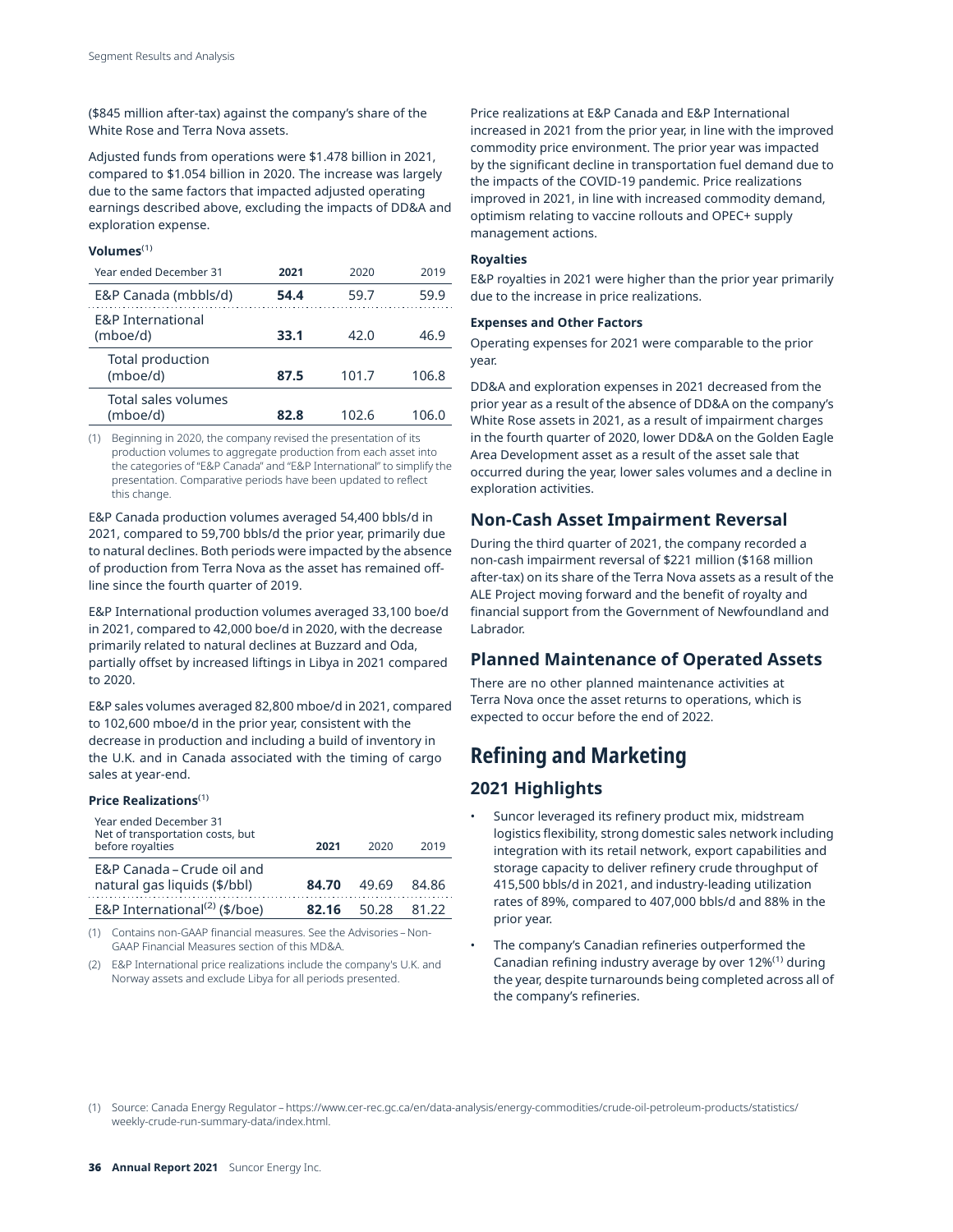(\$845 million after-tax) against the company's share of the White Rose and Terra Nova assets.

Adjusted funds from operations were \$1.478 billion in 2021, compared to \$1.054 billion in 2020. The increase was largely due to the same factors that impacted adjusted operating earnings described above, excluding the impacts of DD&A and exploration expense.

## (1) **Volumes**

| Year ended December 31                   | 2021 | 2020  | 2019  |
|------------------------------------------|------|-------|-------|
| E&P Canada (mbbls/d)                     | 54.4 | 59.7  | 59.9  |
| <b>E&amp;P</b> International<br>(mboe/d) | 33.1 | 42.0  | 46.9  |
| Total production<br>(mboe/d)             | 87.5 | 101.7 | 106.8 |
| Total sales volumes<br>(mboe/d)          | 82.8 | 102.6 | 106.0 |

(1) Beginning in 2020, the company revised the presentation of its production volumes to aggregate production from each asset into the categories of "E&P Canada" and "E&P International" to simplify the presentation. Comparative periods have been updated to reflect this change.

E&P Canada production volumes averaged 54,400 bbls/d in 2021, compared to 59,700 bbls/d the prior year, primarily due to natural declines. Both periods were impacted by the absence of production from Terra Nova as the asset has remained offline since the fourth quarter of 2019.

E&P International production volumes averaged 33,100 boe/d in 2021, compared to 42,000 boe/d in 2020, with the decrease primarily related to natural declines at Buzzard and Oda, partially offset by increased liftings in Libya in 2021 compared to 2020.

E&P sales volumes averaged 82,800 mboe/d in 2021, compared to 102,600 mboe/d in the prior year, consistent with the decrease in production and including a build of inventory in the U.K. and in Canada associated with the timing of cargo sales at year-end.

### (1) **Price Realizations**

| Year ended December 31<br>Net of transportation costs, but<br>before royalties | 2021  | 2020  | 2019  |
|--------------------------------------------------------------------------------|-------|-------|-------|
| E&P Canada – Crude oil and<br>natural gas liquids (\$/bbl)                     | 84.70 | 49.69 | 84 86 |
| E&P International <sup>(2)</sup> (\$/boe)                                      | 82.16 | 50.28 | 81 22 |

(1) Contains non-GAAP financial measures. See the Advisories – Non-GAAP Financial Measures section of this MD&A.

(2) E&P International price realizations include the company's U.K. and Norway assets and exclude Libya for all periods presented.

Price realizations at E&P Canada and E&P International increased in 2021 from the prior year, in line with the improved commodity price environment. The prior year was impacted by the significant decline in transportation fuel demand due to the impacts of the COVID-19 pandemic. Price realizations improved in 2021, in line with increased commodity demand, optimism relating to vaccine rollouts and OPEC+ supply management actions.

### **Royalties**

E&P royalties in 2021 were higher than the prior year primarily due to the increase in price realizations.

### **Expenses and Other Factors**

Operating expenses for 2021 were comparable to the prior year.

DD&A and exploration expenses in 2021 decreased from the prior year as a result of the absence of DD&A on the company's White Rose assets in 2021, as a result of impairment charges in the fourth quarter of 2020, lower DD&A on the Golden Eagle Area Development asset as a result of the asset sale that occurred during the year, lower sales volumes and a decline in exploration activities.

## **Non-Cash Asset Impairment Reversal**

During the third quarter of 2021, the company recorded a non-cash impairment reversal of \$221 million (\$168 million after-tax) on its share of the Terra Nova assets as a result of the ALE Project moving forward and the benefit of royalty and financial support from the Government of Newfoundland and Labrador.

## **Planned Maintenance of Operated Assets**

There are no other planned maintenance activities at Terra Nova once the asset returns to operations, which is expected to occur before the end of 2022.

# **Refining and Marketing**

# **2021 Highlights**

- Suncor leveraged its refinery product mix, midstream logistics flexibility, strong domestic sales network including integration with its retail network, export capabilities and storage capacity to deliver refinery crude throughput of 415,500 bbls/d in 2021, and industry-leading utilization rates of 89%, compared to 407,000 bbls/d and 88% in the prior year.
- The company's Canadian refineries outperformed the Canadian refining industry average by over 12%(1) during the year, despite turnarounds being completed across all of the company's refineries.

(1) Source: Canada Energy Regulator – [https://www.cer-rec.gc.ca/en/data-analysis/energy-commodities/crude-oil-petroleum-products/statistics/](https://www.cer-rec.gc.ca/en/data-analysis/energy-commodities/crude-oil-petroleum-products/statistics) weekly-crude-run-summary-data/index.html.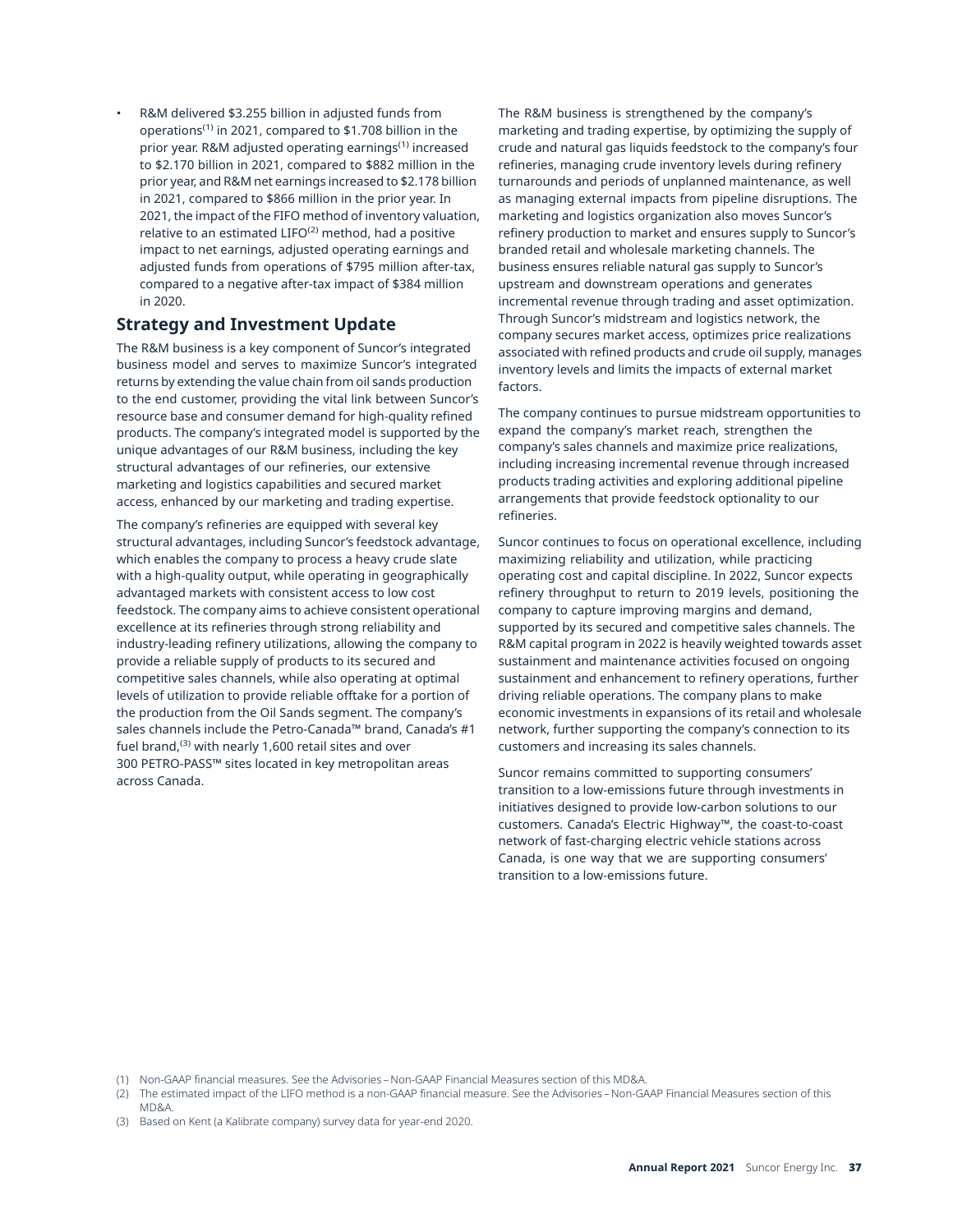R&M delivered \$3.255 billion in adjusted funds from operations(1) in 2021, compared to \$1.708 billion in the prior year. R&M adjusted operating earnings(1) increased to \$2.170 billion in 2021, compared to \$882 million in the prior year, and R&M net earnings increased to \$2.178 billion in 2021, compared to \$866 million in the prior year. In 2021, the impact of the FIFO method of inventory valuation, relative to an estimated LIFO<sup>(2)</sup> method, had a positive impact to net earnings, adjusted operating earnings and adjusted funds from operations of \$795 million after-tax, compared to a negative after-tax impact of \$384 million in 2020.

# **Strategy and Investment Update**

The R&M business is a key component of Suncor's integrated business model and serves to maximize Suncor's integrated returns by extending the value chain from oil sands production to the end customer, providing the vital link between Suncor's resource base and consumer demand for high-quality refined products. The company's integrated model is supported by the unique advantages of our R&M business, including the key structural advantages of our refineries, our extensive marketing and logistics capabilities and secured market access, enhanced by our marketing and trading expertise.

The company's refineries are equipped with several key structural advantages, including Suncor's feedstock advantage, which enables the company to process a heavy crude slate with a high-quality output, while operating in geographically advantaged markets with consistent access to low cost feedstock. The company aims to achieve consistent operational excellence at its refineries through strong reliability and industry-leading refinery utilizations, allowing the company to provide a reliable supply of products to its secured and competitive sales channels, while also operating at optimal levels of utilization to provide reliable offtake for a portion of the production from the Oil Sands segment. The company's sales channels include the Petro-Canada™ brand, Canada's #1 fuel brand,<sup>(3)</sup> with nearly 1,600 retail sites and over 300 PETRO-PASS™ sites located in key metropolitan areas across Canada.

The R&M business is strengthened by the company's marketing and trading expertise, by optimizing the supply of crude and natural gas liquids feedstock to the company's four refineries, managing crude inventory levels during refinery turnarounds and periods of unplanned maintenance, as well as managing external impacts from pipeline disruptions. The marketing and logistics organization also moves Suncor's refinery production to market and ensures supply to Suncor's branded retail and wholesale marketing channels. The business ensures reliable natural gas supply to Suncor's upstream and downstream operations and generates incremental revenue through trading and asset optimization. Through Suncor's midstream and logistics network, the company secures market access, optimizes price realizations associated with refined products and crude oil supply, manages inventory levels and limits the impacts of external market factors.

The company continues to pursue midstream opportunities to expand the company's market reach, strengthen the company's sales channels and maximize price realizations, including increasing incremental revenue through increased products trading activities and exploring additional pipeline arrangements that provide feedstock optionality to our refineries.

Suncor continues to focus on operational excellence, including maximizing reliability and utilization, while practicing operating cost and capital discipline. In 2022, Suncor expects refinery throughput to return to 2019 levels, positioning the company to capture improving margins and demand, supported by its secured and competitive sales channels. The R&M capital program in 2022 is heavily weighted towards asset sustainment and maintenance activities focused on ongoing sustainment and enhancement to refinery operations, further driving reliable operations. The company plans to make economic investments in expansions of its retail and wholesale network, further supporting the company's connection to its customers and increasing its sales channels.

Suncor remains committed to supporting consumers' transition to a low-emissions future through investments in initiatives designed to provide low-carbon solutions to our customers. Canada's Electric Highway™, the coast-to-coast network of fast-charging electric vehicle stations across Canada, is one way that we are supporting consumers' transition to a low-emissions future.

(1) Non-GAAP financial measures. See the Advisories – Non-GAAP Financial Measures section of this MD&A.

(2) The estimated impact of the LIFO method is a non-GAAP financial measure. See the Advisories – Non-GAAP Financial Measures section of this MD&A.

(3) Based on Kent (a Kalibrate company) survey data for year-end 2020.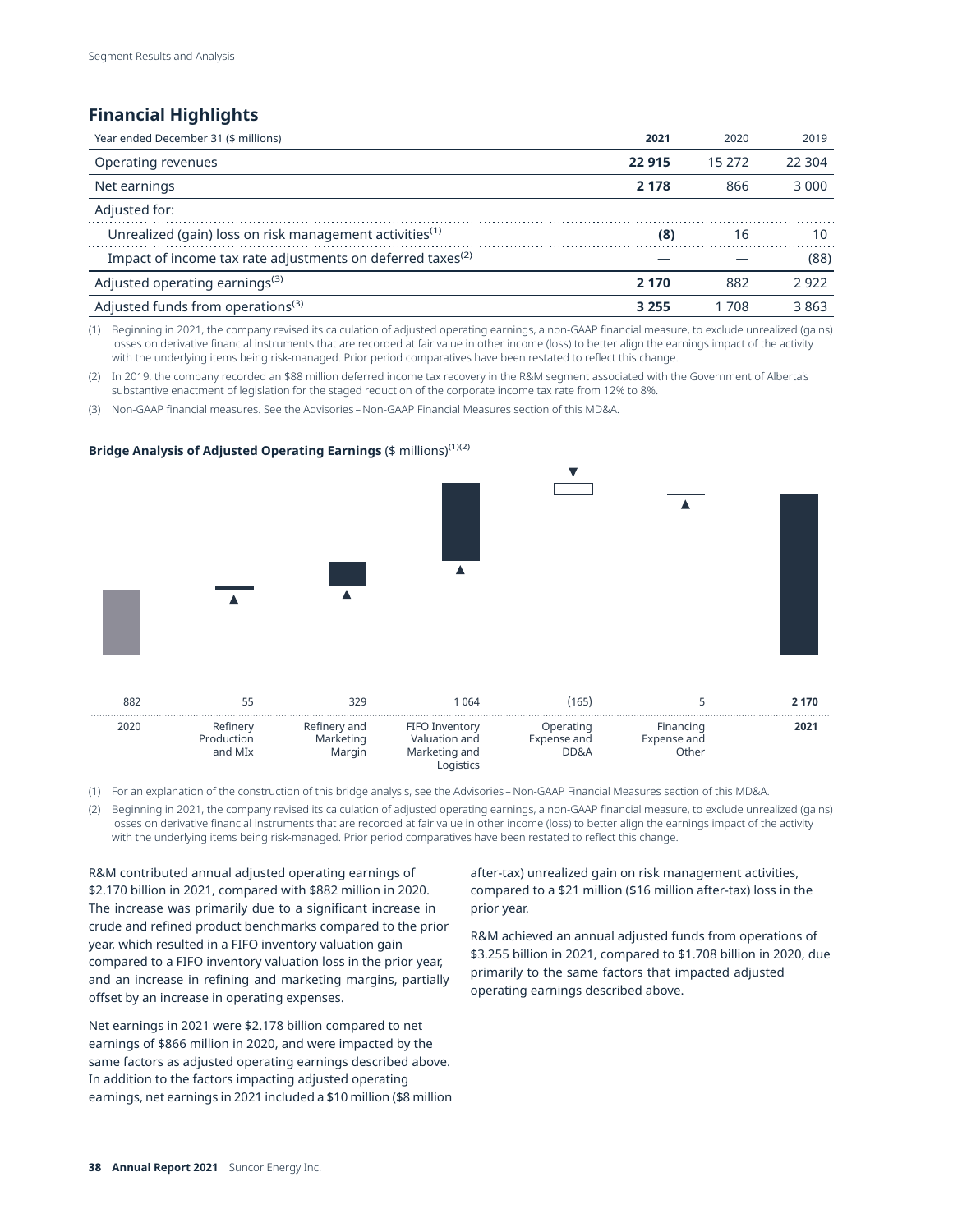# **Financial Highlights**

| Year ended December 31 (\$ millions)                                   | 2021    | 2020     | 2019    |
|------------------------------------------------------------------------|---------|----------|---------|
| Operating revenues                                                     | 22 915  | 15 2 7 2 | 22.304  |
| Net earnings                                                           | 2 1 7 8 | 866      | 3 0 0 0 |
| Adjusted for:                                                          |         |          |         |
| Unrealized (gain) loss on risk management activities <sup>(1)</sup>    | (8)     | 16       | 10      |
| Impact of income tax rate adjustments on deferred taxes <sup>(2)</sup> |         |          | (88)    |
| Adjusted operating earnings <sup>(3)</sup>                             | 2 170   | 882      | 2922    |
| Adjusted funds from operations <sup>(3)</sup>                          | 3 2 5 5 | 1 708    | 3863    |

(1) Beginning in 2021, the company revised its calculation of adjusted operating earnings, a non-GAAP financial measure, to exclude unrealized (gains) losses on derivative financial instruments that are recorded at fair value in other income (loss) to better align the earnings impact of the activity with the underlying items being risk-managed. Prior period comparatives have been restated to reflect this change.

(2) In 2019, the company recorded an \$88 million deferred income tax recovery in the R&M segment associated with the Government of Alberta's substantive enactment of legislation for the staged reduction of the corporate income tax rate from 12% to 8%.

(3) Non-GAAP financial measures. See the Advisories – Non-GAAP Financial Measures section of this MD&A.

### **Bridge Analysis of Adjusted Operating Earnings** (\$ millions)(1)(2)



| 882  |                                   | 329                                 | 064                                              | 165,                             |                                   | 2 170 |
|------|-----------------------------------|-------------------------------------|--------------------------------------------------|----------------------------------|-----------------------------------|-------|
| 2020 | Refinerv<br>Production<br>and MIx | Refinery and<br>Marketing<br>Margin | FIFO Inventory<br>Valuation and<br>Marketing and | Operating<br>Expense and<br>DD&A | Financing<br>Expense and<br>Other | 2021  |

(1) For an explanation of the construction of this bridge analysis, see the Advisories – Non-GAAP Financial Measures section of this MD&A.

(2) Beginning in 2021, the company revised its calculation of adjusted operating earnings, a non-GAAP financial measure, to exclude unrealized (gains) losses on derivative financial instruments that are recorded at fair value in other income (loss) to better align the earnings impact of the activity with the underlying items being risk-managed. Prior period comparatives have been restated to reflect this change.

R&M contributed annual adjusted operating earnings of after-tax) unrealized gain on risk management activities, \$2.170 billion in 2021, compared with \$882 million in 2020. compared to a \$21 million (\$16 million after-tax) loss in the The increase was primarily due to a significant increase in prior year. crude and refined product benchmarks compared to the prior<br>year, which resulted in a FIFO inventory valuation gain<br>compared to a FIFO inventory valuation loss in the prior year,<br>and an increase in refining and marketing ma

Net earnings in 2021 were \$2.178 billion compared to net earnings of \$866 million in 2020, and were impacted by the same factors as adjusted operating earnings described above. In addition to the factors impacting adjusted operating earnings, net earnings in 2021 included a \$10 million (\$8 million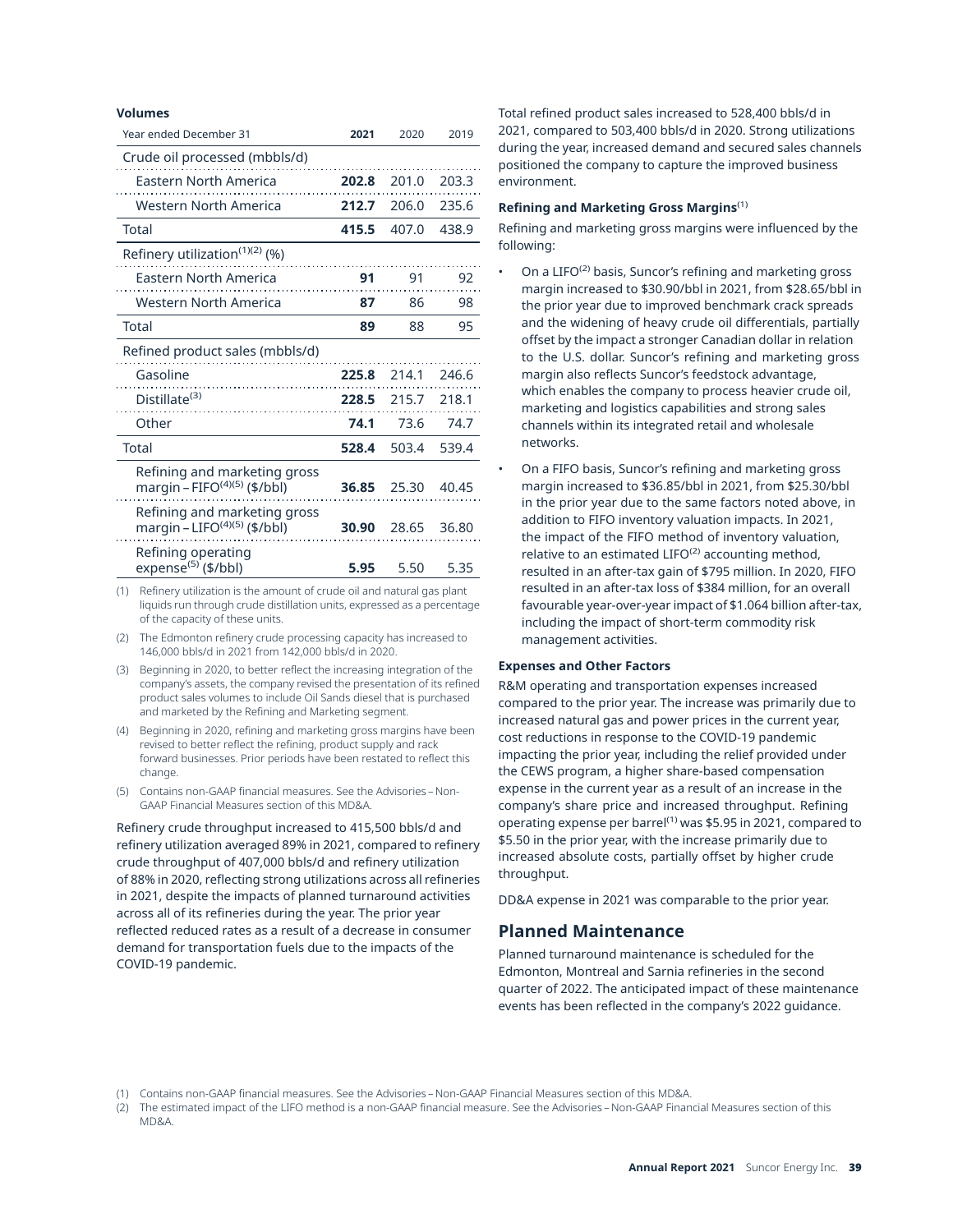#### **Volumes**

| Year ended December 31                                          | 2021  | 2020  | 2019  |
|-----------------------------------------------------------------|-------|-------|-------|
| Crude oil processed (mbbls/d)                                   |       |       |       |
| Eastern North America                                           | 202.8 | 201.0 | 203.3 |
| Western North America                                           | 212.7 | 206.0 | 235.6 |
| Total                                                           | 415.5 | 407.0 | 438.9 |
| Refinery utilization <sup>(1)(2)</sup> (%)                      |       |       |       |
| Eastern North America                                           | 91    | 91    | 92    |
| Western North America                                           | 87    | 86    | 98    |
| Total                                                           | 89    | 88    | 95    |
| Refined product sales (mbbls/d)                                 |       |       |       |
| Gasoline                                                        | 225.8 | 214.1 | 246.6 |
| Distillate <sup>(3)</sup>                                       | 228.5 | 215.7 | 218.1 |
| Other                                                           | 74.1  | 73.6  | 74.7  |
| Total                                                           | 528.4 | 503.4 | 539.4 |
| Refining and marketing gross<br>margin - FIFO $(4)(5)$ (\$/bbl) | 36.85 | 25.30 | 40.45 |
| Refining and marketing gross<br>margin - LIFO $(4)(5)$ (\$/bbl) | 30.90 | 28.65 | 36.80 |
| Refining operating<br>expense <sup>(5)</sup> (\$/bbl)           | 5.95  | 5.50  | 5.35  |

(1) Refinery utilization is the amount of crude oil and natural gas plant liquids run through crude distillation units, expressed as a percentage of the capacity of these units.

- (2) The Edmonton refinery crude processing capacity has increased to 146,000 bbls/d in 2021 from 142,000 bbls/d in 2020.
- (3) Beginning in 2020, to better reflect the increasing integration of the company's assets, the company revised the presentation of its refined product sales volumes to include Oil Sands diesel that is purchased and marketed by the Refining and Marketing segment.
- (4) Beginning in 2020, refining and marketing gross margins have been revised to better reflect the refining, product supply and rack forward businesses. Prior periods have been restated to reflect this change.
- (5) Contains non-GAAP financial measures. See the Advisories Non-GAAP Financial Measures section of this MD&A.

Refinery crude throughput increased to 415,500 bbls/d and refinery utilization averaged 89% in 2021, compared to refinery crude throughput of 407,000 bbls/d and refinery utilization of 88% in 2020, reflecting strong utilizations across all refineries in 2021, despite the impacts of planned turnaround activities across all of its refineries during the year. The prior year reflected reduced rates as a result of a decrease in consumer demand for transportation fuels due to the impacts of the COVID-19 pandemic.

Total refined product sales increased to 528,400 bbls/d in 2021, compared to 503,400 bbls/d in 2020. Strong utilizations during the year, increased demand and secured sales channels positioned the company to capture the improved business environment.

### **Refining and Marketing Gross Margins**(1)

Refining and marketing gross margins were influenced by the following:

- On a  $LIFO<sup>(2)</sup>$  basis, Suncor's refining and marketing gross margin increased to \$30.90/bbl in 2021, from \$28.65/bbl in the prior year due to improved benchmark crack spreads and the widening of heavy crude oil differentials, partially offset by the impact a stronger Canadian dollar in relation to the U.S. dollar. Suncor's refining and marketing gross margin also reflects Suncor's feedstock advantage, which enables the company to process heavier crude oil, marketing and logistics capabilities and strong sales channels within its integrated retail and wholesale networks.
- On a FIFO basis, Suncor's refining and marketing gross margin increased to \$36.85/bbl in 2021, from \$25.30/bbl in the prior year due to the same factors noted above, in addition to FIFO inventory valuation impacts. In 2021, the impact of the FIFO method of inventory valuation, relative to an estimated  $LIFO<sup>(2)</sup>$  accounting method, resulted in an after-tax gain of \$795 million. In 2020, FIFO resulted in an after-tax loss of \$384 million, for an overall favourable year-over-year impact of \$1.064 billion after-tax, including the impact of short-term commodity risk management activities.

### **Expenses and Other Factors**

R&M operating and transportation expenses increased compared to the prior year. The increase was primarily due to increased natural gas and power prices in the current year, cost reductions in response to the COVID-19 pandemic impacting the prior year, including the relief provided under the CEWS program, a higher share-based compensation expense in the current year as a result of an increase in the company's share price and increased throughput. Refining operating expense per barrel<sup>(1)</sup> was \$5.95 in 2021, compared to \$5.50 in the prior year, with the increase primarily due to increased absolute costs, partially offset by higher crude throughput.

DD&A expense in 2021 was comparable to the prior year.

## **Planned Maintenance**

Planned turnaround maintenance is scheduled for the Edmonton, Montreal and Sarnia refineries in the second quarter of 2022. The anticipated impact of these maintenance events has been reflected in the company's 2022 guidance.

<sup>(1)</sup> Contains non-GAAP financial measures. See the Advisories – Non-GAAP Financial Measures section of this MD&A.

<sup>(2)</sup> The estimated impact of the LIFO method is a non-GAAP financial measure. See the Advisories – Non-GAAP Financial Measures section of this MD&A.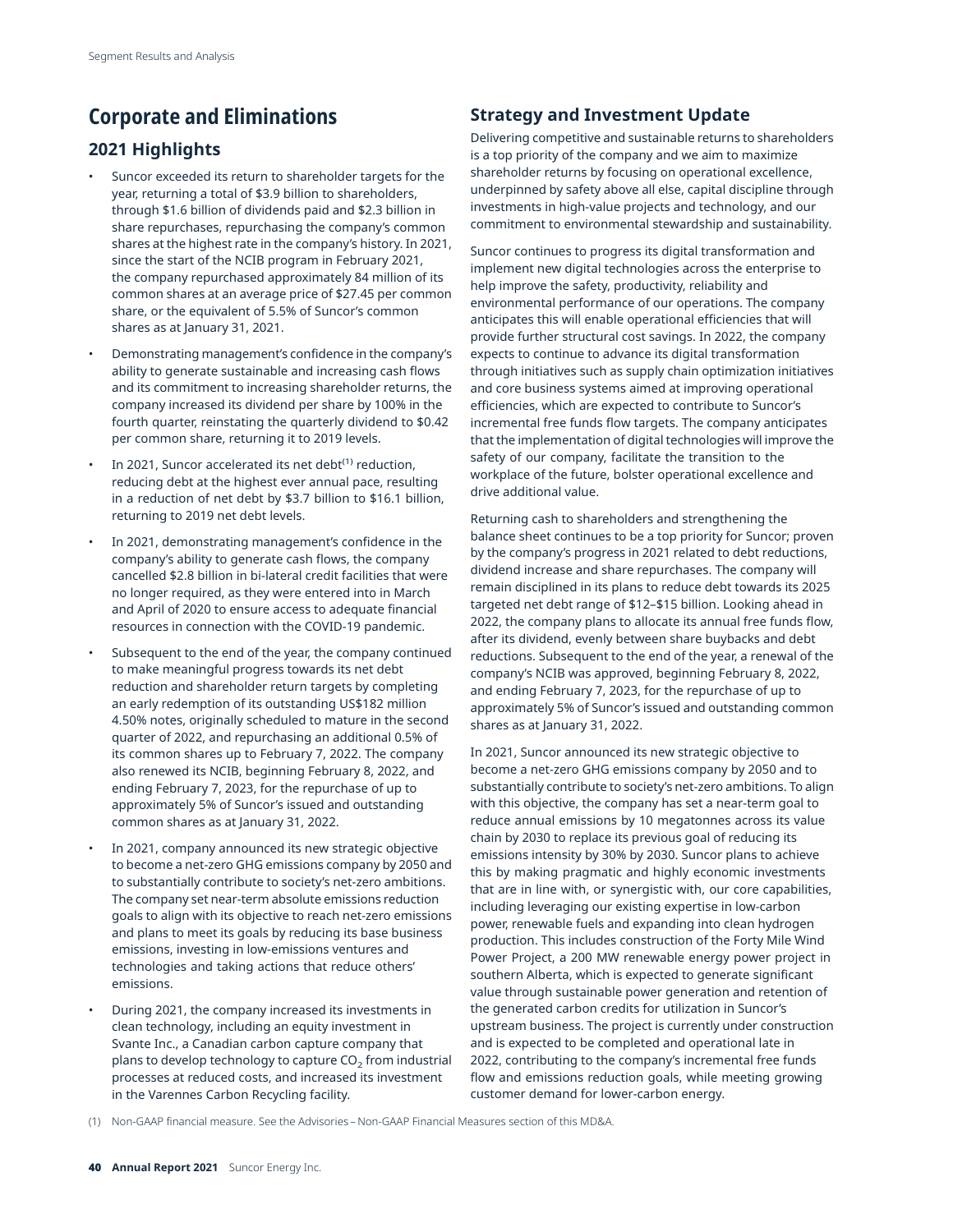# **Corporate and Eliminations**

# **2021 Highlights**

- Suncor exceeded its return to shareholder targets for the year, returning a total of \$3.9 billion to shareholders, through \$1.6 billion of dividends paid and \$2.3 billion in share repurchases, repurchasing the company's common shares at the highest rate in the company's history. In 2021, since the start of the NCIB program in February 2021, the company repurchased approximately 84 million of its common shares at an average price of \$27.45 per common share, or the equivalent of 5.5% of Suncor's common shares as at January 31, 2021.
- Demonstrating management's confidence in the company's ability to generate sustainable and increasing cash flows and its commitment to increasing shareholder returns, the company increased its dividend per share by 100% in the fourth quarter, reinstating the quarterly dividend to \$0.42 per common share, returning it to 2019 levels.
- In 2021, Suncor accelerated its net debt<sup>(1)</sup> reduction, reducing debt at the highest ever annual pace, resulting in a reduction of net debt by \$3.7 billion to \$16.1 billion, returning to 2019 net debt levels.
- In 2021, demonstrating management's confidence in the company's ability to generate cash flows, the company cancelled \$2.8 billion in bi-lateral credit facilities that were no longer required, as they were entered into in March and April of 2020 to ensure access to adequate financial resources in connection with the COVID-19 pandemic.
- Subsequent to the end of the year, the company continued to make meaningful progress towards its net debt reduction and shareholder return targets by completing an early redemption of its outstanding US\$182 million 4.50% notes, originally scheduled to mature in the second quarter of 2022, and repurchasing an additional 0.5% of its common shares up to February 7, 2022. The company also renewed its NCIB, beginning February 8, 2022, and ending February 7, 2023, for the repurchase of up to approximately 5% of Suncor's issued and outstanding common shares as at January 31, 2022.
- In 2021, company announced its new strategic objective to become a net-zero GHG emissions company by 2050 and to substantially contribute to society's net-zero ambitions. The company set near-term absolute emissions reduction goals to align with its objective to reach net-zero emissions and plans to meet its goals by reducing its base business emissions, investing in low-emissions ventures and technologies and taking actions that reduce others' emissions.
- During 2021, the company increased its investments in clean technology, including an equity investment in Svante Inc., a Canadian carbon capture company that plans to develop technology to capture  $CO<sub>2</sub>$  from industrial processes at reduced costs, and increased its investment in the Varennes Carbon Recycling facility.

# **Strategy and Investment Update**

Delivering competitive and sustainable returns to shareholders is a top priority of the company and we aim to maximize shareholder returns by focusing on operational excellence, underpinned by safety above all else, capital discipline through investments in high-value projects and technology, and our commitment to environmental stewardship and sustainability.

Suncor continues to progress its digital transformation and implement new digital technologies across the enterprise to help improve the safety, productivity, reliability and environmental performance of our operations. The company anticipates this will enable operational efficiencies that will provide further structural cost savings. In 2022, the company expects to continue to advance its digital transformation through initiatives such as supply chain optimization initiatives and core business systems aimed at improving operational efficiencies, which are expected to contribute to Suncor's incremental free funds flow targets. The company anticipates that the implementation of digital technologies will improve the safety of our company, facilitate the transition to the workplace of the future, bolster operational excellence and drive additional value.

Returning cash to shareholders and strengthening the balance sheet continues to be a top priority for Suncor; proven by the company's progress in 2021 related to debt reductions, dividend increase and share repurchases. The company will remain disciplined in its plans to reduce debt towards its 2025 targeted net debt range of \$12–\$15 billion. Looking ahead in 2022, the company plans to allocate its annual free funds flow, after its dividend, evenly between share buybacks and debt reductions. Subsequent to the end of the year, a renewal of the company's NCIB was approved, beginning February 8, 2022, and ending February 7, 2023, for the repurchase of up to approximately 5% of Suncor's issued and outstanding common shares as at January 31, 2022.

In 2021, Suncor announced its new strategic objective to become a net-zero GHG emissions company by 2050 and to substantially contribute to society's net-zero ambitions. To align with this objective, the company has set a near-term goal to reduce annual emissions by 10 megatonnes across its value chain by 2030 to replace its previous goal of reducing its emissions intensity by 30% by 2030. Suncor plans to achieve this by making pragmatic and highly economic investments that are in line with, or synergistic with, our core capabilities, including leveraging our existing expertise in low-carbon power, renewable fuels and expanding into clean hydrogen production. This includes construction of the Forty Mile Wind Power Project, a 200 MW renewable energy power project in southern Alberta, which is expected to generate significant value through sustainable power generation and retention of the generated carbon credits for utilization in Suncor's upstream business. The project is currently under construction and is expected to be completed and operational late in 2022, contributing to the company's incremental free funds flow and emissions reduction goals, while meeting growing customer demand for lower-carbon energy.

(1) Non-GAAP financial measure. See the Advisories – Non-GAAP Financial Measures section of this MD&A.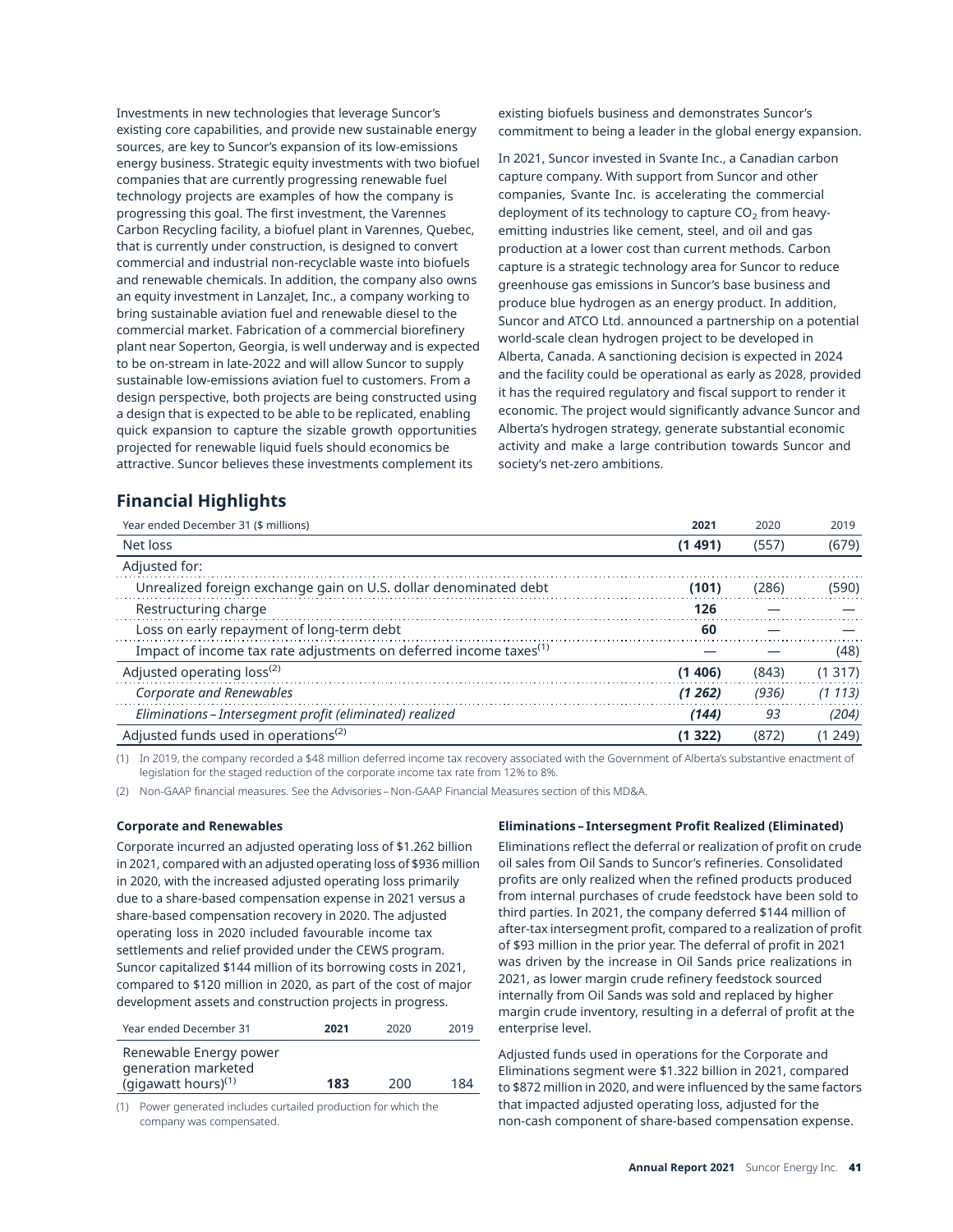Investments in new technologies that leverage Suncor's existing core capabilities, and provide new sustainable energy sources, are key to Suncor's expansion of its low-emissions energy business. Strategic equity investments with two biofuel companies that are currently progressing renewable fuel technology projects are examples of how the company is progressing this goal. The first investment, the Varennes Carbon Recycling facility, a biofuel plant in Varennes, Quebec, that is currently under construction, is designed to convert commercial and industrial non-recyclable waste into biofuels and renewable chemicals. In addition, the company also owns an equity investment in LanzaJet, Inc., a company working to bring sustainable aviation fuel and renewable diesel to the commercial market. Fabrication of a commercial biorefinery plant near Soperton, Georgia, is well underway and is expected to be on-stream in late-2022 and will allow Suncor to supply sustainable low-emissions aviation fuel to customers. From a design perspective, both projects are being constructed using a design that is expected to be able to be replicated, enabling quick expansion to capture the sizable growth opportunities projected for renewable liquid fuels should economics be attractive. Suncor believes these investments complement its

existing biofuels business and demonstrates Suncor's commitment to being a leader in the global energy expansion.

In 2021, Suncor invested in Svante Inc., a Canadian carbon capture company. With support from Suncor and other companies, Svante Inc. is accelerating the commercial deployment of its technology to capture  $CO<sub>2</sub>$  from heavyemitting industries like cement, steel, and oil and gas production at a lower cost than current methods. Carbon capture is a strategic technology area for Suncor to reduce greenhouse gas emissions in Suncor's base business and produce blue hydrogen as an energy product. In addition, Suncor and ATCO Ltd. announced a partnership on a potential world-scale clean hydrogen project to be developed in Alberta, Canada. A sanctioning decision is expected in 2024 and the facility could be operational as early as 2028, provided it has the required regulatory and fiscal support to render it economic. The project would significantly advance Suncor and Alberta's hydrogen strategy, generate substantial economic activity and make a large contribution towards Suncor and society's net-zero ambitions.

# **Financial Highlights**

| 2021   | 2020  | 2019   |
|--------|-------|--------|
| (1491) | (557) | (679)  |
|        |       |        |
| (101)  | (286) | (590)  |
| 126    |       |        |
| 60     |       |        |
|        |       | (48)   |
| (1406) | (843) | (1317) |
| (1262) | (936) | (1113) |
| (144)  | 93    | (204)  |
| (1322) | (872) | (1249) |
|        |       |        |

(1) In 2019, the company recorded a \$48 million deferred income tax recovery associated with the Government of Alberta's substantive enactment of legislation for the staged reduction of the corporate income tax rate from 12% to 8%.

(2) Non-GAAP financial measures. See the Advisories – Non-GAAP Financial Measures section of this MD&A.

### **Corporate and Renewables**

Corporate incurred an adjusted operating loss of \$1.262 billion in 2021, compared with an adjusted operating loss of \$936 million in 2020, with the increased adjusted operating loss primarily due to a share-based compensation expense in 2021 versus a share-based compensation recovery in 2020. The adjusted operating loss in 2020 included favourable income tax settlements and relief provided under the CEWS program. Suncor capitalized \$144 million of its borrowing costs in 2021, compared to \$120 million in 2020, as part of the cost of major development assets and construction projects in progress.

| Year ended December 31                                                           | 2021 | 2020 | 2019 |
|----------------------------------------------------------------------------------|------|------|------|
| Renewable Energy power<br>generation marketed<br>(gigawatt hours) <sup>(1)</sup> | 183  | 200  | 184  |
|                                                                                  |      |      |      |

(1) Power generated includes curtailed production for which the company was compensated.

### **Eliminations–Intersegment Profit Realized (Eliminated)**

Eliminations reflect the deferral or realization of profit on crude oil sales from Oil Sands to Suncor's refineries. Consolidated profits are only realized when the refined products produced from internal purchases of crude feedstock have been sold to third parties. In 2021, the company deferred \$144 million of after-tax intersegment profit, compared to a realization of profit of \$93 million in the prior year. The deferral of profit in 2021 was driven by the increase in Oil Sands price realizations in 2021, as lower margin crude refinery feedstock sourced internally from Oil Sands was sold and replaced by higher margin crude inventory, resulting in a deferral of profit at the enterprise level.

Adjusted funds used in operations for the Corporate and Eliminations segment were \$1.322 billion in 2021, compared to \$872 million in 2020, and were influenced by the same factors that impacted adjusted operating loss, adjusted for the non-cash component of share-based compensation expense.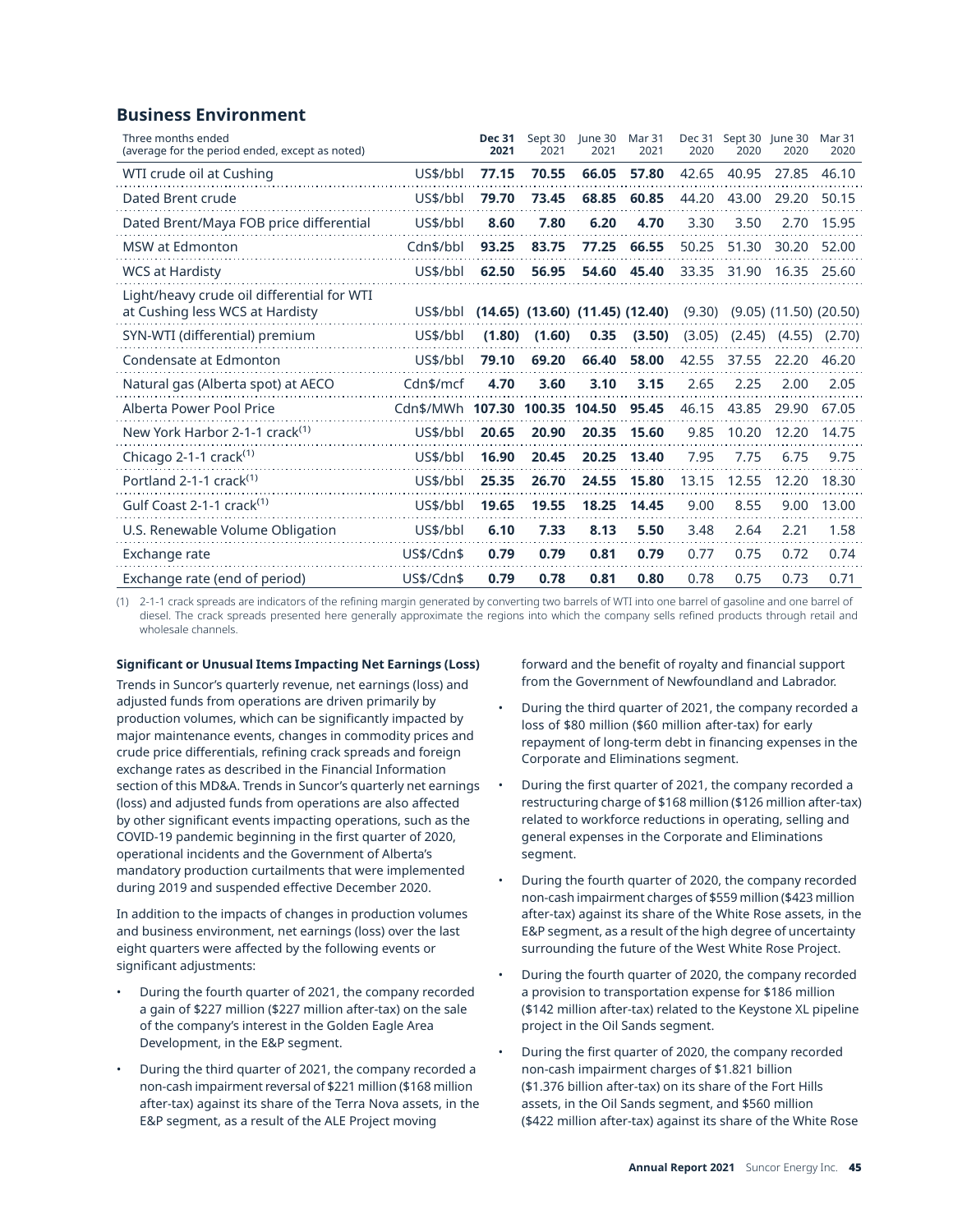# **Business Environment**

| Three months ended<br>(average for the period ended, except as noted)         |            | <b>Dec 31</b><br>2021 | Sept 30<br>2021 | lune 30<br>2021                         | Mar 31<br>2021 | Dec 31<br>2020 | Sept 30 June 30<br>2020 | 2020                         | Mar 31<br>2020 |
|-------------------------------------------------------------------------------|------------|-----------------------|-----------------|-----------------------------------------|----------------|----------------|-------------------------|------------------------------|----------------|
| WTI crude oil at Cushing                                                      | US\$/bbl   | 77.15                 | 70.55           | 66.05                                   | 57.80          | 42.65          | 40.95                   | 27.85                        | 46.10          |
| Dated Brent crude                                                             | US\$/bbl   | 79.70                 | 73.45           | 68.85                                   | 60.85          | 44.20          | 43.00                   | 29.20                        | 50.15          |
| Dated Brent/Maya FOB price differential                                       | US\$/bbl   | 8.60                  | 7.80            | 6.20                                    | 4.70           | 3.30           | 3.50                    | 2.70                         | 15.95          |
| <b>MSW</b> at Edmonton                                                        | Cdn\$/bbl  | 93.25                 | 83.75           | 77.25                                   | 66.55          | 50.25          | 51.30                   | 30.20                        | 52.00          |
| <b>WCS at Hardisty</b>                                                        | US\$/bbl   | 62.50                 | 56.95           | 54.60                                   | 45.40          | 33.35          | 31.90                   | 16.35                        | 25.60          |
| Light/heavy crude oil differential for WTI<br>at Cushing less WCS at Hardisty | US\$/bbl   |                       |                 | $(14.65)$ $(13.60)$ $(11.45)$ $(12.40)$ |                | (9.30)         |                         | $(9.05)$ $(11.50)$ $(20.50)$ |                |
| SYN-WTI (differential) premium                                                | US\$/bbl   | (1.80)                | (1.60)          | 0.35                                    | (3.50)         | (3.05)         | (2.45)                  | (4.55)                       | (2.70)         |
| Condensate at Edmonton                                                        | US\$/bbl   | 79.10                 | 69.20           | 66.40                                   | 58.00          | 42.55          | 37.55                   | 22.20                        | 46.20          |
| Natural gas (Alberta spot) at AECO                                            | Cdn\$/mcf  | 4.70                  | 3.60            | 3.10                                    | 3.15           | 2.65           | 2.25                    | 2.00                         | 2.05           |
| Alberta Power Pool Price                                                      | Cdn\$/MWh  | 107.30                | 100.35 104.50   |                                         | 95.45          | 46.15          | 43.85                   | 29.90                        | 67.05          |
| New York Harbor 2-1-1 crack <sup>(1)</sup>                                    | US\$/bbl   | 20.65                 | 20.90           | 20.35                                   | 15.60          | 9.85           | 10.20                   | 12.20                        | 14.75          |
| Chicago 2-1-1 crack <sup>(1)</sup>                                            | US\$/bbl   | 16.90                 | 20.45           | 20.25                                   | 13.40          | 7.95           | 7.75                    | 6.75                         | 9.75           |
| Portland 2-1-1 crack <sup>(1)</sup>                                           | US\$/bbl   | 25.35                 | 26.70           | 24.55                                   | 15.80          | 13.15          | 12.55                   | 12.20                        | 18.30          |
| Gulf Coast 2-1-1 crack <sup>(1)</sup>                                         | US\$/bbl   | 19.65                 | 19.55           | 18.25                                   | 14.45          | 9.00           | 8.55                    | 9.00                         | 13.00          |
| U.S. Renewable Volume Obligation                                              | US\$/bbl   | 6.10                  | 7.33            | 8.13                                    | 5.50           | 3.48           | 2.64                    | 2.21                         | 1.58           |
| Exchange rate                                                                 | US\$/Cdn\$ | 0.79                  | 0.79            | 0.81                                    | 0.79           | 0.77           | 0.75                    | 0.72                         | 0.74           |
| Exchange rate (end of period)                                                 | US\$/Cdn\$ | 0.79                  | 0.78            | 0.81                                    | 0.80           | 0.78           | 0.75                    | 0.73                         | 0.71           |

(1) 2-1-1 crack spreads are indicators of the refining margin generated by converting two barrels of WTI into one barrel of gasoline and one barrel of diesel. The crack spreads presented here generally approximate the regions into which the company sells refined products through retail and wholesale channels.

## **Significant or Unusual Items Impacting Net Earnings (Loss)**

Trends in Suncor's quarterly revenue, net earnings (loss) and adjusted funds from operations are driven primarily by production volumes, which can be significantly impacted by major maintenance events, changes in commodity prices and crude price differentials, refining crack spreads and foreign exchange rates as described in the Financial Information section of this MD&A. Trends in Suncor's quarterly net earnings (loss) and adjusted funds from operations are also affected by other significant events impacting operations, such as the COVID-19 pandemic beginning in the first quarter of 2020, operational incidents and the Government of Alberta's mandatory production curtailments that were implemented during 2019 and suspended effective December 2020.

In addition to the impacts of changes in production volumes and business environment, net earnings (loss) over the last eight quarters were affected by the following events or significant adjustments:

- During the fourth quarter of 2021, the company recorded a gain of \$227 million (\$227 million after-tax) on the sale of the company's interest in the Golden Eagle Area Development, in the E&P segment.
- During the third quarter of 2021, the company recorded a non-cash impairment reversal of \$221 million (\$168 million after-tax) against its share of the Terra Nova assets, in the E&P segment, as a result of the ALE Project moving

forward and the benefit of royalty and financial support from the Government of Newfoundland and Labrador.

- During the third quarter of 2021, the company recorded a loss of \$80 million (\$60 million after-tax) for early repayment of long-term debt in financing expenses in the Corporate and Eliminations segment.
- During the first quarter of 2021, the company recorded a restructuring charge of \$168 million (\$126 million after-tax) related to workforce reductions in operating, selling and general expenses in the Corporate and Eliminations segment.
- During the fourth quarter of 2020, the company recorded non-cash impairment charges of \$559 million (\$423 million after-tax) against its share of the White Rose assets, in the E&P segment, as a result of the high degree of uncertainty surrounding the future of the West White Rose Project.
- During the fourth quarter of 2020, the company recorded a provision to transportation expense for \$186 million (\$142 million after-tax) related to the Keystone XL pipeline project in the Oil Sands segment.
- During the first quarter of 2020, the company recorded non-cash impairment charges of \$1.821 billion (\$1.376 billion after-tax) on its share of the Fort Hills assets, in the Oil Sands segment, and \$560 million (\$422 million after-tax) against its share of the White Rose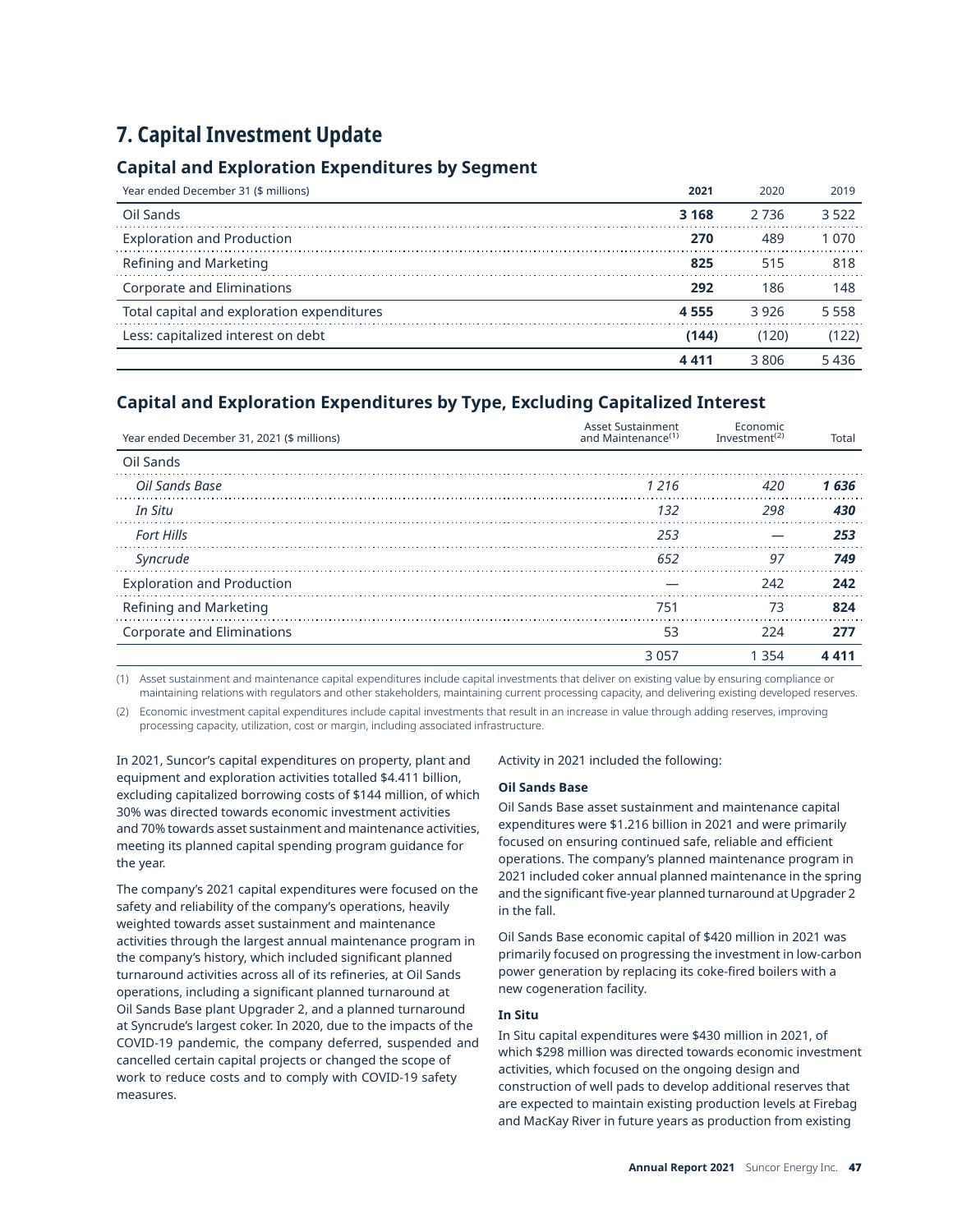# **7. Capital Investment Update**

# **Capital and Exploration Expenditures by Segment**

| Year ended December 31 (\$ millions)       | 2021    | 2020    | 2019    |
|--------------------------------------------|---------|---------|---------|
| Oil Sands                                  | 3 1 6 8 | 2 7 3 6 | 3.522   |
| <b>Exploration and Production</b>          | 270     | 489     | 1 070   |
| Refining and Marketing                     | 825     | 515     | 818     |
| <b>Corporate and Eliminations</b>          | 292     | 186     | 148     |
| Total capital and exploration expenditures | 4 5 5 5 | 3926    | 5 5 5 8 |
| Less: capitalized interest on debt         | (144)   | (120)   | (122)   |
|                                            |         | 3806    | 5436    |

# **Capital and Exploration Expenditures by Type, Excluding Capitalized Interest**

| Year ended December 31, 2021 (\$ millions) | <b>Asset Sustainment</b><br>and Maintenance <sup>(1)</sup> | Economic<br>Investment <sup><math>(2)</math></sup> | Total |
|--------------------------------------------|------------------------------------------------------------|----------------------------------------------------|-------|
| Oil Sands                                  |                                                            |                                                    |       |
| Oil Sands Base                             | 1216                                                       | 420                                                | 1636  |
| In Situ                                    | 132                                                        | 298                                                | 430   |
| <b>Fort Hills</b>                          | 253                                                        |                                                    | 253   |
| Syncrude                                   | 652                                                        | -97                                                | 749   |
| <b>Exploration and Production</b>          |                                                            | 242                                                | 242   |
| Refining and Marketing                     | 751                                                        | 73                                                 | 824   |
| Corporate and Eliminations                 | 53                                                         | 224                                                | 277   |
|                                            | 3 057                                                      | -354                                               |       |

(1) Asset sustainment and maintenance capital expenditures include capital investments that deliver on existing value by ensuring compliance or maintaining relations with regulators and other stakeholders, maintaining current processing capacity, and delivering existing developed reserves.

(2) Economic investment capital expenditures include capital investments that result in an increase in value through adding reserves, improving processing capacity, utilization, cost or margin, including associated infrastructure.

In 2021, Suncor's capital expenditures on property, plant and equipment and exploration activities totalled \$4.411 billion, excluding capitalized borrowing costs of \$144 million, of which 30% was directed towards economic investment activities and 70% towards asset sustainment and maintenance activities, meeting its planned capital spending program guidance for the year.

The company's 2021 capital expenditures were focused on the safety and reliability of the company's operations, heavily weighted towards asset sustainment and maintenance activities through the largest annual maintenance program in the company's history, which included significant planned turnaround activities across all of its refineries, at Oil Sands operations, including a significant planned turnaround at Oil Sands Base plant Upgrader 2, and a planned turnaround at Syncrude's largest coker. In 2020, due to the impacts of the COVID-19 pandemic, the company deferred, suspended and cancelled certain capital projects or changed the scope of work to reduce costs and to comply with COVID-19 safety measures.

Activity in 2021 included the following:

### **Oil Sands Base**

Oil Sands Base asset sustainment and maintenance capital expenditures were \$1.216 billion in 2021 and were primarily focused on ensuring continued safe, reliable and efficient operations. The company's planned maintenance program in 2021 included coker annual planned maintenance in the spring and the significant five-year planned turnaround at Upgrader 2 in the fall.

Oil Sands Base economic capital of \$420 million in 2021 was primarily focused on progressing the investment in low-carbon power generation by replacing its coke-fired boilers with a new cogeneration facility.

## **In Situ**

In Situ capital expenditures were \$430 million in 2021, of which \$298 million was directed towards economic investment activities, which focused on the ongoing design and construction of well pads to develop additional reserves that are expected to maintain existing production levels at Firebag and MacKay River in future years as production from existing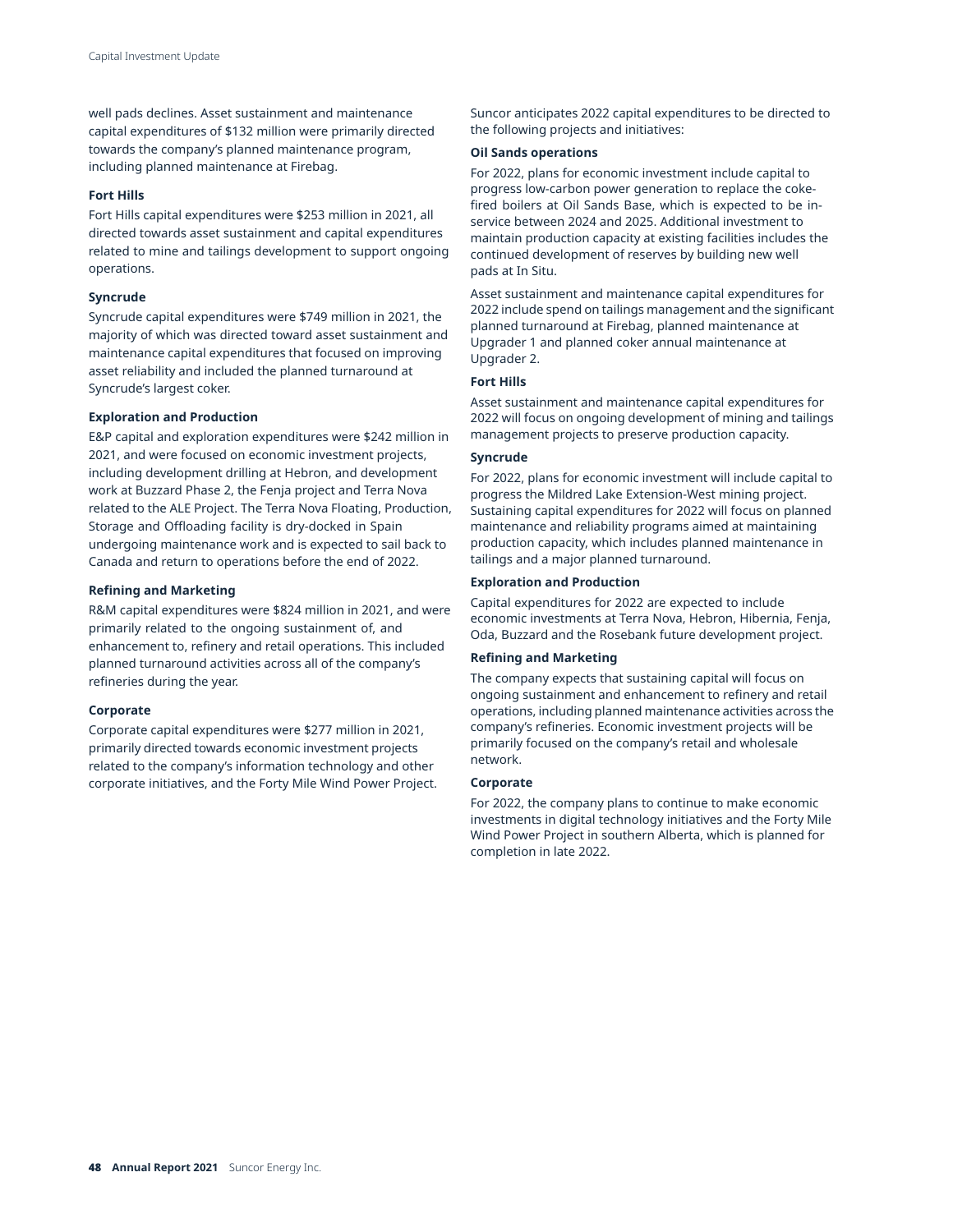well pads declines. Asset sustainment and maintenance capital expenditures of \$132 million were primarily directed towards the company's planned maintenance program, including planned maintenance at Firebag.

### **Fort Hills**

Fort Hills capital expenditures were \$253 million in 2021, all directed towards asset sustainment and capital expenditures related to mine and tailings development to support ongoing operations.

### **Syncrude**

Syncrude capital expenditures were \$749 million in 2021, the majority of which was directed toward asset sustainment and maintenance capital expenditures that focused on improving asset reliability and included the planned turnaround at Syncrude's largest coker.

### **Exploration and Production**

E&P capital and exploration expenditures were \$242 million in 2021, and were focused on economic investment projects, including development drilling at Hebron, and development work at Buzzard Phase 2, the Fenja project and Terra Nova related to the ALE Project. The Terra Nova Floating, Production, Storage and Offloading facility is dry-docked in Spain undergoing maintenance work and is expected to sail back to Canada and return to operations before the end of 2022.

### **Refining and Marketing**

R&M capital expenditures were \$824 million in 2021, and were primarily related to the ongoing sustainment of, and enhancement to, refinery and retail operations. This included planned turnaround activities across all of the company's refineries during the year.

#### **Corporate**

Corporate capital expenditures were \$277 million in 2021, primarily directed towards economic investment projects related to the company's information technology and other corporate initiatives, and the Forty Mile Wind Power Project. Suncor anticipates 2022 capital expenditures to be directed to the following projects and initiatives:

### **Oil Sands operations**

For 2022, plans for economic investment include capital to progress low-carbon power generation to replace the cokefired boilers at Oil Sands Base, which is expected to be inservice between 2024 and 2025. Additional investment to maintain production capacity at existing facilities includes the continued development of reserves by building new well pads at In Situ.

Asset sustainment and maintenance capital expenditures for 2022 include spend on tailings management and the significant planned turnaround at Firebag, planned maintenance at Upgrader 1 and planned coker annual maintenance at Upgrader 2.

### **Fort Hills**

Asset sustainment and maintenance capital expenditures for 2022 will focus on ongoing development of mining and tailings management projects to preserve production capacity.

### **Syncrude**

For 2022, plans for economic investment will include capital to progress the Mildred Lake Extension-West mining project. Sustaining capital expenditures for 2022 will focus on planned maintenance and reliability programs aimed at maintaining production capacity, which includes planned maintenance in tailings and a major planned turnaround.

### **Exploration and Production**

Capital expenditures for 2022 are expected to include economic investments at Terra Nova, Hebron, Hibernia, Fenja, Oda, Buzzard and the Rosebank future development project.

### **Refining and Marketing**

The company expects that sustaining capital will focus on ongoing sustainment and enhancement to refinery and retail operations, including planned maintenance activities across the company's refineries. Economic investment projects will be primarily focused on the company's retail and wholesale network.

#### **Corporate**

For 2022, the company plans to continue to make economic investments in digital technology initiatives and the Forty Mile Wind Power Project in southern Alberta, which is planned for completion in late 2022.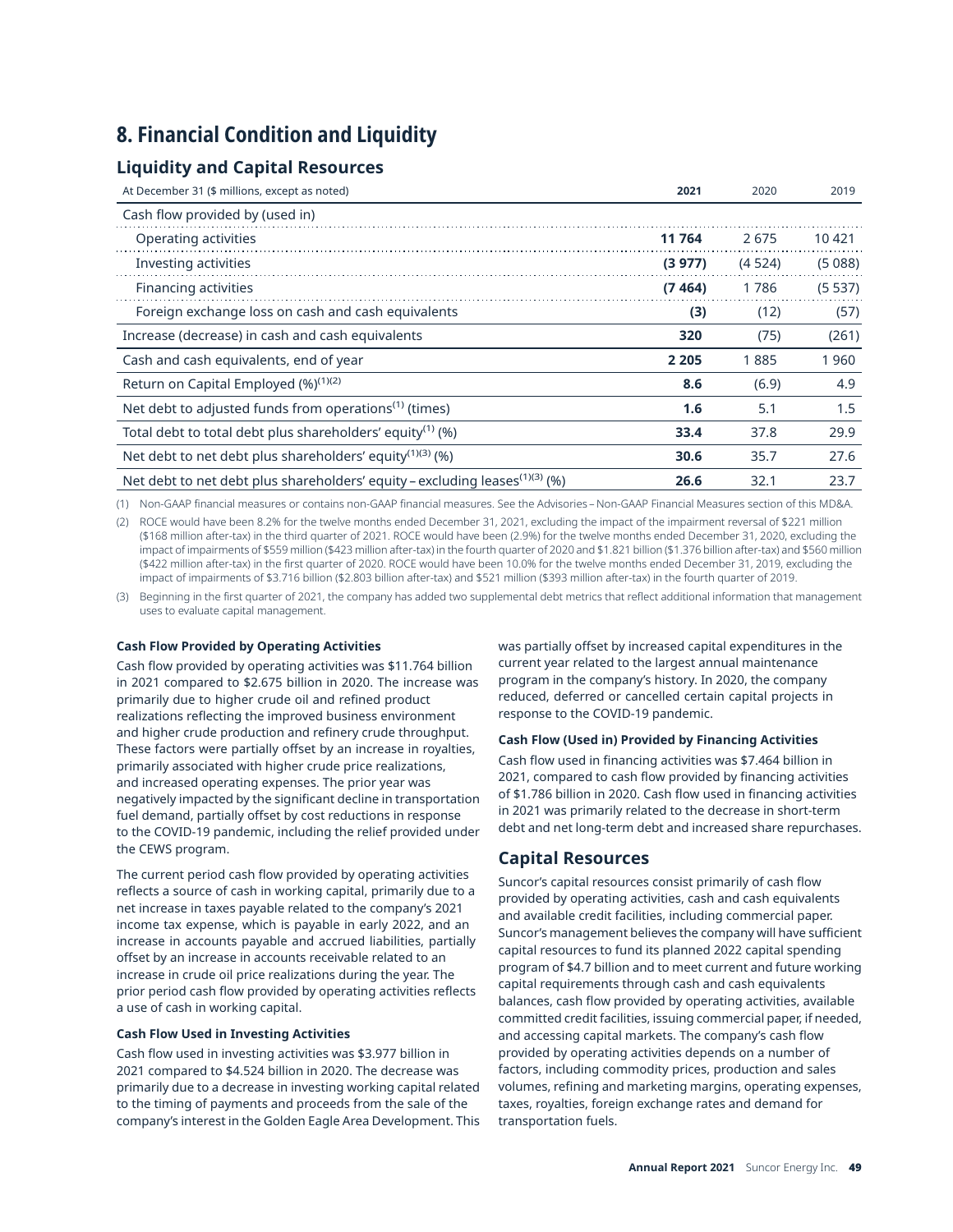# **8. Financial Condition and Liquidity**

# **Liquidity and Capital Resources**

| At December 31 (\$ millions, except as noted)                                           | 2021    | 2020   | 2019   |
|-----------------------------------------------------------------------------------------|---------|--------|--------|
| Cash flow provided by (used in)                                                         |         |        |        |
| Operating activities                                                                    | 11 764  | 2675   | 10 421 |
| Investing activities                                                                    | (3977)  | (4524) | (5088) |
| Financing activities                                                                    | (7464)  | 1786   | (5537) |
| Foreign exchange loss on cash and cash equivalents                                      | (3)     | (12)   | (57)   |
| Increase (decrease) in cash and cash equivalents                                        | 320     | (75)   | (261)  |
| Cash and cash equivalents, end of year                                                  | 2 2 0 5 | 1885   | 1960   |
| Return on Capital Employed (%) <sup>(1)(2)</sup>                                        | 8.6     | (6.9)  | 4.9    |
| Net debt to adjusted funds from operations <sup>(1)</sup> (times)                       | 1.6     | 5.1    | 1.5    |
| Total debt to total debt plus shareholders' equity <sup>(1)</sup> (%)                   | 33.4    | 37.8   | 29.9   |
| Net debt to net debt plus shareholders' equity $(1)(3)(9)$                              | 30.6    | 35.7   | 27.6   |
| Net debt to net debt plus shareholders' equity – excluding leases <sup>(1)(3)</sup> (%) | 26.6    | 32.1   | 23.7   |

(1) Non-GAAP financial measures or contains non-GAAP financial measures. See the Advisories – Non-GAAP Financial Measures section of this MD&A.

(2) ROCE would have been 8.2% for the twelve months ended December 31, 2021, excluding the impact of the impairment reversal of \$221 million (\$168 million after-tax) in the third quarter of 2021. ROCE would have been (2.9%) for the twelve months ended December 31, 2020, excluding the impact of impairments of \$559 million (\$423 million after-tax) in the fourth quarter of 2020 and \$1.821 billion (\$1.376 billion after-tax) and \$560 million (\$422 million after-tax) in the first quarter of 2020. ROCE would have been 10.0% for the twelve months ended December 31, 2019, excluding the impact of impairments of \$3.716 billion (\$2.803 billion after-tax) and \$521 million (\$393 million after-tax) in the fourth quarter of 2019.

(3) Beginning in the first quarter of 2021, the company has added two supplemental debt metrics that reflect additional information that management uses to evaluate capital management.

## **Cash Flow Provided by Operating Activities**

Cash flow provided by operating activities was \$11.764 billion in 2021 compared to \$2.675 billion in 2020. The increase was primarily due to higher crude oil and refined product realizations reflecting the improved business environment and higher crude production and refinery crude throughput. These factors were partially offset by an increase in royalties, primarily associated with higher crude price realizations, and increased operating expenses. The prior year was negatively impacted by the significant decline in transportation fuel demand, partially offset by cost reductions in response to the COVID-19 pandemic, including the relief provided under the CEWS program.

The current period cash flow provided by operating activities reflects a source of cash in working capital, primarily due to a net increase in taxes payable related to the company's 2021 income tax expense, which is payable in early 2022, and an increase in accounts payable and accrued liabilities, partially offset by an increase in accounts receivable related to an increase in crude oil price realizations during the year. The prior period cash flow provided by operating activities reflects a use of cash in working capital.

## **Cash Flow Used in Investing Activities**

Cash flow used in investing activities was \$3.977 billion in 2021 compared to \$4.524 billion in 2020. The decrease was primarily due to a decrease in investing working capital related to the timing of payments and proceeds from the sale of the company's interest in the Golden Eagle Area Development. This was partially offset by increased capital expenditures in the current year related to the largest annual maintenance program in the company's history. In 2020, the company reduced, deferred or cancelled certain capital projects in response to the COVID-19 pandemic.

## **Cash Flow (Used in) Provided by Financing Activities**

Cash flow used in financing activities was \$7.464 billion in 2021, compared to cash flow provided by financing activities of \$1.786 billion in 2020. Cash flow used in financing activities in 2021 was primarily related to the decrease in short-term debt and net long-term debt and increased share repurchases.

# **Capital Resources**

Suncor's capital resources consist primarily of cash flow provided by operating activities, cash and cash equivalents and available credit facilities, including commercial paper. Suncor's management believes the company will have sufficient capital resources to fund its planned 2022 capital spending program of \$4.7 billion and to meet current and future working capital requirements through cash and cash equivalents balances, cash flow provided by operating activities, available committed credit facilities, issuing commercial paper, if needed, and accessing capital markets. The company's cash flow provided by operating activities depends on a number of factors, including commodity prices, production and sales volumes, refining and marketing margins, operating expenses, taxes, royalties, foreign exchange rates and demand for transportation fuels.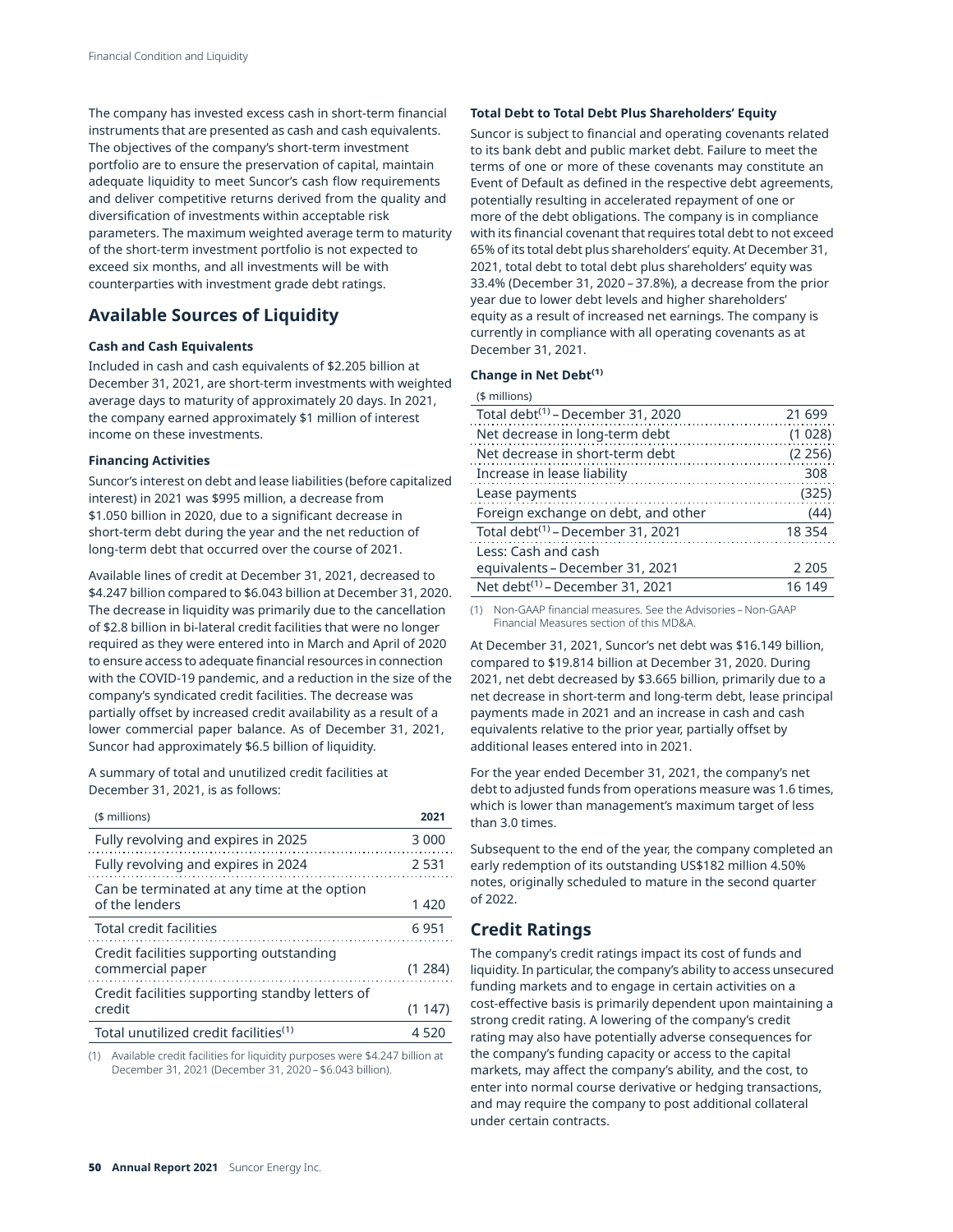The company has invested excess cash in short-term financial instruments that are presented as cash and cash equivalents. The objectives of the company's short-term investment portfolio are to ensure the preservation of capital, maintain adequate liquidity to meet Suncor's cash flow requirements and deliver competitive returns derived from the quality and diversification of investments within acceptable risk parameters. The maximum weighted average term to maturity of the short-term investment portfolio is not expected to exceed six months, and all investments will be with counterparties with investment grade debt ratings.

# **Available Sources of Liquidity**

### **Cash and Cash Equivalents**

Included in cash and cash equivalents of \$2.205 billion at December 31, 2021, are short-term investments with weighted average days to maturity of approximately 20 days. In 2021, the company earned approximately \$1 million of interest income on these investments.

### **Financing Activities**

Suncor's interest on debt and lease liabilities (before capitalized interest) in 2021 was \$995 million, a decrease from \$1.050 billion in 2020, due to a significant decrease in short-term debt during the year and the net reduction of long-term debt that occurred over the course of 2021.

Available lines of credit at December 31, 2021, decreased to \$4.247 billion compared to \$6.043 billion at December 31, 2020. The decrease in liquidity was primarily due to the cancellation of \$2.8 billion in bi-lateral credit facilities that were no longer required as they were entered into in March and April of 2020 to ensure access to adequate financial resources in connection with the COVID-19 pandemic, and a reduction in the size of the company's syndicated credit facilities. The decrease was partially offset by increased credit availability as a result of a lower commercial paper balance. As of December 31, 2021, Suncor had approximately \$6.5 billion of liquidity.

A summary of total and unutilized credit facilities at December 31, 2021, is as follows:

| (\$ millions)                                                 | 2021     |
|---------------------------------------------------------------|----------|
| Fully revolving and expires in 2025                           | 3 0 0 0  |
| Fully revolving and expires in 2024                           | 2.531    |
| Can be terminated at any time at the option<br>of the lenders | 1 420    |
| Total credit facilities                                       | 6951     |
| Credit facilities supporting outstanding<br>commercial paper  | (1, 284) |
| Credit facilities supporting standby letters of<br>credit     | (1147)   |
| Total unutilized credit facilities <sup>(1)</sup>             | 4.520    |

(1) Available credit facilities for liquidity purposes were \$4.247 billion at December 31, 2021 (December 31, 2020 – \$6.043 billion).

## **Total Debt to Total Debt Plus Shareholders' Equity**

Suncor is subject to financial and operating covenants related to its bank debt and public market debt. Failure to meet the terms of one or more of these covenants may constitute an Event of Default as defined in the respective debt agreements, potentially resulting in accelerated repayment of one or more of the debt obligations. The company is in compliance with its financial covenant that requires total debt to not exceed 65% of its total debt plus shareholders' equity. At December 31, 2021, total debt to total debt plus shareholders' equity was 33.4% (December 31, 2020 – 37.8%), a decrease from the prior year due to lower debt levels and higher shareholders' equity as a result of increased net earnings. The company is currently in compliance with all operating covenants as at December 31, 2021.

## **Change in Net Debt(1)**

| $($$ millions)         |
|------------------------|
| Total debt $(1)$ – Dec |

| Total debt <sup>(1)</sup> - December 31, 2020 | 21 699  |
|-----------------------------------------------|---------|
| Net decrease in long-term debt                | (1028)  |
| Net decrease in short-term debt               | (2 256) |
| Increase in lease liability                   | 308     |
| Lease payments                                | (325)   |
| Foreign exchange on debt, and other           | (44)    |
| Total debt <sup>(1)</sup> – December 31, 2021 | 18 3 54 |
| Less: Cash and cash                           |         |
| equivalents - December 31, 2021               | 2 2 0 5 |
| Net debt <sup>(1)</sup> - December 31, 2021   | 16 149  |

(1) Non-GAAP financial measures. See the Advisories – Non-GAAP Financial Measures section of this MD&A.

At December 31, 2021, Suncor's net debt was \$16.149 billion, compared to \$19.814 billion at December 31, 2020. During 2021, net debt decreased by \$3.665 billion, primarily due to a net decrease in short-term and long-term debt, lease principal payments made in 2021 and an increase in cash and cash equivalents relative to the prior year, partially offset by additional leases entered into in 2021.

For the year ended December 31, 2021, the company's net debt to adjusted funds from operations measure was 1.6 times, which is lower than management's maximum target of less than 3.0 times.

Subsequent to the end of the year, the company completed an early redemption of its outstanding US\$182 million 4.50% notes, originally scheduled to mature in the second quarter of 2022.

## **Credit Ratings**

The company's credit ratings impact its cost of funds and liquidity. In particular, the company's ability to access unsecured funding markets and to engage in certain activities on a cost-effective basis is primarily dependent upon maintaining a strong credit rating. A lowering of the company's credit rating may also have potentially adverse consequences for the company's funding capacity or access to the capital markets, may affect the company's ability, and the cost, to enter into normal course derivative or hedging transactions, and may require the company to post additional collateral under certain contracts.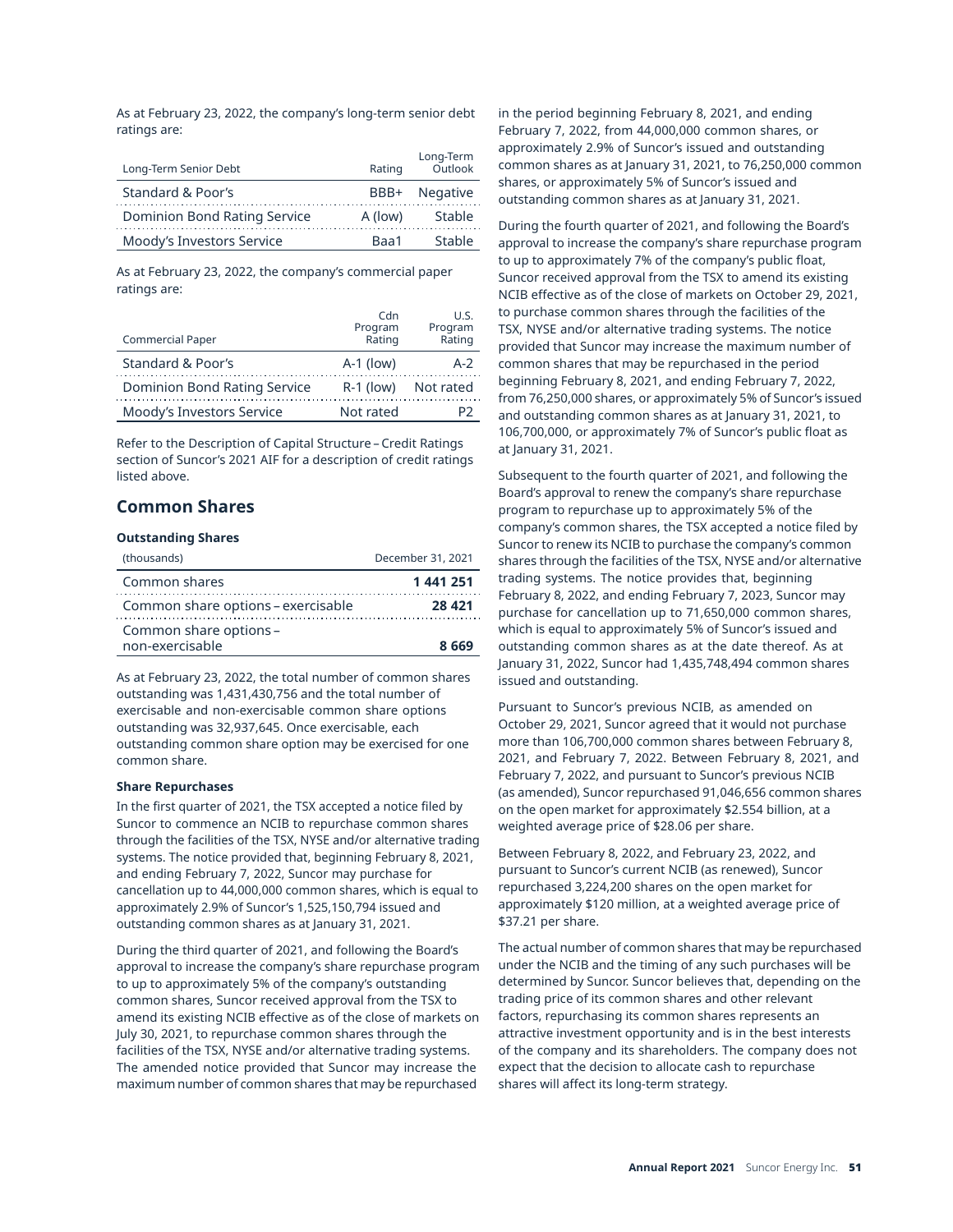As at February 23, 2022, the company's long-term senior debt ratings are:

| Long-Term Senior Debt        | Rating  | Long-Term<br>Outlook |
|------------------------------|---------|----------------------|
| Standard & Poor's            |         | BBB+ Negative        |
| Dominion Bond Rating Service | A (low) | Stable               |
| Moody's Investors Service    | Raa1    | Stable               |

As at February 23, 2022, the company's commercial paper ratings are:

|                                     | Cdn               | U.S.              |
|-------------------------------------|-------------------|-------------------|
| <b>Commercial Paper</b>             | Program<br>Rating | Program<br>Rating |
| Standard & Poor's                   | $A-1$ (low)       | $A-2$             |
| <b>Dominion Bond Rating Service</b> | $R-1$ (low)       | Not rated         |
| Moody's Investors Service           | Not rated         |                   |

Refer to the Description of Capital Structure – Credit Ratings section of Suncor's 2021 AIF for a description of credit ratings listed above.

## **Common Shares**

## **Outstanding Shares**

| (thousands)                               | December 31, 2021 |
|-------------------------------------------|-------------------|
| Common shares                             | 1 441 251         |
| Common share options – exercisable        | 28 4 21           |
| Common share options -<br>non-exercisable | 8 669             |

As at February 23, 2022, the total number of common shares outstanding was 1,431,430,756 and the total number of exercisable and non-exercisable common share options outstanding was 32,937,645. Once exercisable, each outstanding common share option may be exercised for one common share.

## **Share Repurchases**

In the first quarter of 2021, the TSX accepted a notice filed by Suncor to commence an NCIB to repurchase common shares through the facilities of the TSX, NYSE and/or alternative trading systems. The notice provided that, beginning February 8, 2021, and ending February 7, 2022, Suncor may purchase for cancellation up to 44,000,000 common shares, which is equal to approximately 2.9% of Suncor's 1,525,150,794 issued and outstanding common shares as at January 31, 2021.

During the third quarter of 2021, and following the Board's approval to increase the company's share repurchase program to up to approximately 5% of the company's outstanding common shares, Suncor received approval from the TSX to amend its existing NCIB effective as of the close of markets on July 30, 2021, to repurchase common shares through the facilities of the TSX, NYSE and/or alternative trading systems. The amended notice provided that Suncor may increase the maximum number of common shares that may be repurchased

in the period beginning February 8, 2021, and ending February 7, 2022, from 44,000,000 common shares, or approximately 2.9% of Suncor's issued and outstanding common shares as at January 31, 2021, to 76,250,000 common shares, or approximately 5% of Suncor's issued and outstanding common shares as at January 31, 2021.

During the fourth quarter of 2021, and following the Board's approval to increase the company's share repurchase program to up to approximately 7% of the company's public float, Suncor received approval from the TSX to amend its existing NCIB effective as of the close of markets on October 29, 2021, to purchase common shares through the facilities of the TSX, NYSE and/or alternative trading systems. The notice provided that Suncor may increase the maximum number of common shares that may be repurchased in the period beginning February 8, 2021, and ending February 7, 2022, from 76,250,000 shares, or approximately 5% of Suncor's issued and outstanding common shares as at January 31, 2021, to 106,700,000, or approximately 7% of Suncor's public float as at January 31, 2021.

Subsequent to the fourth quarter of 2021, and following the Board's approval to renew the company's share repurchase program to repurchase up to approximately 5% of the company's common shares, the TSX accepted a notice filed by Suncor to renew its NCIB to purchase the company's common shares through the facilities of the TSX, NYSE and/or alternative trading systems. The notice provides that, beginning February 8, 2022, and ending February 7, 2023, Suncor may purchase for cancellation up to 71,650,000 common shares, which is equal to approximately 5% of Suncor's issued and outstanding common shares as at the date thereof. As at January 31, 2022, Suncor had 1,435,748,494 common shares issued and outstanding.

Pursuant to Suncor's previous NCIB, as amended on October 29, 2021, Suncor agreed that it would not purchase more than 106,700,000 common shares between February 8, 2021, and February 7, 2022. Between February 8, 2021, and February 7, 2022, and pursuant to Suncor's previous NCIB (as amended), Suncor repurchased 91,046,656 common shares on the open market for approximately \$2.554 billion, at a weighted average price of \$28.06 per share.

Between February 8, 2022, and February 23, 2022, and pursuant to Suncor's current NCIB (as renewed), Suncor repurchased 3,224,200 shares on the open market for approximately \$120 million, at a weighted average price of \$37.21 per share.

The actual number of common shares that may be repurchased under the NCIB and the timing of any such purchases will be determined by Suncor. Suncor believes that, depending on the trading price of its common shares and other relevant factors, repurchasing its common shares represents an attractive investment opportunity and is in the best interests of the company and its shareholders. The company does not expect that the decision to allocate cash to repurchase shares will affect its long-term strategy.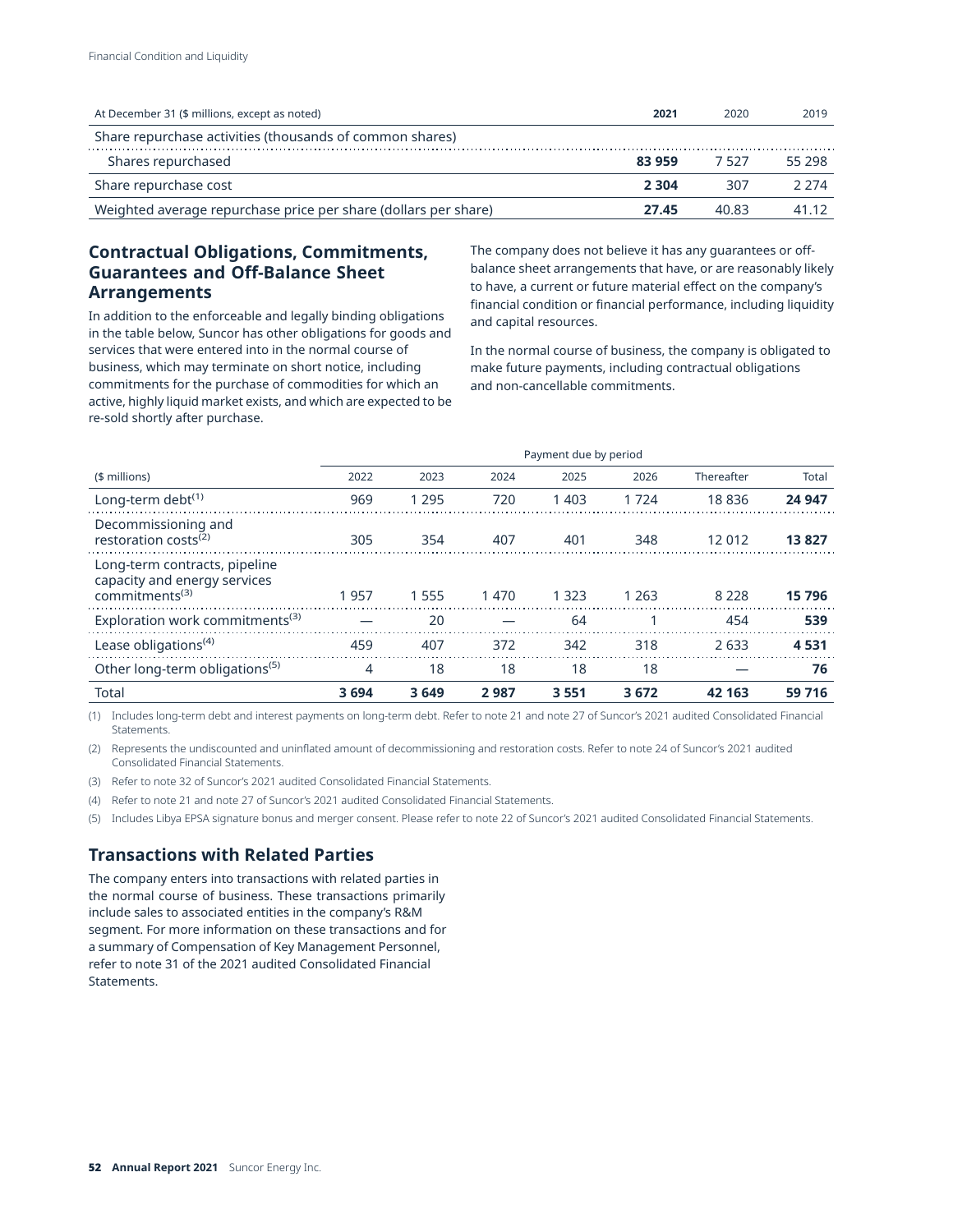| At December 31 (\$ millions, except as noted)                   | 2021    | 2020  | 2019    |
|-----------------------------------------------------------------|---------|-------|---------|
| Share repurchase activities (thousands of common shares)        |         |       |         |
| Shares repurchased                                              | 83959   | 7527  | 55 298  |
| Share repurchase cost                                           | 2 3 0 4 | 307   | 2 2 7 4 |
| Weighted average repurchase price per share (dollars per share) | 27.45   | 40.83 | 41 12   |

# **Contractual Obligations, Commitments, Guarantees and Off-Balance Sheet Arrangements**

In addition to the enforceable and legally binding obligations in the table below, Suncor has other obligations for goods and services that were entered into in the normal course of business, which may terminate on short notice, including commitments for the purchase of commodities for which an active, highly liquid market exists, and which are expected to be re-sold shortly after purchase.

The company does not believe it has any guarantees or offbalance sheet arrangements that have, or are reasonably likely to have, a current or future material effect on the company's financial condition or financial performance, including liquidity and capital resources.

In the normal course of business, the company is obligated to make future payments, including contractual obligations and non-cancellable commitments.

|                                                                                             |      | Payment due by period |      |         |         |            |        |
|---------------------------------------------------------------------------------------------|------|-----------------------|------|---------|---------|------------|--------|
| (\$ millions)                                                                               | 2022 | 2023                  | 2024 | 2025    | 2026    | Thereafter | Total  |
| Long-term debt $(1)$                                                                        | 969  | 1 2 9 5               | 720  | 1 4 0 3 | 1724    | 18836      | 24 947 |
| Decommissioning and<br>restoration costs <sup>(2)</sup>                                     | 305  | 354                   | 407  | 401     | 348     | 12 012     | 13827  |
| Long-term contracts, pipeline<br>capacity and energy services<br>commitments <sup>(3)</sup> | 1957 | 1 5 5 5               | 1470 | 1 3 2 3 | 1 2 6 3 | 8 2 2 8    | 15 796 |
| Exploration work commitments <sup>(3)</sup>                                                 |      | 20                    |      | 64      |         | 454        | 539    |
| Lease obligations <sup>(4)</sup>                                                            | 459  | 407                   | 372  | 342     | 318     | 2633       | 4531   |
| Other long-term obligations <sup>(5)</sup>                                                  | 4    | 18                    | 18   | 18      | 18      |            | 76     |
| <b>Total</b>                                                                                | 3694 | 3649                  | 2987 | 3 5 5 1 | 3672    | 42 163     | 59 716 |

(1) Includes long-term debt and interest payments on long-term debt. Refer to note 21 and note 27 of Suncor's 2021 audited Consolidated Financial Statements.

(2) Represents the undiscounted and uninflated amount of decommissioning and restoration costs. Refer to note 24 of Suncor's 2021 audited Consolidated Financial Statements.

(3) Refer to note 32 of Suncor's 2021 audited Consolidated Financial Statements.

(4) Refer to note 21 and note 27 of Suncor's 2021 audited Consolidated Financial Statements.

(5) Includes Libya EPSA signature bonus and merger consent. Please refer to note 22 of Suncor's 2021 audited Consolidated Financial Statements.

## **Transactions with Related Parties**

The company enters into transactions with related parties in the normal course of business. These transactions primarily include sales to associated entities in the company's R&M segment. For more information on these transactions and for a summary of Compensation of Key Management Personnel, refer to note 31 of the 2021 audited Consolidated Financial Statements.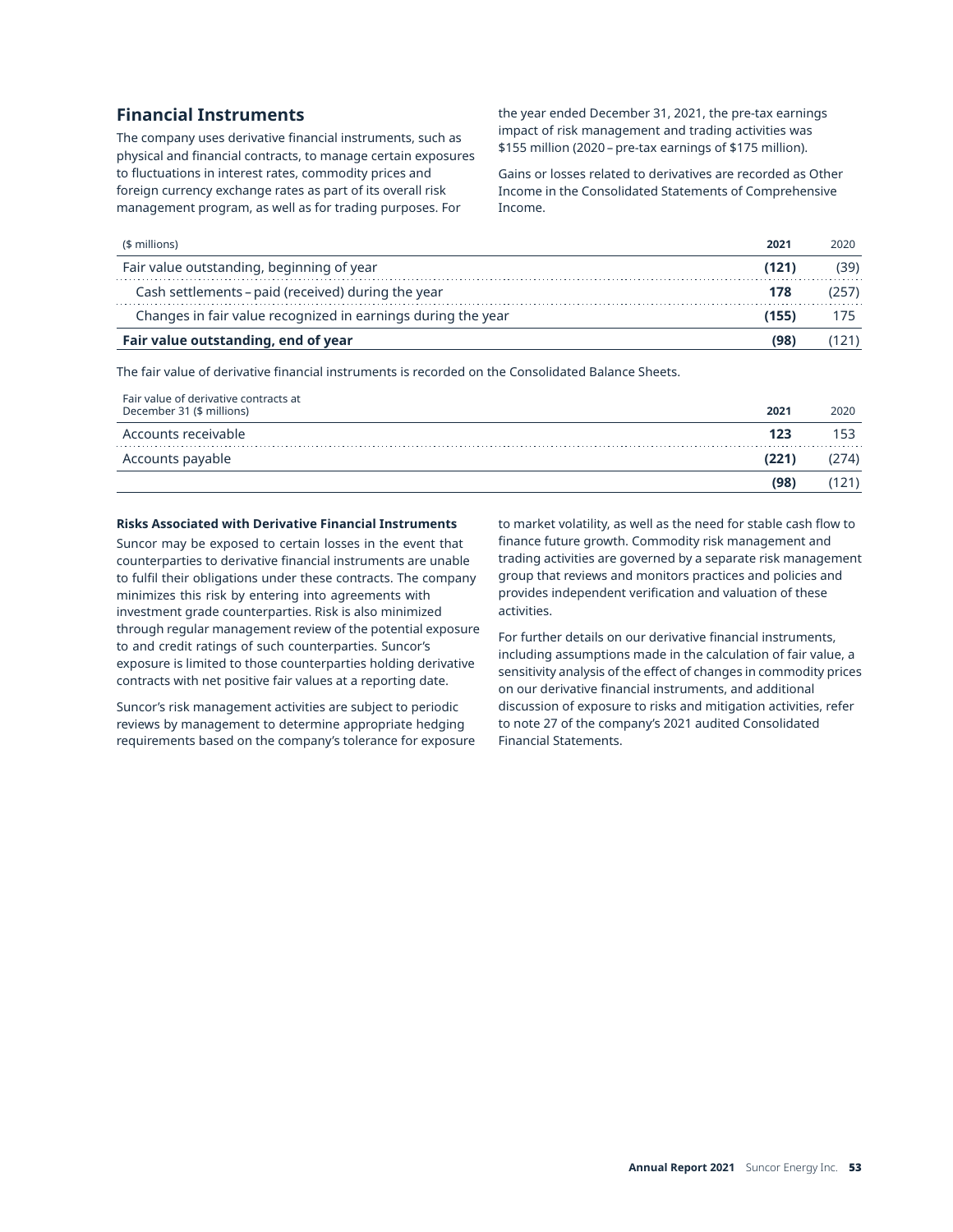## **Financial Instruments**

The company uses derivative financial instruments, such as physical and financial contracts, to manage certain exposures to fluctuations in interest rates, commodity prices and foreign currency exchange rates as part of its overall risk management program, as well as for trading purposes. For

the year ended December 31, 2021, the pre-tax earnings impact of risk management and trading activities was \$155 million (2020 – pre-tax earnings of \$175 million).

Gains or losses related to derivatives are recorded as Other Income in the Consolidated Statements of Comprehensive Income.

| $$$ millions)                                                | 2021  | 2020 |
|--------------------------------------------------------------|-------|------|
| Fair value outstanding, beginning of year                    | (121) |      |
| Cash settlements - paid (received) during the year           | 178   | 257  |
| Changes in fair value recognized in earnings during the year | 155)  |      |
| Fair value outstanding, end of year                          | (98   |      |

The fair value of derivative financial instruments is recorded on the Consolidated Balance Sheets.

| Fair value of derivative contracts at<br>December 31 (\$ millions) | 2021 | 2020  |
|--------------------------------------------------------------------|------|-------|
| Accounts receivable                                                | 123  |       |
| Accounts payable                                                   | (221 | ,274) |
|                                                                    | (98  | 14    |

## **Risks Associated with Derivative Financial Instruments**

Suncor may be exposed to certain losses in the event that counterparties to derivative financial instruments are unable to fulfil their obligations under these contracts. The company minimizes this risk by entering into agreements with investment grade counterparties. Risk is also minimized through regular management review of the potential exposure to and credit ratings of such counterparties. Suncor's exposure is limited to those counterparties holding derivative contracts with net positive fair values at a reporting date.

Suncor's risk management activities are subject to periodic reviews by management to determine appropriate hedging requirements based on the company's tolerance for exposure to market volatility, as well as the need for stable cash flow to finance future growth. Commodity risk management and trading activities are governed by a separate risk management group that reviews and monitors practices and policies and provides independent verification and valuation of these activities.

For further details on our derivative financial instruments, including assumptions made in the calculation of fair value, a sensitivity analysis of the effect of changes in commodity prices on our derivative financial instruments, and additional discussion of exposure to risks and mitigation activities, refer to note 27 of the company's 2021 audited Consolidated Financial Statements.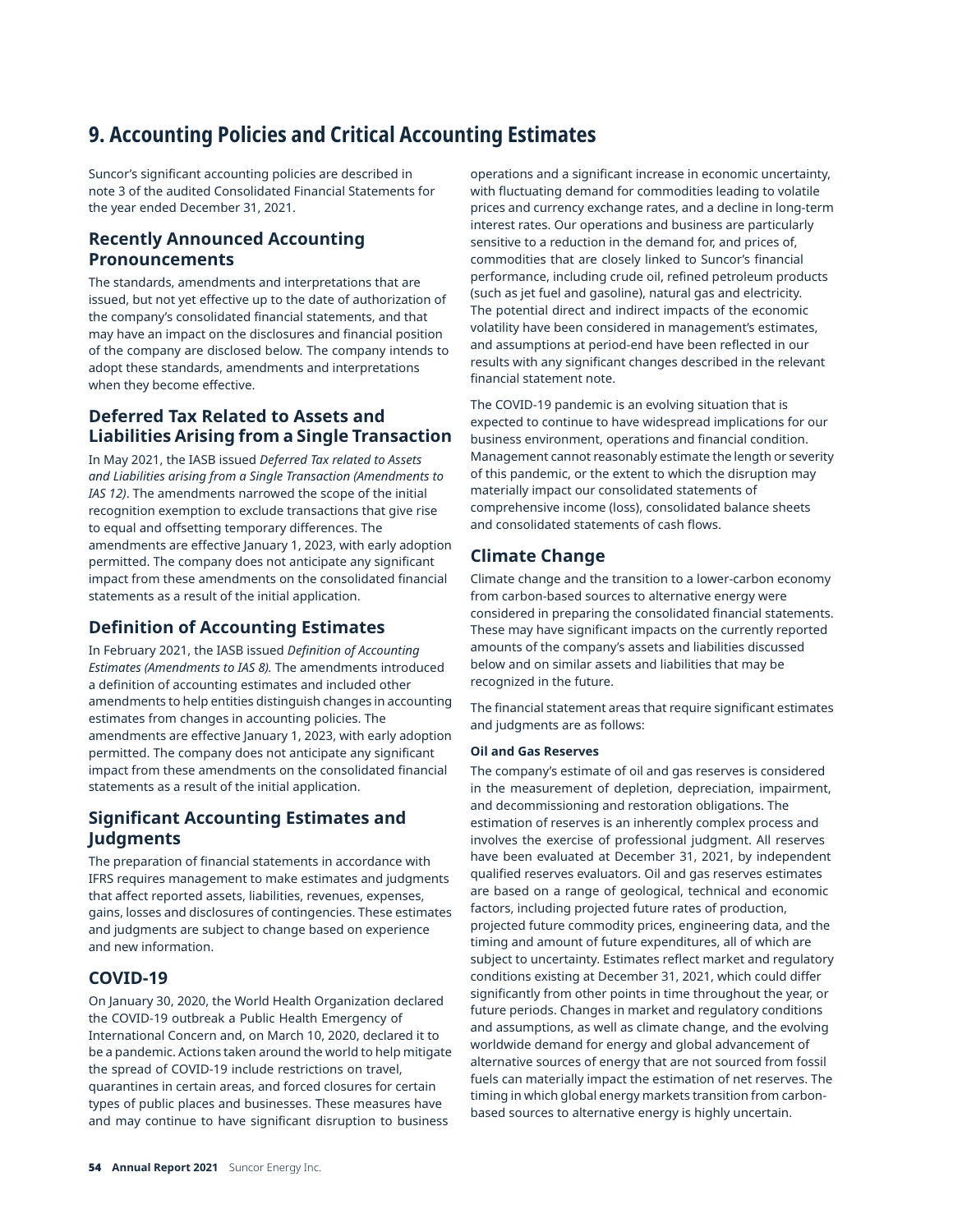# **9. Accounting Policies and Critical Accounting Estimates**

Suncor's significant accounting policies are described in note 3 of the audited Consolidated Financial Statements for the year ended December 31, 2021.

# **Recently Announced Accounting Pronouncements**

The standards, amendments and interpretations that are issued, but not yet effective up to the date of authorization of the company's consolidated financial statements, and that may have an impact on the disclosures and financial position of the company are disclosed below. The company intends to adopt these standards, amendments and interpretations when they become effective.

## **Deferred Tax Related to Assets and Liabilities Arising from a Single Transaction**

In May 2021, the IASB issued *Deferred Tax related to Assets and Liabilities arising from a Single Transaction (Amendments to IAS 12)*. The amendments narrowed the scope of the initial recognition exemption to exclude transactions that give rise to equal and offsetting temporary differences. The amendments are effective January 1, 2023, with early adoption permitted. The company does not anticipate any significant impact from these amendments on the consolidated financial statements as a result of the initial application.

# **Definition of Accounting Estimates**

In February 2021, the IASB issued *Definition of Accounting Estimates (Amendments to IAS 8).* The amendments introduced a definition of accounting estimates and included other amendments to help entities distinguish changes in accounting estimates from changes in accounting policies. The amendments are effective January 1, 2023, with early adoption permitted. The company does not anticipate any significant impact from these amendments on the consolidated financial statements as a result of the initial application.

# **Significant Accounting Estimates and Judgments**

The preparation of financial statements in accordance with IFRS requires management to make estimates and judgments that affect reported assets, liabilities, revenues, expenses, gains, losses and disclosures of contingencies. These estimates and judgments are subject to change based on experience and new information.

# **COVID-19**

On January 30, 2020, the World Health Organization declared the COVID-19 outbreak a Public Health Emergency of International Concern and, on March 10, 2020, declared it to be a pandemic. Actions taken around the world to help mitigate the spread of COVID-19 include restrictions on travel, quarantines in certain areas, and forced closures for certain types of public places and businesses. These measures have and may continue to have significant disruption to business

operations and a significant increase in economic uncertainty, with fluctuating demand for commodities leading to volatile prices and currency exchange rates, and a decline in long-term interest rates. Our operations and business are particularly sensitive to a reduction in the demand for, and prices of, commodities that are closely linked to Suncor's financial performance, including crude oil, refined petroleum products (such as jet fuel and gasoline), natural gas and electricity. The potential direct and indirect impacts of the economic volatility have been considered in management's estimates, and assumptions at period-end have been reflected in our results with any significant changes described in the relevant financial statement note.

The COVID-19 pandemic is an evolving situation that is expected to continue to have widespread implications for our business environment, operations and financial condition. Management cannot reasonably estimate the length or severity of this pandemic, or the extent to which the disruption may materially impact our consolidated statements of comprehensive income (loss), consolidated balance sheets and consolidated statements of cash flows.

# **Climate Change**

Climate change and the transition to a lower-carbon economy from carbon-based sources to alternative energy were considered in preparing the consolidated financial statements. These may have significant impacts on the currently reported amounts of the company's assets and liabilities discussed below and on similar assets and liabilities that may be recognized in the future.

The financial statement areas that require significant estimates and judgments are as follows:

## **Oil and Gas Reserves**

The company's estimate of oil and gas reserves is considered in the measurement of depletion, depreciation, impairment, and decommissioning and restoration obligations. The estimation of reserves is an inherently complex process and involves the exercise of professional judgment. All reserves have been evaluated at December 31, 2021, by independent qualified reserves evaluators. Oil and gas reserves estimates are based on a range of geological, technical and economic factors, including projected future rates of production, projected future commodity prices, engineering data, and the timing and amount of future expenditures, all of which are subject to uncertainty. Estimates reflect market and regulatory conditions existing at December 31, 2021, which could differ significantly from other points in time throughout the year, or future periods. Changes in market and regulatory conditions and assumptions, as well as climate change, and the evolving worldwide demand for energy and global advancement of alternative sources of energy that are not sourced from fossil fuels can materially impact the estimation of net reserves. The timing in which global energy markets transition from carbonbased sources to alternative energy is highly uncertain.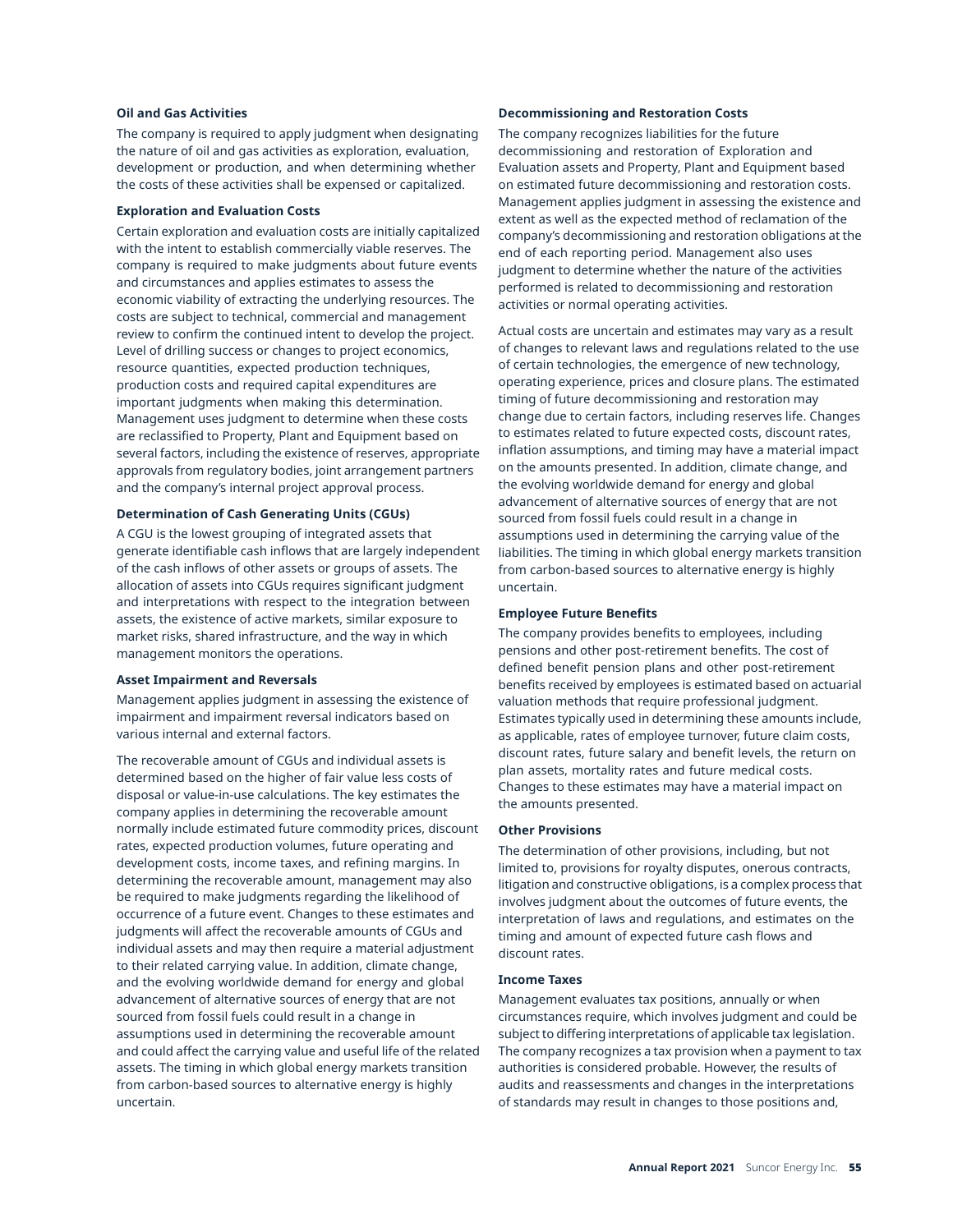### **Oil and Gas Activities**

The company is required to apply judgment when designating the nature of oil and gas activities as exploration, evaluation, development or production, and when determining whether the costs of these activities shall be expensed or capitalized.

#### **Exploration and Evaluation Costs**

Certain exploration and evaluation costs are initially capitalized with the intent to establish commercially viable reserves. The company is required to make judgments about future events and circumstances and applies estimates to assess the economic viability of extracting the underlying resources. The costs are subject to technical, commercial and management review to confirm the continued intent to develop the project. Level of drilling success or changes to project economics, resource quantities, expected production techniques, production costs and required capital expenditures are important judgments when making this determination. Management uses judgment to determine when these costs are reclassified to Property, Plant and Equipment based on several factors, including the existence of reserves, appropriate approvals from regulatory bodies, joint arrangement partners and the company's internal project approval process.

## **Determination of Cash Generating Units (CGUs)**

A CGU is the lowest grouping of integrated assets that generate identifiable cash inflows that are largely independent of the cash inflows of other assets or groups of assets. The allocation of assets into CGUs requires significant judgment and interpretations with respect to the integration between assets, the existence of active markets, similar exposure to market risks, shared infrastructure, and the way in which management monitors the operations.

## **Asset Impairment and Reversals**

Management applies judgment in assessing the existence of impairment and impairment reversal indicators based on various internal and external factors.

The recoverable amount of CGUs and individual assets is determined based on the higher of fair value less costs of disposal or value-in-use calculations. The key estimates the company applies in determining the recoverable amount normally include estimated future commodity prices, discount rates, expected production volumes, future operating and development costs, income taxes, and refining margins. In determining the recoverable amount, management may also be required to make judgments regarding the likelihood of occurrence of a future event. Changes to these estimates and judgments will affect the recoverable amounts of CGUs and individual assets and may then require a material adjustment to their related carrying value. In addition, climate change, and the evolving worldwide demand for energy and global advancement of alternative sources of energy that are not sourced from fossil fuels could result in a change in assumptions used in determining the recoverable amount and could affect the carrying value and useful life of the related assets. The timing in which global energy markets transition from carbon-based sources to alternative energy is highly uncertain.

#### **Decommissioning and Restoration Costs**

The company recognizes liabilities for the future decommissioning and restoration of Exploration and Evaluation assets and Property, Plant and Equipment based on estimated future decommissioning and restoration costs. Management applies judgment in assessing the existence and extent as well as the expected method of reclamation of the company's decommissioning and restoration obligations at the end of each reporting period. Management also uses judgment to determine whether the nature of the activities performed is related to decommissioning and restoration activities or normal operating activities.

Actual costs are uncertain and estimates may vary as a result of changes to relevant laws and regulations related to the use of certain technologies, the emergence of new technology, operating experience, prices and closure plans. The estimated timing of future decommissioning and restoration may change due to certain factors, including reserves life. Changes to estimates related to future expected costs, discount rates, inflation assumptions, and timing may have a material impact on the amounts presented. In addition, climate change, and the evolving worldwide demand for energy and global advancement of alternative sources of energy that are not sourced from fossil fuels could result in a change in assumptions used in determining the carrying value of the liabilities. The timing in which global energy markets transition from carbon-based sources to alternative energy is highly uncertain.

### **Employee Future Benefits**

The company provides benefits to employees, including pensions and other post-retirement benefits. The cost of defined benefit pension plans and other post-retirement benefits received by employees is estimated based on actuarial valuation methods that require professional judgment. Estimates typically used in determining these amounts include, as applicable, rates of employee turnover, future claim costs, discount rates, future salary and benefit levels, the return on plan assets, mortality rates and future medical costs. Changes to these estimates may have a material impact on the amounts presented.

### **Other Provisions**

The determination of other provisions, including, but not limited to, provisions for royalty disputes, onerous contracts, litigation and constructive obligations, is a complex process that involves judgment about the outcomes of future events, the interpretation of laws and regulations, and estimates on the timing and amount of expected future cash flows and discount rates.

#### **Income Taxes**

Management evaluates tax positions, annually or when circumstances require, which involves judgment and could be subject to differing interpretations of applicable tax legislation. The company recognizes a tax provision when a payment to tax authorities is considered probable. However, the results of audits and reassessments and changes in the interpretations of standards may result in changes to those positions and,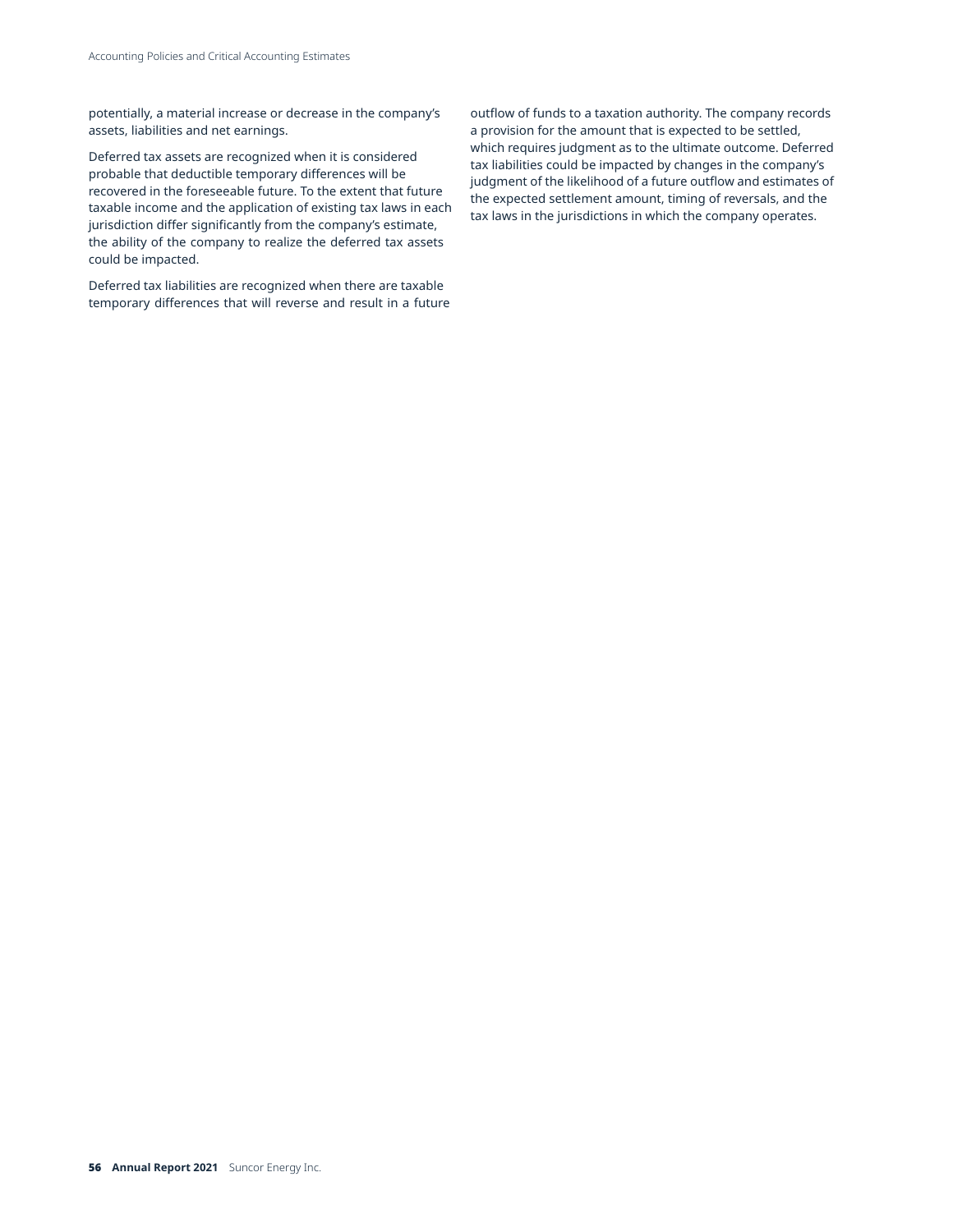potentially, a material increase or decrease in the company's assets, liabilities and net earnings.

Deferred tax assets are recognized when it is considered probable that deductible temporary differences will be recovered in the foreseeable future. To the extent that future taxable income and the application of existing tax laws in each jurisdiction differ significantly from the company's estimate, the ability of the company to realize the deferred tax assets could be impacted.

Deferred tax liabilities are recognized when there are taxable temporary differences that will reverse and result in a future

outflow of funds to a taxation authority. The company records a provision for the amount that is expected to be settled, which requires judgment as to the ultimate outcome. Deferred tax liabilities could be impacted by changes in the company's judgment of the likelihood of a future outflow and estimates of the expected settlement amount, timing of reversals, and the tax laws in the jurisdictions in which the company operates.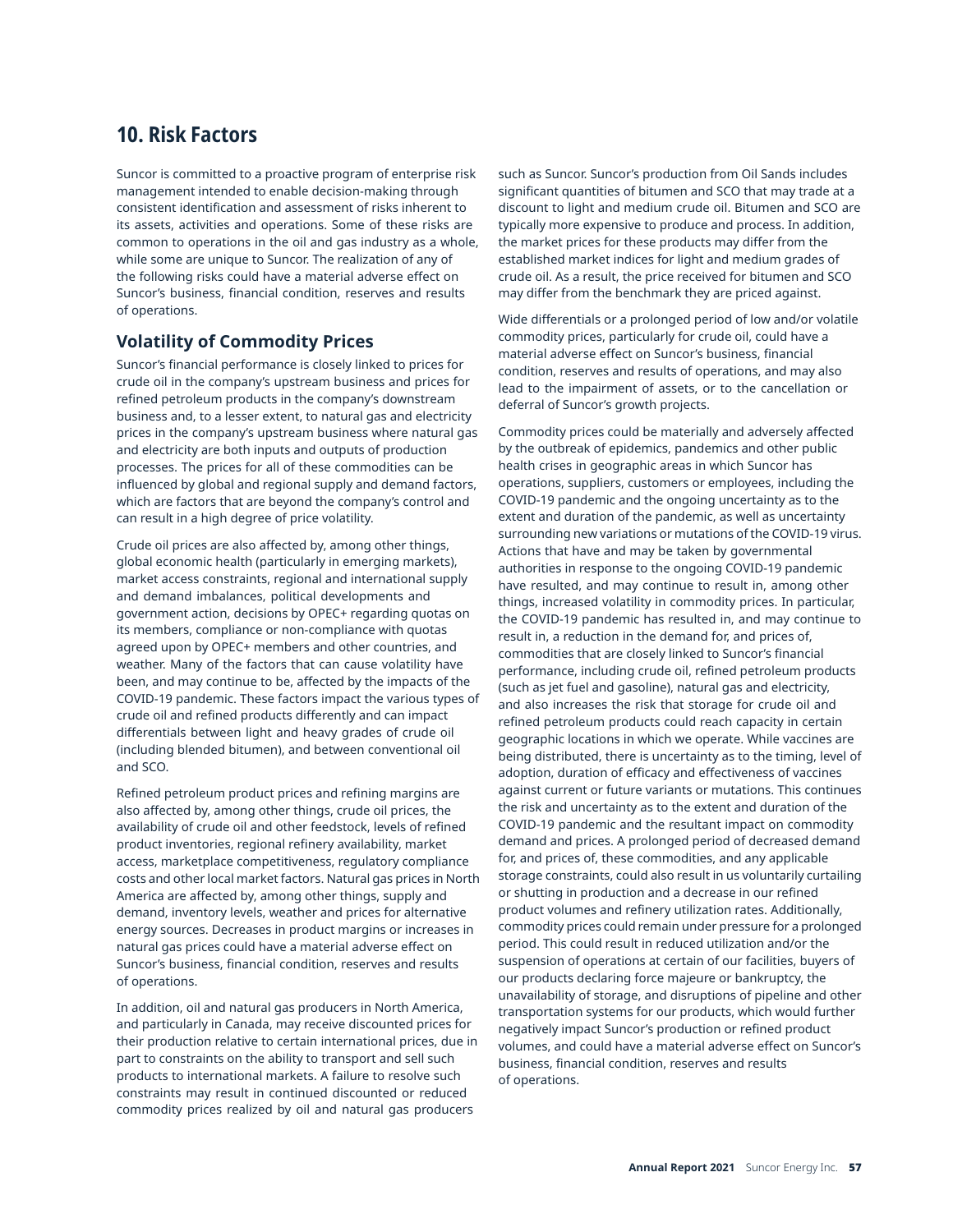# **10. Risk Factors**

Suncor is committed to a proactive program of enterprise risk management intended to enable decision-making through consistent identification and assessment of risks inherent to its assets, activities and operations. Some of these risks are common to operations in the oil and gas industry as a whole, while some are unique to Suncor. The realization of any of the following risks could have a material adverse effect on Suncor's business, financial condition, reserves and results of operations.

## **Volatility of Commodity Prices**

Suncor's financial performance is closely linked to prices for crude oil in the company's upstream business and prices for refined petroleum products in the company's downstream business and, to a lesser extent, to natural gas and electricity prices in the company's upstream business where natural gas and electricity are both inputs and outputs of production processes. The prices for all of these commodities can be influenced by global and regional supply and demand factors, which are factors that are beyond the company's control and can result in a high degree of price volatility.

Crude oil prices are also affected by, among other things, global economic health (particularly in emerging markets), market access constraints, regional and international supply and demand imbalances, political developments and government action, decisions by OPEC+ regarding quotas on its members, compliance or non-compliance with quotas agreed upon by OPEC+ members and other countries, and weather. Many of the factors that can cause volatility have been, and may continue to be, affected by the impacts of the COVID-19 pandemic. These factors impact the various types of crude oil and refined products differently and can impact differentials between light and heavy grades of crude oil (including blended bitumen), and between conventional oil and SCO.

Refined petroleum product prices and refining margins are also affected by, among other things, crude oil prices, the availability of crude oil and other feedstock, levels of refined product inventories, regional refinery availability, market access, marketplace competitiveness, regulatory compliance costs and other local market factors. Natural gas prices in North America are affected by, among other things, supply and demand, inventory levels, weather and prices for alternative energy sources. Decreases in product margins or increases in natural gas prices could have a material adverse effect on Suncor's business, financial condition, reserves and results of operations.

In addition, oil and natural gas producers in North America, and particularly in Canada, may receive discounted prices for their production relative to certain international prices, due in part to constraints on the ability to transport and sell such products to international markets. A failure to resolve such constraints may result in continued discounted or reduced commodity prices realized by oil and natural gas producers

such as Suncor. Suncor's production from Oil Sands includes significant quantities of bitumen and SCO that may trade at a discount to light and medium crude oil. Bitumen and SCO are typically more expensive to produce and process. In addition, the market prices for these products may differ from the established market indices for light and medium grades of crude oil. As a result, the price received for bitumen and SCO may differ from the benchmark they are priced against.

Wide differentials or a prolonged period of low and/or volatile commodity prices, particularly for crude oil, could have a material adverse effect on Suncor's business, financial condition, reserves and results of operations, and may also lead to the impairment of assets, or to the cancellation or deferral of Suncor's growth projects.

Commodity prices could be materially and adversely affected by the outbreak of epidemics, pandemics and other public health crises in geographic areas in which Suncor has operations, suppliers, customers or employees, including the COVID-19 pandemic and the ongoing uncertainty as to the extent and duration of the pandemic, as well as uncertainty surrounding new variations or mutations of the COVID-19 virus. Actions that have and may be taken by governmental authorities in response to the ongoing COVID-19 pandemic have resulted, and may continue to result in, among other things, increased volatility in commodity prices. In particular, the COVID-19 pandemic has resulted in, and may continue to result in, a reduction in the demand for, and prices of, commodities that are closely linked to Suncor's financial performance, including crude oil, refined petroleum products (such as jet fuel and gasoline), natural gas and electricity, and also increases the risk that storage for crude oil and refined petroleum products could reach capacity in certain geographic locations in which we operate. While vaccines are being distributed, there is uncertainty as to the timing, level of adoption, duration of efficacy and effectiveness of vaccines against current or future variants or mutations. This continues the risk and uncertainty as to the extent and duration of the COVID-19 pandemic and the resultant impact on commodity demand and prices. A prolonged period of decreased demand for, and prices of, these commodities, and any applicable storage constraints, could also result in us voluntarily curtailing or shutting in production and a decrease in our refined product volumes and refinery utilization rates. Additionally, commodity prices could remain under pressure for a prolonged period. This could result in reduced utilization and/or the suspension of operations at certain of our facilities, buyers of our products declaring force majeure or bankruptcy, the unavailability of storage, and disruptions of pipeline and other transportation systems for our products, which would further negatively impact Suncor's production or refined product volumes, and could have a material adverse effect on Suncor's business, financial condition, reserves and results of operations.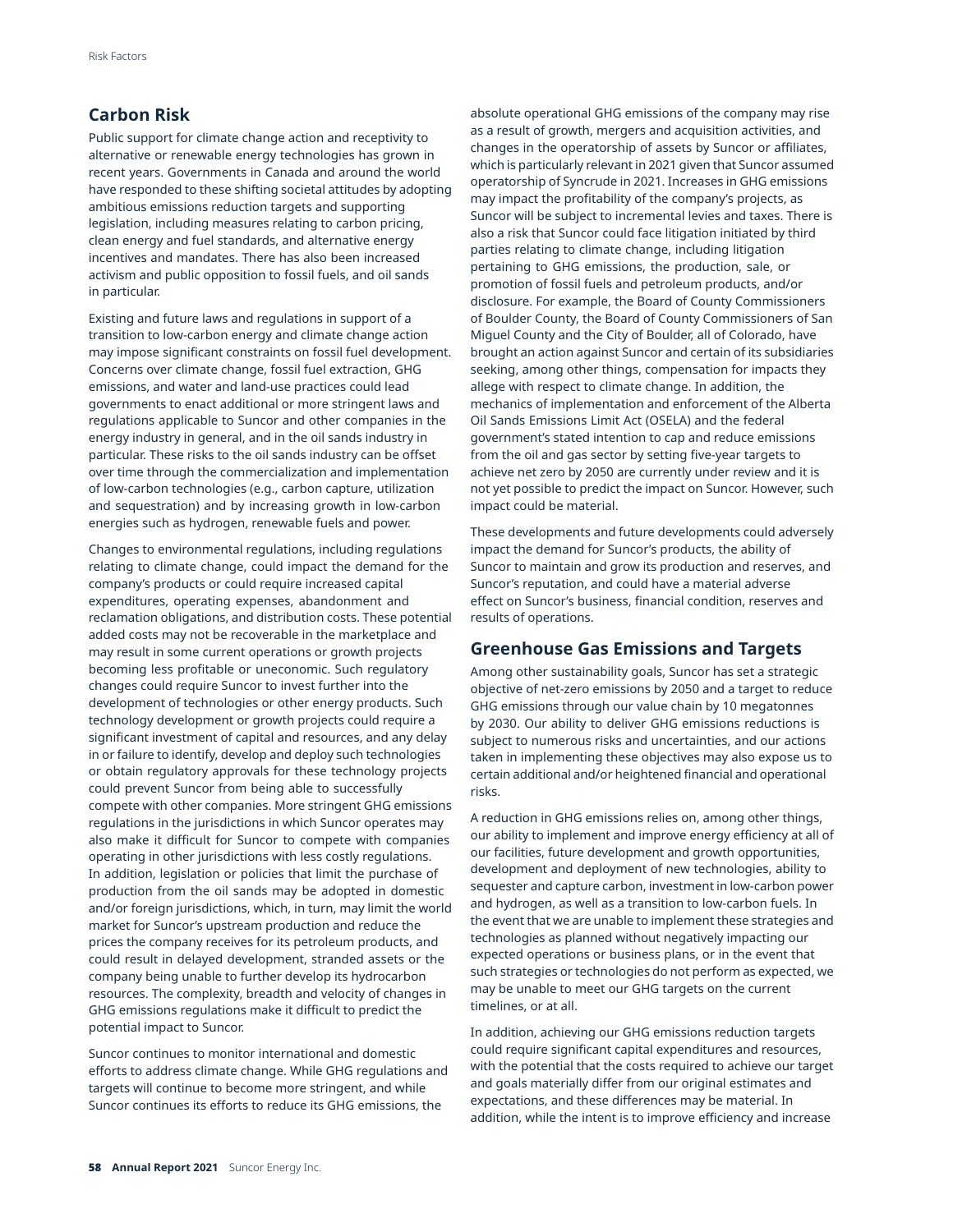## **Carbon Risk**

Public support for climate change action and receptivity to alternative or renewable energy technologies has grown in recent years. Governments in Canada and around the world have responded to these shifting societal attitudes by adopting ambitious emissions reduction targets and supporting legislation, including measures relating to carbon pricing, clean energy and fuel standards, and alternative energy incentives and mandates. There has also been increased activism and public opposition to fossil fuels, and oil sands in particular.

Existing and future laws and regulations in support of a transition to low-carbon energy and climate change action may impose significant constraints on fossil fuel development. Concerns over climate change, fossil fuel extraction, GHG emissions, and water and land-use practices could lead governments to enact additional or more stringent laws and regulations applicable to Suncor and other companies in the energy industry in general, and in the oil sands industry in particular. These risks to the oil sands industry can be offset over time through the commercialization and implementation of low-carbon technologies (e.g., carbon capture, utilization and sequestration) and by increasing growth in low-carbon energies such as hydrogen, renewable fuels and power.

Changes to environmental regulations, including regulations relating to climate change, could impact the demand for the company's products or could require increased capital expenditures, operating expenses, abandonment and reclamation obligations, and distribution costs. These potential added costs may not be recoverable in the marketplace and may result in some current operations or growth projects becoming less profitable or uneconomic. Such regulatory changes could require Suncor to invest further into the development of technologies or other energy products. Such technology development or growth projects could require a significant investment of capital and resources, and any delay in or failure to identify, develop and deploy such technologies or obtain regulatory approvals for these technology projects could prevent Suncor from being able to successfully compete with other companies. More stringent GHG emissions regulations in the jurisdictions in which Suncor operates may also make it difficult for Suncor to compete with companies operating in other jurisdictions with less costly regulations. In addition, legislation or policies that limit the purchase of production from the oil sands may be adopted in domestic and/or foreign jurisdictions, which, in turn, may limit the world market for Suncor's upstream production and reduce the prices the company receives for its petroleum products, and could result in delayed development, stranded assets or the company being unable to further develop its hydrocarbon resources. The complexity, breadth and velocity of changes in GHG emissions regulations make it difficult to predict the potential impact to Suncor.

Suncor continues to monitor international and domestic efforts to address climate change. While GHG regulations and targets will continue to become more stringent, and while Suncor continues its efforts to reduce its GHG emissions, the

absolute operational GHG emissions of the company may rise as a result of growth, mergers and acquisition activities, and changes in the operatorship of assets by Suncor or affiliates, which is particularly relevant in 2021 given that Suncor assumed operatorship of Syncrude in 2021. Increases in GHG emissions may impact the profitability of the company's projects, as Suncor will be subject to incremental levies and taxes. There is also a risk that Suncor could face litigation initiated by third parties relating to climate change, including litigation pertaining to GHG emissions, the production, sale, or promotion of fossil fuels and petroleum products, and/or disclosure. For example, the Board of County Commissioners of Boulder County, the Board of County Commissioners of San Miguel County and the City of Boulder, all of Colorado, have brought an action against Suncor and certain of its subsidiaries seeking, among other things, compensation for impacts they allege with respect to climate change. In addition, the mechanics of implementation and enforcement of the Alberta Oil Sands Emissions Limit Act (OSELA) and the federal government's stated intention to cap and reduce emissions from the oil and gas sector by setting five-year targets to achieve net zero by 2050 are currently under review and it is not yet possible to predict the impact on Suncor. However, such impact could be material.

These developments and future developments could adversely impact the demand for Suncor's products, the ability of Suncor to maintain and grow its production and reserves, and Suncor's reputation, and could have a material adverse effect on Suncor's business, financial condition, reserves and results of operations.

## **Greenhouse Gas Emissions and Targets**

Among other sustainability goals, Suncor has set a strategic objective of net-zero emissions by 2050 and a target to reduce GHG emissions through our value chain by 10 megatonnes by 2030. Our ability to deliver GHG emissions reductions is subject to numerous risks and uncertainties, and our actions taken in implementing these objectives may also expose us to certain additional and/or heightened financial and operational risks.

A reduction in GHG emissions relies on, among other things, our ability to implement and improve energy efficiency at all of our facilities, future development and growth opportunities, development and deployment of new technologies, ability to sequester and capture carbon, investment in low-carbon power and hydrogen, as well as a transition to low-carbon fuels. In the event that we are unable to implement these strategies and technologies as planned without negatively impacting our expected operations or business plans, or in the event that such strategies or technologies do not perform as expected, we may be unable to meet our GHG targets on the current timelines, or at all.

In addition, achieving our GHG emissions reduction targets could require significant capital expenditures and resources, with the potential that the costs required to achieve our target and goals materially differ from our original estimates and expectations, and these differences may be material. In addition, while the intent is to improve efficiency and increase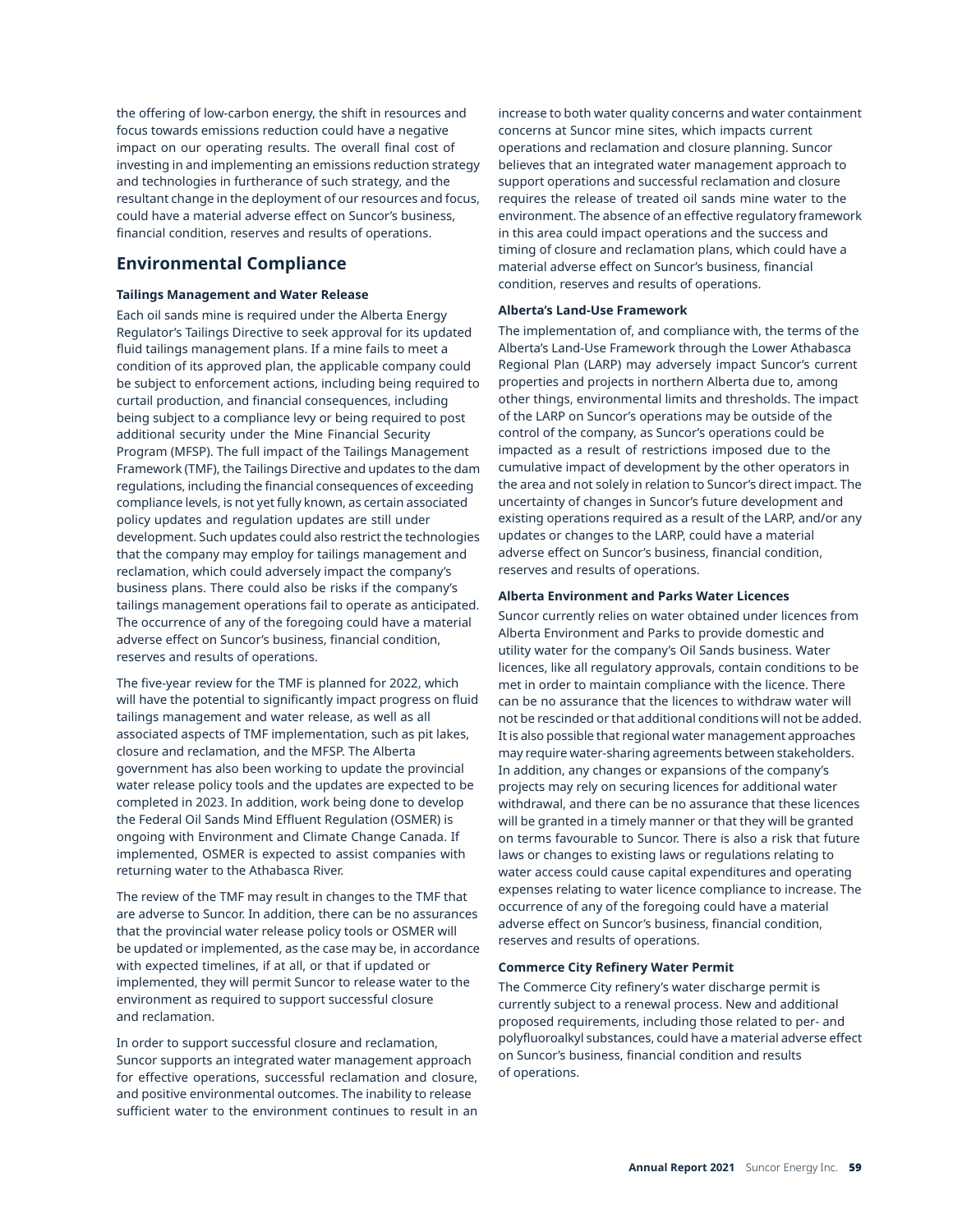the offering of low-carbon energy, the shift in resources and focus towards emissions reduction could have a negative impact on our operating results. The overall final cost of investing in and implementing an emissions reduction strategy and technologies in furtherance of such strategy, and the resultant change in the deployment of our resources and focus, could have a material adverse effect on Suncor's business, financial condition, reserves and results of operations.

## **Environmental Compliance**

### **Tailings Management and Water Release**

Each oil sands mine is required under the Alberta Energy Regulator's Tailings Directive to seek approval for its updated fluid tailings management plans. If a mine fails to meet a condition of its approved plan, the applicable company could be subject to enforcement actions, including being required to curtail production, and financial consequences, including being subject to a compliance levy or being required to post additional security under the Mine Financial Security Program (MFSP). The full impact of the Tailings Management Framework (TMF), the Tailings Directive and updates to the dam regulations, including the financial consequences of exceeding compliance levels, is not yet fully known, as certain associated policy updates and regulation updates are still under development. Such updates could also restrict the technologies that the company may employ for tailings management and reclamation, which could adversely impact the company's business plans. There could also be risks if the company's tailings management operations fail to operate as anticipated. The occurrence of any of the foregoing could have a material adverse effect on Suncor's business, financial condition, reserves and results of operations.

The five-year review for the TMF is planned for 2022, which will have the potential to significantly impact progress on fluid tailings management and water release, as well as all associated aspects of TMF implementation, such as pit lakes, closure and reclamation, and the MFSP. The Alberta government has also been working to update the provincial water release policy tools and the updates are expected to be completed in 2023. In addition, work being done to develop the Federal Oil Sands Mind Effluent Regulation (OSMER) is ongoing with Environment and Climate Change Canada. If implemented, OSMER is expected to assist companies with returning water to the Athabasca River.

The review of the TMF may result in changes to the TMF that are adverse to Suncor. In addition, there can be no assurances that the provincial water release policy tools or OSMER will be updated or implemented, as the case may be, in accordance with expected timelines, if at all, or that if updated or implemented, they will permit Suncor to release water to the environment as required to support successful closure and reclamation.

In order to support successful closure and reclamation, Suncor supports an integrated water management approach for effective operations, successful reclamation and closure, and positive environmental outcomes. The inability to release sufficient water to the environment continues to result in an increase to both water quality concerns and water containment concerns at Suncor mine sites, which impacts current operations and reclamation and closure planning. Suncor believes that an integrated water management approach to support operations and successful reclamation and closure requires the release of treated oil sands mine water to the environment. The absence of an effective regulatory framework in this area could impact operations and the success and timing of closure and reclamation plans, which could have a material adverse effect on Suncor's business, financial condition, reserves and results of operations.

### **Alberta's Land-Use Framework**

The implementation of, and compliance with, the terms of the Alberta's Land-Use Framework through the Lower Athabasca Regional Plan (LARP) may adversely impact Suncor's current properties and projects in northern Alberta due to, among other things, environmental limits and thresholds. The impact of the LARP on Suncor's operations may be outside of the control of the company, as Suncor's operations could be impacted as a result of restrictions imposed due to the cumulative impact of development by the other operators in the area and not solely in relation to Suncor's direct impact. The uncertainty of changes in Suncor's future development and existing operations required as a result of the LARP, and/or any updates or changes to the LARP, could have a material adverse effect on Suncor's business, financial condition, reserves and results of operations.

### **Alberta Environment and Parks Water Licences**

Suncor currently relies on water obtained under licences from Alberta Environment and Parks to provide domestic and utility water for the company's Oil Sands business. Water licences, like all regulatory approvals, contain conditions to be met in order to maintain compliance with the licence. There can be no assurance that the licences to withdraw water will not be rescinded or that additional conditions will not be added. It is also possible that regional water management approaches may require water-sharing agreements between stakeholders. In addition, any changes or expansions of the company's projects may rely on securing licences for additional water withdrawal, and there can be no assurance that these licences will be granted in a timely manner or that they will be granted on terms favourable to Suncor. There is also a risk that future laws or changes to existing laws or regulations relating to water access could cause capital expenditures and operating expenses relating to water licence compliance to increase. The occurrence of any of the foregoing could have a material adverse effect on Suncor's business, financial condition, reserves and results of operations.

### **Commerce City Refinery Water Permit**

The Commerce City refinery's water discharge permit is currently subject to a renewal process. New and additional proposed requirements, including those related to per- and polyfluoroalkyl substances, could have a material adverse effect on Suncor's business, financial condition and results of operations.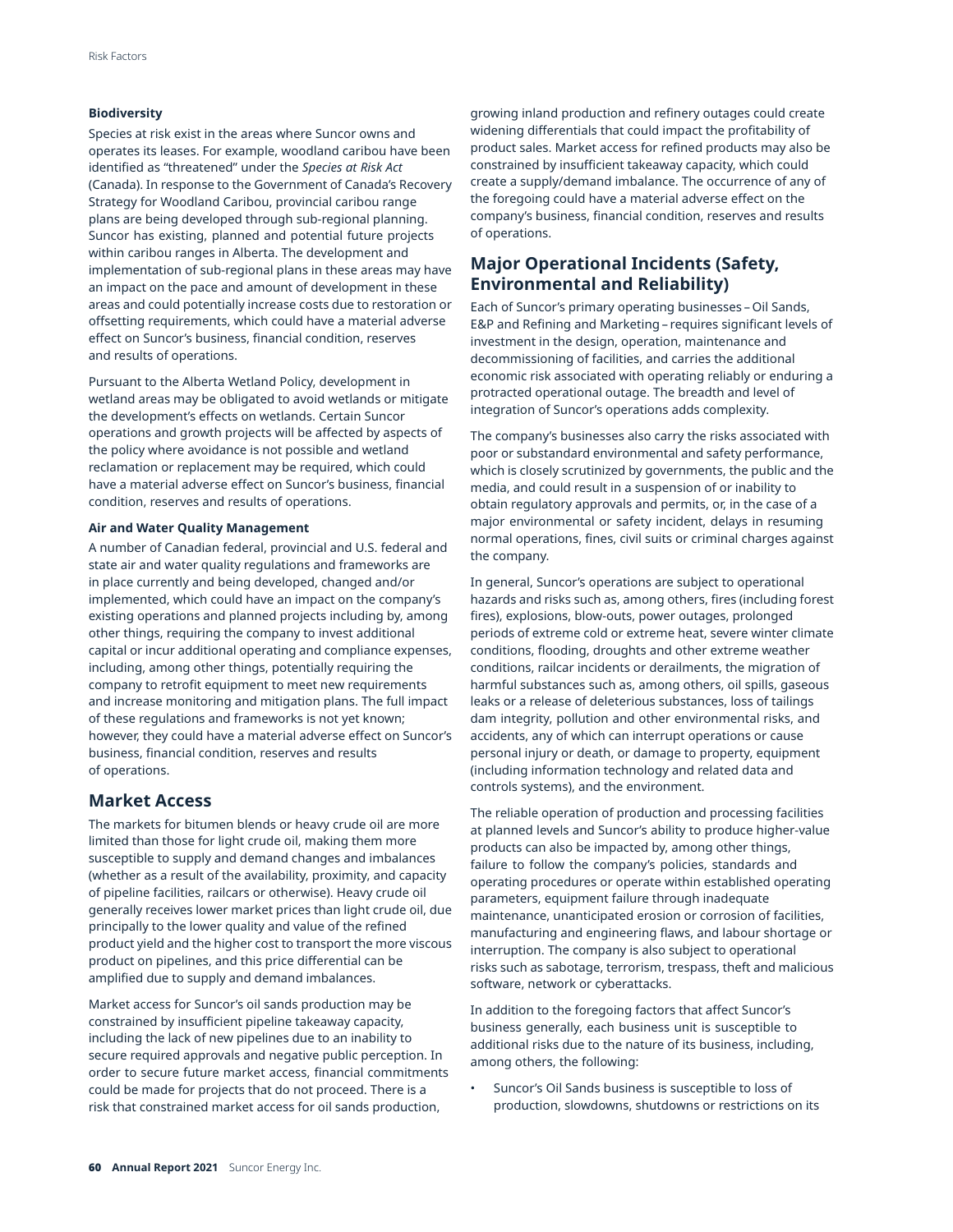### **Biodiversity**

Species at risk exist in the areas where Suncor owns and operates its leases. For example, woodland caribou have been identified as "threatened" under the *Species at Risk Act*  (Canada). In response to the Government of Canada's Recovery Strategy for Woodland Caribou, provincial caribou range plans are being developed through sub-regional planning. Suncor has existing, planned and potential future projects within caribou ranges in Alberta. The development and implementation of sub-regional plans in these areas may have an impact on the pace and amount of development in these areas and could potentially increase costs due to restoration or offsetting requirements, which could have a material adverse effect on Suncor's business, financial condition, reserves and results of operations.

Pursuant to the Alberta Wetland Policy, development in wetland areas may be obligated to avoid wetlands or mitigate the development's effects on wetlands. Certain Suncor operations and growth projects will be affected by aspects of the policy where avoidance is not possible and wetland reclamation or replacement may be required, which could have a material adverse effect on Suncor's business, financial condition, reserves and results of operations.

### **Air and Water Quality Management**

A number of Canadian federal, provincial and U.S. federal and state air and water quality regulations and frameworks are in place currently and being developed, changed and/or implemented, which could have an impact on the company's existing operations and planned projects including by, among other things, requiring the company to invest additional capital or incur additional operating and compliance expenses, including, among other things, potentially requiring the company to retrofit equipment to meet new requirements and increase monitoring and mitigation plans. The full impact of these regulations and frameworks is not yet known; however, they could have a material adverse effect on Suncor's business, financial condition, reserves and results of operations.

## **Market Access**

The markets for bitumen blends or heavy crude oil are more limited than those for light crude oil, making them more susceptible to supply and demand changes and imbalances (whether as a result of the availability, proximity, and capacity of pipeline facilities, railcars or otherwise). Heavy crude oil generally receives lower market prices than light crude oil, due principally to the lower quality and value of the refined product yield and the higher cost to transport the more viscous product on pipelines, and this price differential can be amplified due to supply and demand imbalances.

Market access for Suncor's oil sands production may be constrained by insufficient pipeline takeaway capacity, including the lack of new pipelines due to an inability to secure required approvals and negative public perception. In order to secure future market access, financial commitments could be made for projects that do not proceed. There is a risk that constrained market access for oil sands production,

growing inland production and refinery outages could create widening differentials that could impact the profitability of product sales. Market access for refined products may also be constrained by insufficient takeaway capacity, which could create a supply/demand imbalance. The occurrence of any of the foregoing could have a material adverse effect on the company's business, financial condition, reserves and results of operations.

# **Major Operational Incidents (Safety, Environmental and Reliability)**

Each of Suncor's primary operating businesses – Oil Sands, E&P and Refining and Marketing – requires significant levels of investment in the design, operation, maintenance and decommissioning of facilities, and carries the additional economic risk associated with operating reliably or enduring a protracted operational outage. The breadth and level of integration of Suncor's operations adds complexity.

The company's businesses also carry the risks associated with poor or substandard environmental and safety performance, which is closely scrutinized by governments, the public and the media, and could result in a suspension of or inability to obtain regulatory approvals and permits, or, in the case of a major environmental or safety incident, delays in resuming normal operations, fines, civil suits or criminal charges against the company.

In general, Suncor's operations are subject to operational hazards and risks such as, among others, fires (including forest fires), explosions, blow-outs, power outages, prolonged periods of extreme cold or extreme heat, severe winter climate conditions, flooding, droughts and other extreme weather conditions, railcar incidents or derailments, the migration of harmful substances such as, among others, oil spills, gaseous leaks or a release of deleterious substances, loss of tailings dam integrity, pollution and other environmental risks, and accidents, any of which can interrupt operations or cause personal injury or death, or damage to property, equipment (including information technology and related data and controls systems), and the environment.

The reliable operation of production and processing facilities at planned levels and Suncor's ability to produce higher-value products can also be impacted by, among other things, failure to follow the company's policies, standards and operating procedures or operate within established operating parameters, equipment failure through inadequate maintenance, unanticipated erosion or corrosion of facilities, manufacturing and engineering flaws, and labour shortage or interruption. The company is also subject to operational risks such as sabotage, terrorism, trespass, theft and malicious software, network or cyberattacks.

In addition to the foregoing factors that affect Suncor's business generally, each business unit is susceptible to additional risks due to the nature of its business, including, among others, the following:

Suncor's Oil Sands business is susceptible to loss of production, slowdowns, shutdowns or restrictions on its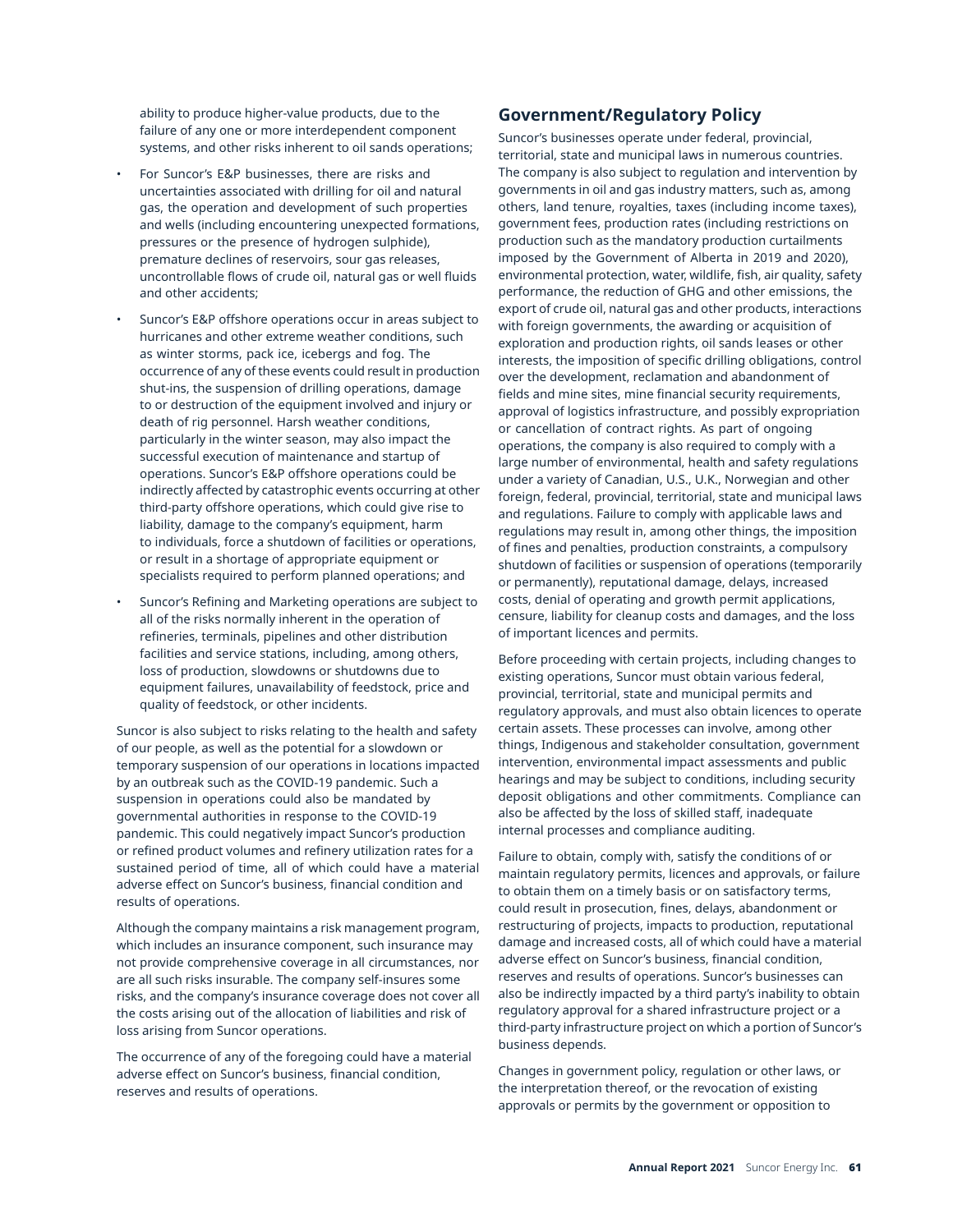ability to produce higher-value products, due to the failure of any one or more interdependent component systems, and other risks inherent to oil sands operations;

- For Suncor's E&P businesses, there are risks and uncertainties associated with drilling for oil and natural gas, the operation and development of such properties and wells (including encountering unexpected formations, pressures or the presence of hydrogen sulphide), premature declines of reservoirs, sour gas releases, uncontrollable flows of crude oil, natural gas or well fluids and other accidents;
- Suncor's E&P offshore operations occur in areas subject to hurricanes and other extreme weather conditions, such as winter storms, pack ice, icebergs and fog. The occurrence of any of these events could result in production shut-ins, the suspension of drilling operations, damage to or destruction of the equipment involved and injury or death of rig personnel. Harsh weather conditions, particularly in the winter season, may also impact the successful execution of maintenance and startup of operations. Suncor's E&P offshore operations could be indirectly affected by catastrophic events occurring at other third-party offshore operations, which could give rise to liability, damage to the company's equipment, harm to individuals, force a shutdown of facilities or operations, or result in a shortage of appropriate equipment or specialists required to perform planned operations; and
- Suncor's Refining and Marketing operations are subject to all of the risks normally inherent in the operation of refineries, terminals, pipelines and other distribution facilities and service stations, including, among others, loss of production, slowdowns or shutdowns due to equipment failures, unavailability of feedstock, price and quality of feedstock, or other incidents.

Suncor is also subject to risks relating to the health and safety of our people, as well as the potential for a slowdown or temporary suspension of our operations in locations impacted by an outbreak such as the COVID-19 pandemic. Such a suspension in operations could also be mandated by governmental authorities in response to the COVID-19 pandemic. This could negatively impact Suncor's production or refined product volumes and refinery utilization rates for a sustained period of time, all of which could have a material adverse effect on Suncor's business, financial condition and results of operations.

Although the company maintains a risk management program, which includes an insurance component, such insurance may not provide comprehensive coverage in all circumstances, nor are all such risks insurable. The company self-insures some risks, and the company's insurance coverage does not cover all the costs arising out of the allocation of liabilities and risk of loss arising from Suncor operations.

The occurrence of any of the foregoing could have a material adverse effect on Suncor's business, financial condition, reserves and results of operations.

# **Government/Regulatory Policy**

Suncor's businesses operate under federal, provincial, territorial, state and municipal laws in numerous countries. The company is also subject to regulation and intervention by governments in oil and gas industry matters, such as, among others, land tenure, royalties, taxes (including income taxes), government fees, production rates (including restrictions on production such as the mandatory production curtailments imposed by the Government of Alberta in 2019 and 2020), environmental protection, water, wildlife, fish, air quality, safety performance, the reduction of GHG and other emissions, the export of crude oil, natural gas and other products, interactions with foreign governments, the awarding or acquisition of exploration and production rights, oil sands leases or other interests, the imposition of specific drilling obligations, control over the development, reclamation and abandonment of fields and mine sites, mine financial security requirements, approval of logistics infrastructure, and possibly expropriation or cancellation of contract rights. As part of ongoing operations, the company is also required to comply with a large number of environmental, health and safety regulations under a variety of Canadian, U.S., U.K., Norwegian and other foreign, federal, provincial, territorial, state and municipal laws and regulations. Failure to comply with applicable laws and regulations may result in, among other things, the imposition of fines and penalties, production constraints, a compulsory shutdown of facilities or suspension of operations (temporarily or permanently), reputational damage, delays, increased costs, denial of operating and growth permit applications, censure, liability for cleanup costs and damages, and the loss of important licences and permits.

Before proceeding with certain projects, including changes to existing operations, Suncor must obtain various federal, provincial, territorial, state and municipal permits and regulatory approvals, and must also obtain licences to operate certain assets. These processes can involve, among other things, Indigenous and stakeholder consultation, government intervention, environmental impact assessments and public hearings and may be subject to conditions, including security deposit obligations and other commitments. Compliance can also be affected by the loss of skilled staff, inadequate internal processes and compliance auditing.

Failure to obtain, comply with, satisfy the conditions of or maintain regulatory permits, licences and approvals, or failure to obtain them on a timely basis or on satisfactory terms, could result in prosecution, fines, delays, abandonment or restructuring of projects, impacts to production, reputational damage and increased costs, all of which could have a material adverse effect on Suncor's business, financial condition, reserves and results of operations. Suncor's businesses can also be indirectly impacted by a third party's inability to obtain regulatory approval for a shared infrastructure project or a third-party infrastructure project on which a portion of Suncor's business depends.

Changes in government policy, regulation or other laws, or the interpretation thereof, or the revocation of existing approvals or permits by the government or opposition to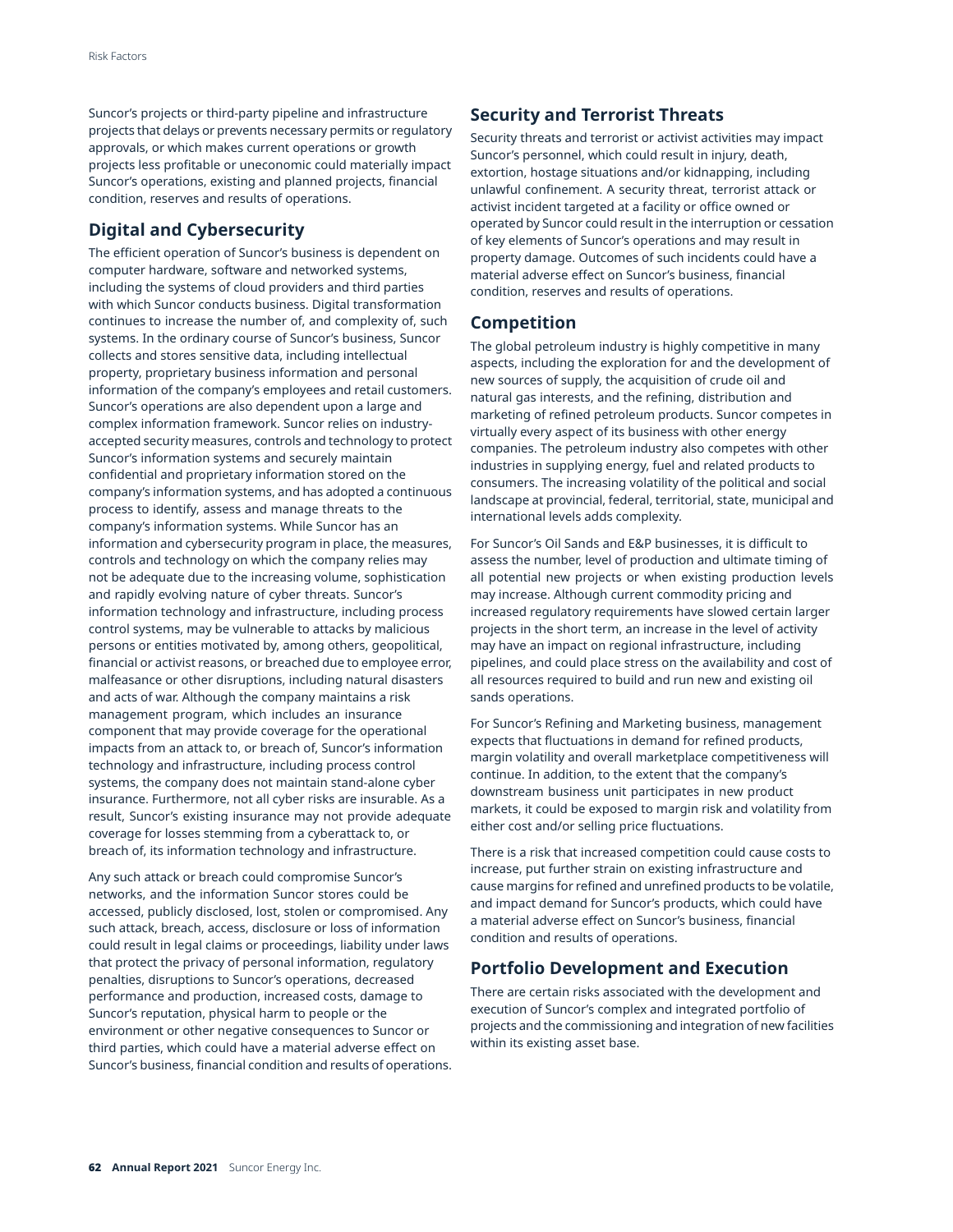Suncor's projects or third-party pipeline and infrastructure projects that delays or prevents necessary permits or regulatory approvals, or which makes current operations or growth projects less profitable or uneconomic could materially impact Suncor's operations, existing and planned projects, financial condition, reserves and results of operations.

# **Digital and Cybersecurity**

The efficient operation of Suncor's business is dependent on computer hardware, software and networked systems, including the systems of cloud providers and third parties with which Suncor conducts business. Digital transformation continues to increase the number of, and complexity of, such systems. In the ordinary course of Suncor's business, Suncor collects and stores sensitive data, including intellectual property, proprietary business information and personal information of the company's employees and retail customers. Suncor's operations are also dependent upon a large and complex information framework. Suncor relies on industryaccepted security measures, controls and technology to protect Suncor's information systems and securely maintain confidential and proprietary information stored on the company's information systems, and has adopted a continuous process to identify, assess and manage threats to the company's information systems. While Suncor has an information and cybersecurity program in place, the measures, controls and technology on which the company relies may not be adequate due to the increasing volume, sophistication and rapidly evolving nature of cyber threats. Suncor's information technology and infrastructure, including process control systems, may be vulnerable to attacks by malicious persons or entities motivated by, among others, geopolitical, financial or activist reasons, or breached due to employee error, malfeasance or other disruptions, including natural disasters and acts of war. Although the company maintains a risk management program, which includes an insurance component that may provide coverage for the operational impacts from an attack to, or breach of, Suncor's information technology and infrastructure, including process control systems, the company does not maintain stand-alone cyber insurance. Furthermore, not all cyber risks are insurable. As a result, Suncor's existing insurance may not provide adequate coverage for losses stemming from a cyberattack to, or breach of, its information technology and infrastructure.

Any such attack or breach could compromise Suncor's networks, and the information Suncor stores could be accessed, publicly disclosed, lost, stolen or compromised. Any such attack, breach, access, disclosure or loss of information could result in legal claims or proceedings, liability under laws that protect the privacy of personal information, regulatory penalties, disruptions to Suncor's operations, decreased performance and production, increased costs, damage to Suncor's reputation, physical harm to people or the environment or other negative consequences to Suncor or third parties, which could have a material adverse effect on Suncor's business, financial condition and results of operations.

## **Security and Terrorist Threats**

Security threats and terrorist or activist activities may impact Suncor's personnel, which could result in injury, death, extortion, hostage situations and/or kidnapping, including unlawful confinement. A security threat, terrorist attack or activist incident targeted at a facility or office owned or operated by Suncor could result in the interruption or cessation of key elements of Suncor's operations and may result in property damage. Outcomes of such incidents could have a material adverse effect on Suncor's business, financial condition, reserves and results of operations.

## **Competition**

The global petroleum industry is highly competitive in many aspects, including the exploration for and the development of new sources of supply, the acquisition of crude oil and natural gas interests, and the refining, distribution and marketing of refined petroleum products. Suncor competes in virtually every aspect of its business with other energy companies. The petroleum industry also competes with other industries in supplying energy, fuel and related products to consumers. The increasing volatility of the political and social landscape at provincial, federal, territorial, state, municipal and international levels adds complexity.

For Suncor's Oil Sands and E&P businesses, it is difficult to assess the number, level of production and ultimate timing of all potential new projects or when existing production levels may increase. Although current commodity pricing and increased regulatory requirements have slowed certain larger projects in the short term, an increase in the level of activity may have an impact on regional infrastructure, including pipelines, and could place stress on the availability and cost of all resources required to build and run new and existing oil sands operations.

For Suncor's Refining and Marketing business, management expects that fluctuations in demand for refined products, margin volatility and overall marketplace competitiveness will continue. In addition, to the extent that the company's downstream business unit participates in new product markets, it could be exposed to margin risk and volatility from either cost and/or selling price fluctuations.

There is a risk that increased competition could cause costs to increase, put further strain on existing infrastructure and cause margins for refined and unrefined products to be volatile, and impact demand for Suncor's products, which could have a material adverse effect on Suncor's business, financial condition and results of operations.

## **Portfolio Development and Execution**

There are certain risks associated with the development and execution of Suncor's complex and integrated portfolio of projects and the commissioning and integration of new facilities within its existing asset base.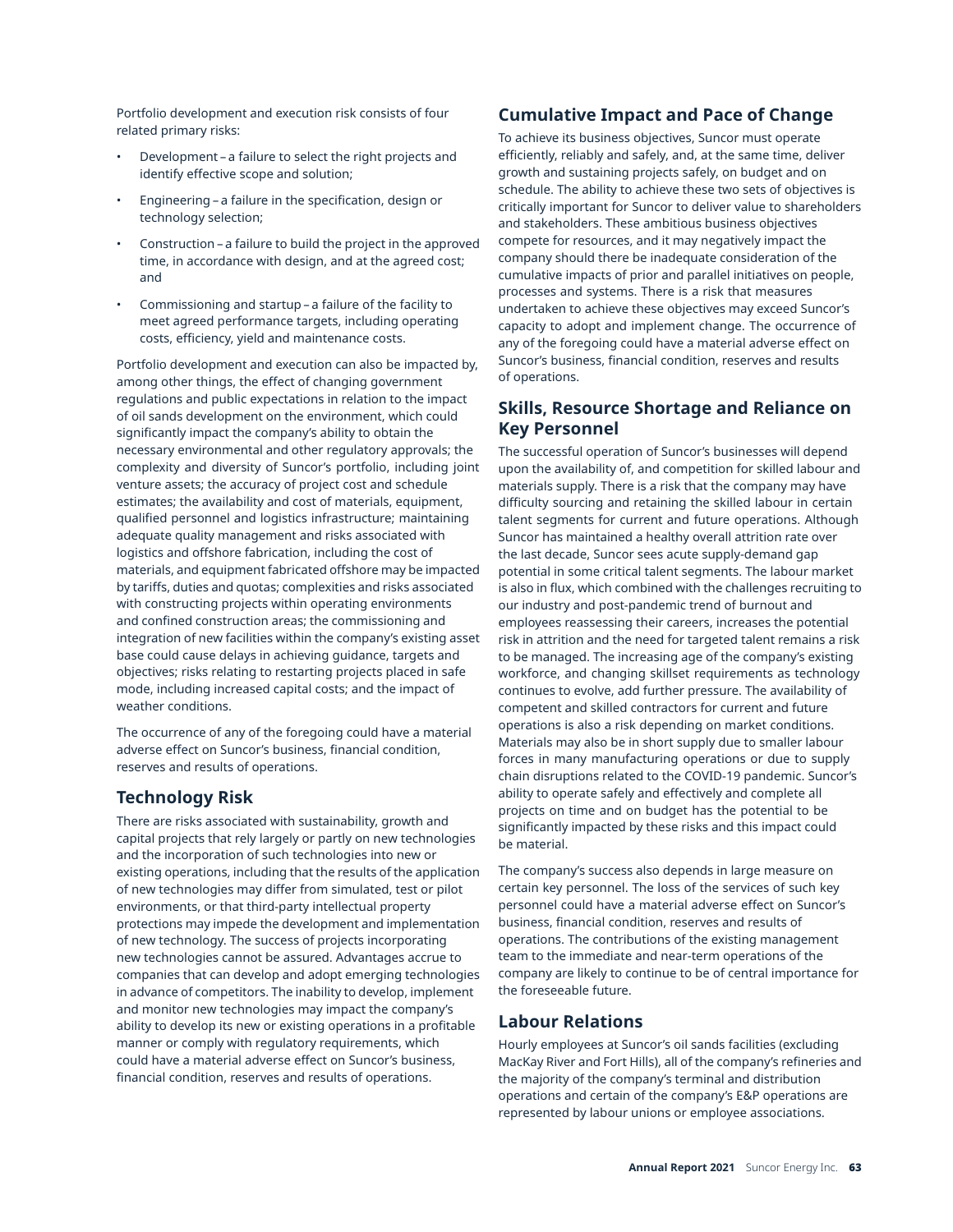Portfolio development and execution risk consists of four related primary risks:

- Development a failure to select the right projects and identify effective scope and solution;
- Engineering a failure in the specification, design or technology selection;
- Construction a failure to build the project in the approved time, in accordance with design, and at the agreed cost; and
- Commissioning and startup a failure of the facility to meet agreed performance targets, including operating costs, efficiency, yield and maintenance costs.

Portfolio development and execution can also be impacted by, among other things, the effect of changing government regulations and public expectations in relation to the impact of oil sands development on the environment, which could significantly impact the company's ability to obtain the necessary environmental and other regulatory approvals; the complexity and diversity of Suncor's portfolio, including joint venture assets; the accuracy of project cost and schedule estimates; the availability and cost of materials, equipment, qualified personnel and logistics infrastructure; maintaining adequate quality management and risks associated with logistics and offshore fabrication, including the cost of materials, and equipment fabricated offshore may be impacted by tariffs, duties and quotas; complexities and risks associated with constructing projects within operating environments and confined construction areas; the commissioning and integration of new facilities within the company's existing asset base could cause delays in achieving guidance, targets and objectives; risks relating to restarting projects placed in safe mode, including increased capital costs; and the impact of weather conditions.

The occurrence of any of the foregoing could have a material adverse effect on Suncor's business, financial condition, reserves and results of operations.

# **Technology Risk**

There are risks associated with sustainability, growth and capital projects that rely largely or partly on new technologies and the incorporation of such technologies into new or existing operations, including that the results of the application of new technologies may differ from simulated, test or pilot environments, or that third-party intellectual property protections may impede the development and implementation of new technology. The success of projects incorporating new technologies cannot be assured. Advantages accrue to companies that can develop and adopt emerging technologies in advance of competitors. The inability to develop, implement and monitor new technologies may impact the company's ability to develop its new or existing operations in a profitable manner or comply with regulatory requirements, which could have a material adverse effect on Suncor's business, financial condition, reserves and results of operations.

# **Cumulative Impact and Pace of Change**

To achieve its business objectives, Suncor must operate efficiently, reliably and safely, and, at the same time, deliver growth and sustaining projects safely, on budget and on schedule. The ability to achieve these two sets of objectives is critically important for Suncor to deliver value to shareholders and stakeholders. These ambitious business objectives compete for resources, and it may negatively impact the company should there be inadequate consideration of the cumulative impacts of prior and parallel initiatives on people, processes and systems. There is a risk that measures undertaken to achieve these objectives may exceed Suncor's capacity to adopt and implement change. The occurrence of any of the foregoing could have a material adverse effect on Suncor's business, financial condition, reserves and results of operations.

# **Skills, Resource Shortage and Reliance on Key Personnel**

The successful operation of Suncor's businesses will depend upon the availability of, and competition for skilled labour and materials supply. There is a risk that the company may have difficulty sourcing and retaining the skilled labour in certain talent segments for current and future operations. Although Suncor has maintained a healthy overall attrition rate over the last decade, Suncor sees acute supply-demand gap potential in some critical talent segments. The labour market is also in flux, which combined with the challenges recruiting to our industry and post-pandemic trend of burnout and employees reassessing their careers, increases the potential risk in attrition and the need for targeted talent remains a risk to be managed. The increasing age of the company's existing workforce, and changing skillset requirements as technology continues to evolve, add further pressure. The availability of competent and skilled contractors for current and future operations is also a risk depending on market conditions. Materials may also be in short supply due to smaller labour forces in many manufacturing operations or due to supply chain disruptions related to the COVID-19 pandemic. Suncor's ability to operate safely and effectively and complete all projects on time and on budget has the potential to be significantly impacted by these risks and this impact could be material.

The company's success also depends in large measure on certain key personnel. The loss of the services of such key personnel could have a material adverse effect on Suncor's business, financial condition, reserves and results of operations. The contributions of the existing management team to the immediate and near-term operations of the company are likely to continue to be of central importance for the foreseeable future.

## **Labour Relations**

Hourly employees at Suncor's oil sands facilities (excluding MacKay River and Fort Hills), all of the company's refineries and the majority of the company's terminal and distribution operations and certain of the company's E&P operations are represented by labour unions or employee associations.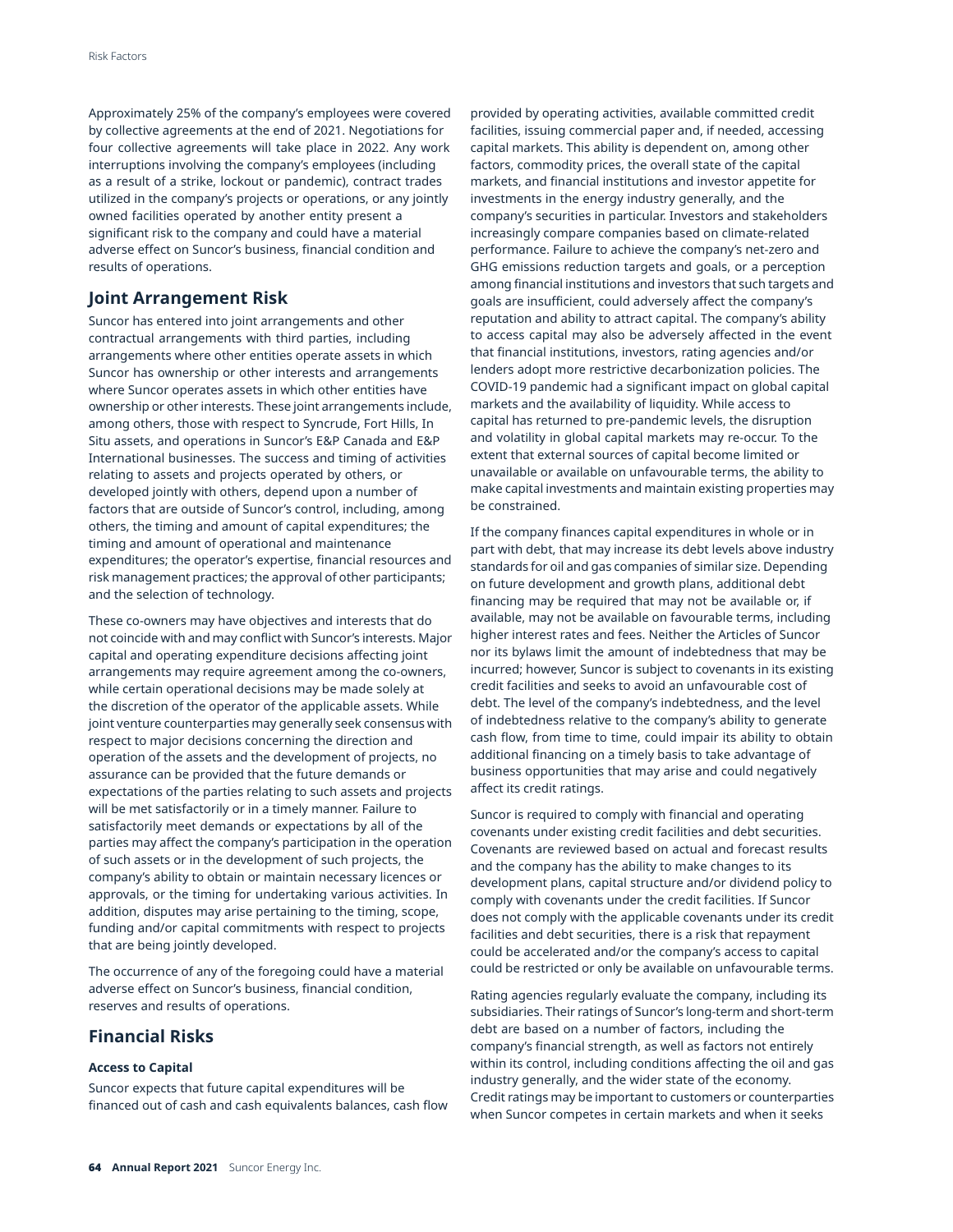Approximately 25% of the company's employees were covered by collective agreements at the end of 2021. Negotiations for four collective agreements will take place in 2022. Any work interruptions involving the company's employees (including as a result of a strike, lockout or pandemic), contract trades utilized in the company's projects or operations, or any jointly owned facilities operated by another entity present a significant risk to the company and could have a material adverse effect on Suncor's business, financial condition and results of operations.

## **Joint Arrangement Risk**

Suncor has entered into joint arrangements and other contractual arrangements with third parties, including arrangements where other entities operate assets in which Suncor has ownership or other interests and arrangements where Suncor operates assets in which other entities have ownership or other interests. These joint arrangements include, among others, those with respect to Syncrude, Fort Hills, In Situ assets, and operations in Suncor's E&P Canada and E&P International businesses. The success and timing of activities relating to assets and projects operated by others, or developed jointly with others, depend upon a number of factors that are outside of Suncor's control, including, among others, the timing and amount of capital expenditures; the timing and amount of operational and maintenance expenditures; the operator's expertise, financial resources and risk management practices; the approval of other participants; and the selection of technology.

These co-owners may have objectives and interests that do not coincide with and may conflict with Suncor's interests. Major capital and operating expenditure decisions affecting joint arrangements may require agreement among the co-owners, while certain operational decisions may be made solely at the discretion of the operator of the applicable assets. While joint venture counterparties may generally seek consensus with respect to major decisions concerning the direction and operation of the assets and the development of projects, no assurance can be provided that the future demands or expectations of the parties relating to such assets and projects will be met satisfactorily or in a timely manner. Failure to satisfactorily meet demands or expectations by all of the parties may affect the company's participation in the operation of such assets or in the development of such projects, the company's ability to obtain or maintain necessary licences or approvals, or the timing for undertaking various activities. In addition, disputes may arise pertaining to the timing, scope, funding and/or capital commitments with respect to projects that are being jointly developed.

The occurrence of any of the foregoing could have a material adverse effect on Suncor's business, financial condition, reserves and results of operations.

## **Financial Risks**

## **Access to Capital**

Suncor expects that future capital expenditures will be financed out of cash and cash equivalents balances, cash flow provided by operating activities, available committed credit facilities, issuing commercial paper and, if needed, accessing capital markets. This ability is dependent on, among other factors, commodity prices, the overall state of the capital markets, and financial institutions and investor appetite for investments in the energy industry generally, and the company's securities in particular. Investors and stakeholders increasingly compare companies based on climate-related performance. Failure to achieve the company's net-zero and GHG emissions reduction targets and goals, or a perception among financial institutions and investors that such targets and goals are insufficient, could adversely affect the company's reputation and ability to attract capital. The company's ability to access capital may also be adversely affected in the event that financial institutions, investors, rating agencies and/or lenders adopt more restrictive decarbonization policies. The COVID-19 pandemic had a significant impact on global capital markets and the availability of liquidity. While access to capital has returned to pre-pandemic levels, the disruption and volatility in global capital markets may re-occur. To the extent that external sources of capital become limited or unavailable or available on unfavourable terms, the ability to make capital investments and maintain existing properties may be constrained.

If the company finances capital expenditures in whole or in part with debt, that may increase its debt levels above industry standards for oil and gas companies of similar size. Depending on future development and growth plans, additional debt financing may be required that may not be available or, if available, may not be available on favourable terms, including higher interest rates and fees. Neither the Articles of Suncor nor its bylaws limit the amount of indebtedness that may be incurred; however, Suncor is subject to covenants in its existing credit facilities and seeks to avoid an unfavourable cost of debt. The level of the company's indebtedness, and the level of indebtedness relative to the company's ability to generate cash flow, from time to time, could impair its ability to obtain additional financing on a timely basis to take advantage of business opportunities that may arise and could negatively affect its credit ratings.

Suncor is required to comply with financial and operating covenants under existing credit facilities and debt securities. Covenants are reviewed based on actual and forecast results and the company has the ability to make changes to its development plans, capital structure and/or dividend policy to comply with covenants under the credit facilities. If Suncor does not comply with the applicable covenants under its credit facilities and debt securities, there is a risk that repayment could be accelerated and/or the company's access to capital could be restricted or only be available on unfavourable terms.

Rating agencies regularly evaluate the company, including its subsidiaries. Their ratings of Suncor's long-term and short-term debt are based on a number of factors, including the company's financial strength, as well as factors not entirely within its control, including conditions affecting the oil and gas industry generally, and the wider state of the economy. Credit ratings may be important to customers or counterparties when Suncor competes in certain markets and when it seeks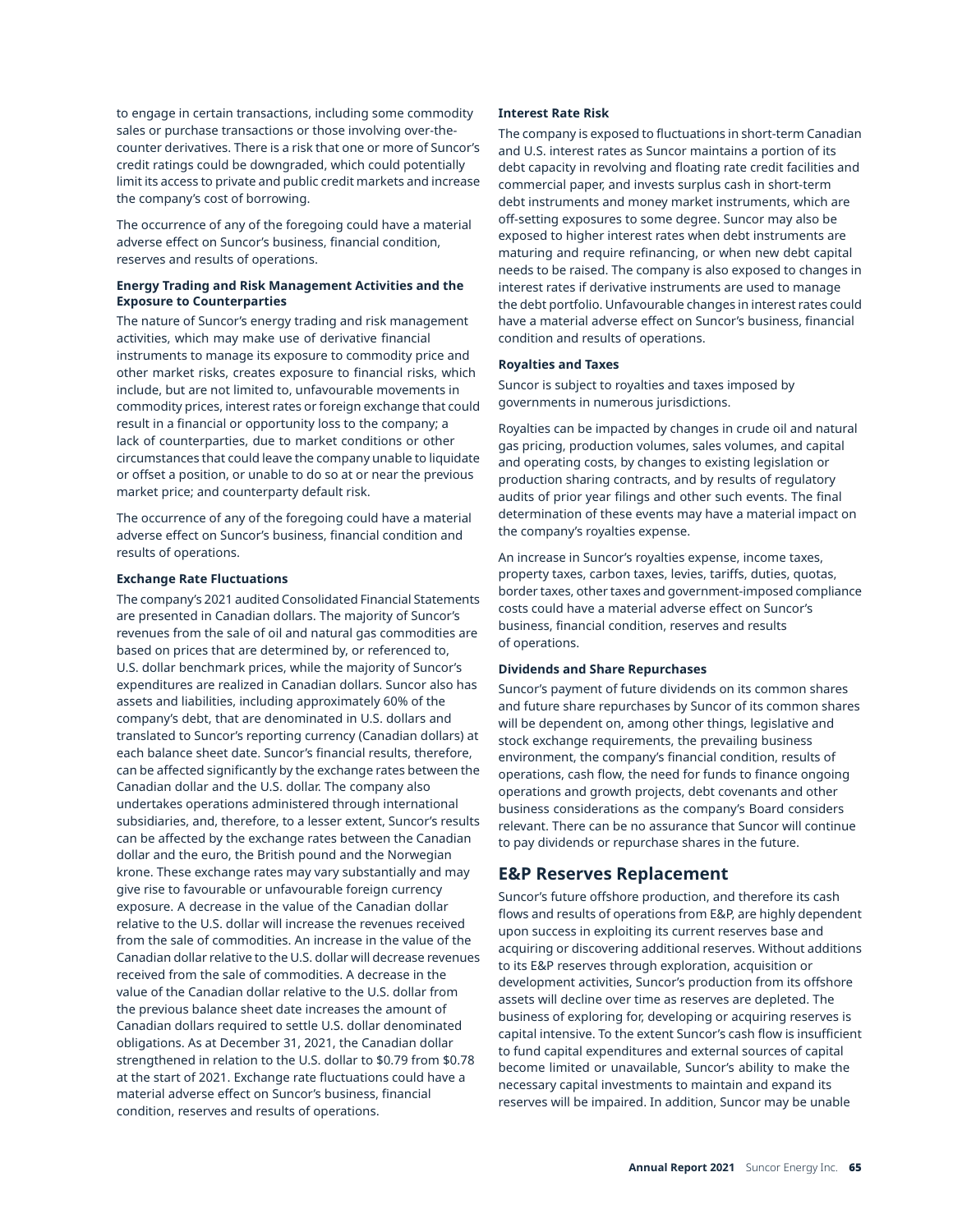to engage in certain transactions, including some commodity sales or purchase transactions or those involving over-thecounter derivatives. There is a risk that one or more of Suncor's credit ratings could be downgraded, which could potentially limit its access to private and public credit markets and increase the company's cost of borrowing.

The occurrence of any of the foregoing could have a material adverse effect on Suncor's business, financial condition, reserves and results of operations.

### **Energy Trading and Risk Management Activities and the Exposure to Counterparties**

The nature of Suncor's energy trading and risk management activities, which may make use of derivative financial instruments to manage its exposure to commodity price and other market risks, creates exposure to financial risks, which include, but are not limited to, unfavourable movements in commodity prices, interest rates or foreign exchange that could result in a financial or opportunity loss to the company; a lack of counterparties, due to market conditions or other circumstances that could leave the company unable to liquidate or offset a position, or unable to do so at or near the previous market price; and counterparty default risk.

The occurrence of any of the foregoing could have a material adverse effect on Suncor's business, financial condition and results of operations.

### **Exchange Rate Fluctuations**

The company's 2021 audited Consolidated Financial Statements are presented in Canadian dollars. The majority of Suncor's revenues from the sale of oil and natural gas commodities are based on prices that are determined by, or referenced to, U.S. dollar benchmark prices, while the majority of Suncor's expenditures are realized in Canadian dollars. Suncor also has assets and liabilities, including approximately 60% of the company's debt, that are denominated in U.S. dollars and translated to Suncor's reporting currency (Canadian dollars) at each balance sheet date. Suncor's financial results, therefore, can be affected significantly by the exchange rates between the Canadian dollar and the U.S. dollar. The company also undertakes operations administered through international subsidiaries, and, therefore, to a lesser extent, Suncor's results can be affected by the exchange rates between the Canadian dollar and the euro, the British pound and the Norwegian krone. These exchange rates may vary substantially and may give rise to favourable or unfavourable foreign currency exposure. A decrease in the value of the Canadian dollar relative to the U.S. dollar will increase the revenues received from the sale of commodities. An increase in the value of the Canadian dollar relative to the U.S. dollar will decrease revenues received from the sale of commodities. A decrease in the value of the Canadian dollar relative to the U.S. dollar from the previous balance sheet date increases the amount of Canadian dollars required to settle U.S. dollar denominated obligations. As at December 31, 2021, the Canadian dollar strengthened in relation to the U.S. dollar to \$0.79 from \$0.78 at the start of 2021. Exchange rate fluctuations could have a material adverse effect on Suncor's business, financial condition, reserves and results of operations.

### **Interest Rate Risk**

The company is exposed to fluctuations in short-term Canadian and U.S. interest rates as Suncor maintains a portion of its debt capacity in revolving and floating rate credit facilities and commercial paper, and invests surplus cash in short-term debt instruments and money market instruments, which are off-setting exposures to some degree. Suncor may also be exposed to higher interest rates when debt instruments are maturing and require refinancing, or when new debt capital needs to be raised. The company is also exposed to changes in interest rates if derivative instruments are used to manage the debt portfolio. Unfavourable changes in interest rates could have a material adverse effect on Suncor's business, financial condition and results of operations.

### **Royalties and Taxes**

Suncor is subject to royalties and taxes imposed by governments in numerous jurisdictions.

Royalties can be impacted by changes in crude oil and natural gas pricing, production volumes, sales volumes, and capital and operating costs, by changes to existing legislation or production sharing contracts, and by results of regulatory audits of prior year filings and other such events. The final determination of these events may have a material impact on the company's royalties expense.

An increase in Suncor's royalties expense, income taxes, property taxes, carbon taxes, levies, tariffs, duties, quotas, border taxes, other taxes and government-imposed compliance costs could have a material adverse effect on Suncor's business, financial condition, reserves and results of operations.

## **Dividends and Share Repurchases**

Suncor's payment of future dividends on its common shares and future share repurchases by Suncor of its common shares will be dependent on, among other things, legislative and stock exchange requirements, the prevailing business environment, the company's financial condition, results of operations, cash flow, the need for funds to finance ongoing operations and growth projects, debt covenants and other business considerations as the company's Board considers relevant. There can be no assurance that Suncor will continue to pay dividends or repurchase shares in the future.

## **E&P Reserves Replacement**

Suncor's future offshore production, and therefore its cash flows and results of operations from E&P, are highly dependent upon success in exploiting its current reserves base and acquiring or discovering additional reserves. Without additions to its E&P reserves through exploration, acquisition or development activities, Suncor's production from its offshore assets will decline over time as reserves are depleted. The business of exploring for, developing or acquiring reserves is capital intensive. To the extent Suncor's cash flow is insufficient to fund capital expenditures and external sources of capital become limited or unavailable, Suncor's ability to make the necessary capital investments to maintain and expand its reserves will be impaired. In addition, Suncor may be unable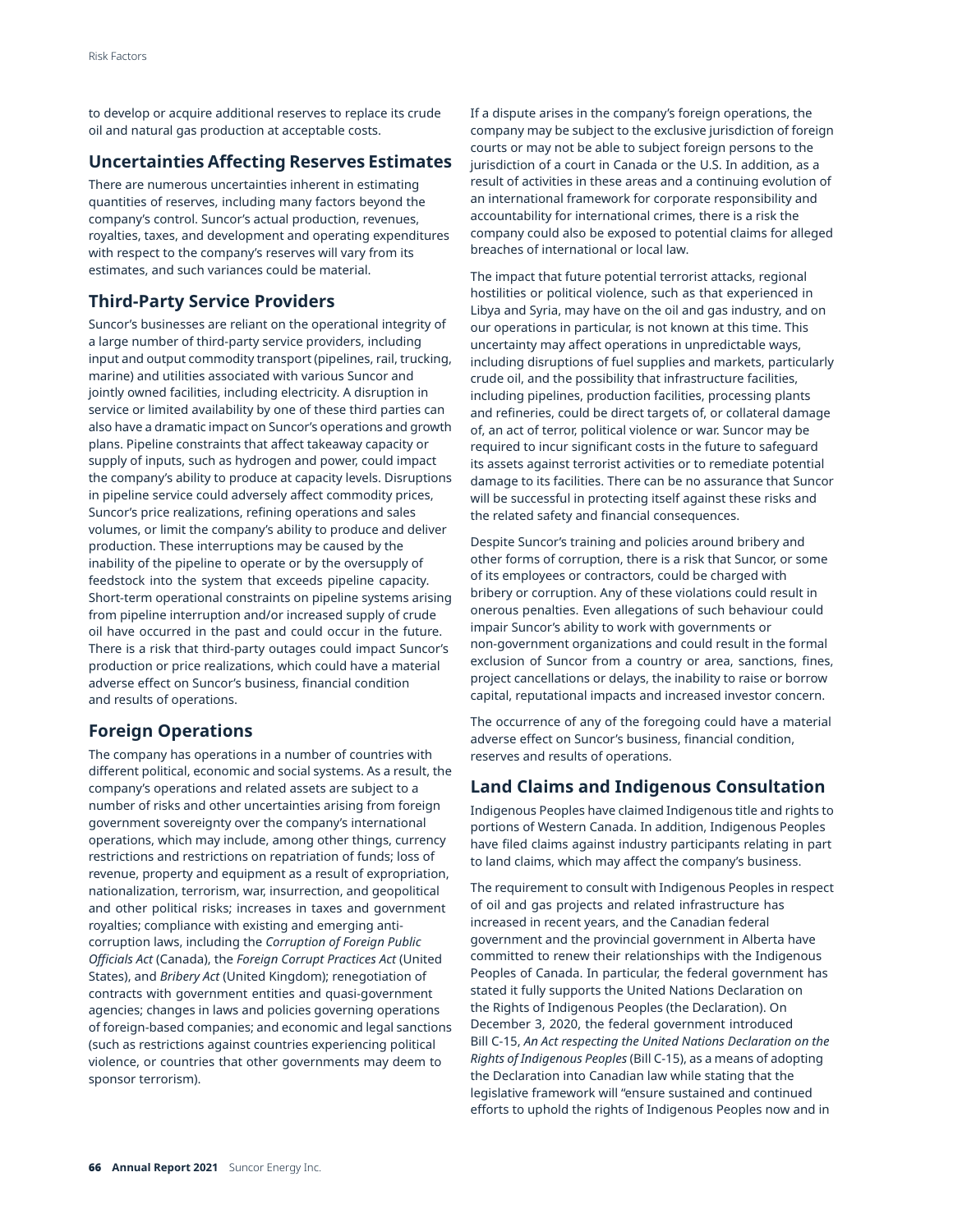to develop or acquire additional reserves to replace its crude oil and natural gas production at acceptable costs.

## **Uncertainties Affecting Reserves Estimates**

There are numerous uncertainties inherent in estimating quantities of reserves, including many factors beyond the company's control. Suncor's actual production, revenues, royalties, taxes, and development and operating expenditures with respect to the company's reserves will vary from its estimates, and such variances could be material.

# **Third-Party Service Providers**

Suncor's businesses are reliant on the operational integrity of a large number of third-party service providers, including input and output commodity transport (pipelines, rail, trucking, marine) and utilities associated with various Suncor and jointly owned facilities, including electricity. A disruption in service or limited availability by one of these third parties can also have a dramatic impact on Suncor's operations and growth plans. Pipeline constraints that affect takeaway capacity or supply of inputs, such as hydrogen and power, could impact the company's ability to produce at capacity levels. Disruptions in pipeline service could adversely affect commodity prices, Suncor's price realizations, refining operations and sales volumes, or limit the company's ability to produce and deliver production. These interruptions may be caused by the inability of the pipeline to operate or by the oversupply of feedstock into the system that exceeds pipeline capacity. Short-term operational constraints on pipeline systems arising from pipeline interruption and/or increased supply of crude oil have occurred in the past and could occur in the future. There is a risk that third-party outages could impact Suncor's production or price realizations, which could have a material adverse effect on Suncor's business, financial condition and results of operations.

# **Foreign Operations**

The company has operations in a number of countries with different political, economic and social systems. As a result, the company's operations and related assets are subject to a number of risks and other uncertainties arising from foreign government sovereignty over the company's international operations, which may include, among other things, currency restrictions and restrictions on repatriation of funds; loss of revenue, property and equipment as a result of expropriation, nationalization, terrorism, war, insurrection, and geopolitical and other political risks; increases in taxes and government royalties; compliance with existing and emerging anticorruption laws, including the *Corruption of Foreign Public Officials Act* (Canada), the *Foreign Corrupt Practices Act* (United States), and *Bribery Act* (United Kingdom); renegotiation of contracts with government entities and quasi-government agencies; changes in laws and policies governing operations of foreign-based companies; and economic and legal sanctions (such as restrictions against countries experiencing political violence, or countries that other governments may deem to sponsor terrorism).

If a dispute arises in the company's foreign operations, the company may be subject to the exclusive jurisdiction of foreign courts or may not be able to subject foreign persons to the jurisdiction of a court in Canada or the U.S. In addition, as a result of activities in these areas and a continuing evolution of an international framework for corporate responsibility and accountability for international crimes, there is a risk the company could also be exposed to potential claims for alleged breaches of international or local law.

The impact that future potential terrorist attacks, regional hostilities or political violence, such as that experienced in Libya and Syria, may have on the oil and gas industry, and on our operations in particular, is not known at this time. This uncertainty may affect operations in unpredictable ways, including disruptions of fuel supplies and markets, particularly crude oil, and the possibility that infrastructure facilities, including pipelines, production facilities, processing plants and refineries, could be direct targets of, or collateral damage of, an act of terror, political violence or war. Suncor may be required to incur significant costs in the future to safeguard its assets against terrorist activities or to remediate potential damage to its facilities. There can be no assurance that Suncor will be successful in protecting itself against these risks and the related safety and financial consequences.

Despite Suncor's training and policies around bribery and other forms of corruption, there is a risk that Suncor, or some of its employees or contractors, could be charged with bribery or corruption. Any of these violations could result in onerous penalties. Even allegations of such behaviour could impair Suncor's ability to work with governments or non-government organizations and could result in the formal exclusion of Suncor from a country or area, sanctions, fines, project cancellations or delays, the inability to raise or borrow capital, reputational impacts and increased investor concern.

The occurrence of any of the foregoing could have a material adverse effect on Suncor's business, financial condition, reserves and results of operations.

# **Land Claims and Indigenous Consultation**

Indigenous Peoples have claimed Indigenous title and rights to portions of Western Canada. In addition, Indigenous Peoples have filed claims against industry participants relating in part to land claims, which may affect the company's business.

The requirement to consult with Indigenous Peoples in respect of oil and gas projects and related infrastructure has increased in recent years, and the Canadian federal government and the provincial government in Alberta have committed to renew their relationships with the Indigenous Peoples of Canada. In particular, the federal government has stated it fully supports the United Nations Declaration on the Rights of Indigenous Peoples (the Declaration). On December 3, 2020, the federal government introduced Bill C-15, *An Act respecting the United Nations Declaration on the Rights of Indigenous Peoples* (Bill C-15), as a means of adopting the Declaration into Canadian law while stating that the legislative framework will "ensure sustained and continued efforts to uphold the rights of Indigenous Peoples now and in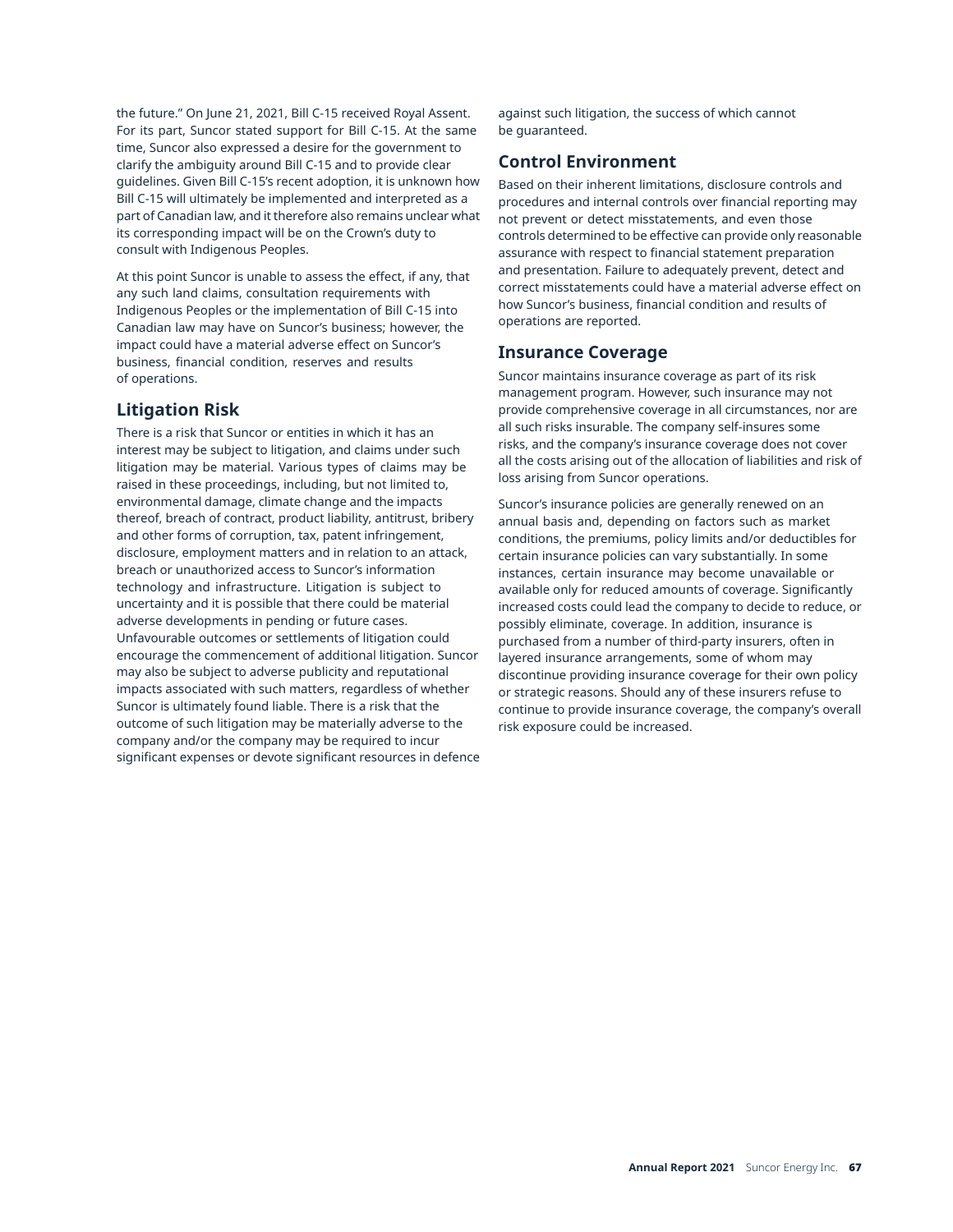the future." On June 21, 2021, Bill C-15 received Royal Assent. For its part, Suncor stated support for Bill C-15. At the same time, Suncor also expressed a desire for the government to clarify the ambiguity around Bill C-15 and to provide clear guidelines. Given Bill C-15's recent adoption, it is unknown how Bill C-15 will ultimately be implemented and interpreted as a part of Canadian law, and it therefore also remains unclear what its corresponding impact will be on the Crown's duty to consult with Indigenous Peoples.

At this point Suncor is unable to assess the effect, if any, that any such land claims, consultation requirements with Indigenous Peoples or the implementation of Bill C-15 into Canadian law may have on Suncor's business; however, the impact could have a material adverse effect on Suncor's business, financial condition, reserves and results of operations.

## **Litigation Risk**

There is a risk that Suncor or entities in which it has an interest may be subject to litigation, and claims under such litigation may be material. Various types of claims may be raised in these proceedings, including, but not limited to, environmental damage, climate change and the impacts thereof, breach of contract, product liability, antitrust, bribery and other forms of corruption, tax, patent infringement, disclosure, employment matters and in relation to an attack, breach or unauthorized access to Suncor's information technology and infrastructure. Litigation is subject to uncertainty and it is possible that there could be material adverse developments in pending or future cases. Unfavourable outcomes or settlements of litigation could encourage the commencement of additional litigation. Suncor may also be subject to adverse publicity and reputational impacts associated with such matters, regardless of whether Suncor is ultimately found liable. There is a risk that the outcome of such litigation may be materially adverse to the company and/or the company may be required to incur significant expenses or devote significant resources in defence against such litigation, the success of which cannot be guaranteed.

# **Control Environment**

Based on their inherent limitations, disclosure controls and procedures and internal controls over financial reporting may not prevent or detect misstatements, and even those controls determined to be effective can provide only reasonable assurance with respect to financial statement preparation and presentation. Failure to adequately prevent, detect and correct misstatements could have a material adverse effect on how Suncor's business, financial condition and results of operations are reported.

# **Insurance Coverage**

Suncor maintains insurance coverage as part of its risk management program. However, such insurance may not provide comprehensive coverage in all circumstances, nor are all such risks insurable. The company self-insures some risks, and the company's insurance coverage does not cover all the costs arising out of the allocation of liabilities and risk of loss arising from Suncor operations.

Suncor's insurance policies are generally renewed on an annual basis and, depending on factors such as market conditions, the premiums, policy limits and/or deductibles for certain insurance policies can vary substantially. In some instances, certain insurance may become unavailable or available only for reduced amounts of coverage. Significantly increased costs could lead the company to decide to reduce, or possibly eliminate, coverage. In addition, insurance is purchased from a number of third-party insurers, often in layered insurance arrangements, some of whom may discontinue providing insurance coverage for their own policy or strategic reasons. Should any of these insurers refuse to continue to provide insurance coverage, the company's overall risk exposure could be increased.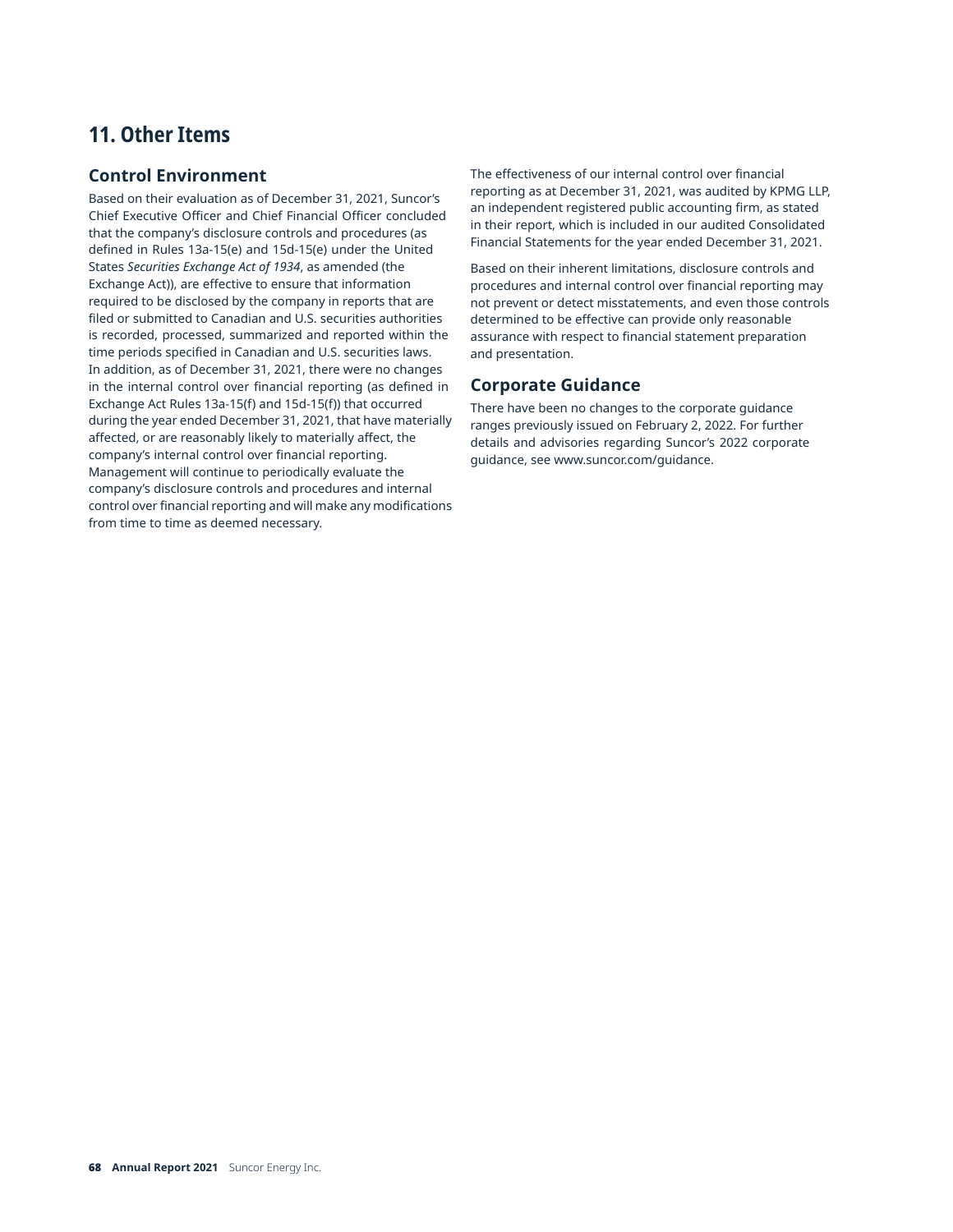# **11. Other Items**

# **Control Environment**

Based on their evaluation as of December 31, 2021, Suncor's Chief Executive Officer and Chief Financial Officer concluded that the company's disclosure controls and procedures (as defined in Rules 13a-15(e) and 15d-15(e) under the United States *Securities Exchange Act of 1934*, as amended (the Exchange Act)), are effective to ensure that information required to be disclosed by the company in reports that are filed or submitted to Canadian and U.S. securities authorities is recorded, processed, summarized and reported within the time periods specified in Canadian and U.S. securities laws. In addition, as of December 31, 2021, there were no changes in the internal control over financial reporting (as defined in Exchange Act Rules 13a-15(f) and 15d-15(f)) that occurred during the year ended December 31, 2021, that have materially affected, or are reasonably likely to materially affect, the company's internal control over financial reporting. Management will continue to periodically evaluate the company's disclosure controls and procedures and internal control over financial reporting and will make any modifications from time to time as deemed necessary.

The effectiveness of our internal control over financial reporting as at December 31, 2021, was audited by KPMG LLP, an independent registered public accounting firm, as stated in their report, which is included in our audited Consolidated Financial Statements for the year ended December 31, 2021.

Based on their inherent limitations, disclosure controls and procedures and internal control over financial reporting may not prevent or detect misstatements, and even those controls determined to be effective can provide only reasonable assurance with respect to financial statement preparation and presentation.

# **Corporate Guidance**

There have been no changes to the corporate guidance ranges previously issued on February 2, 2022. For further details and advisories regarding Suncor's 2022 corporate guidance, see [www.suncor.com/guidance.](www.suncor.com/guidance)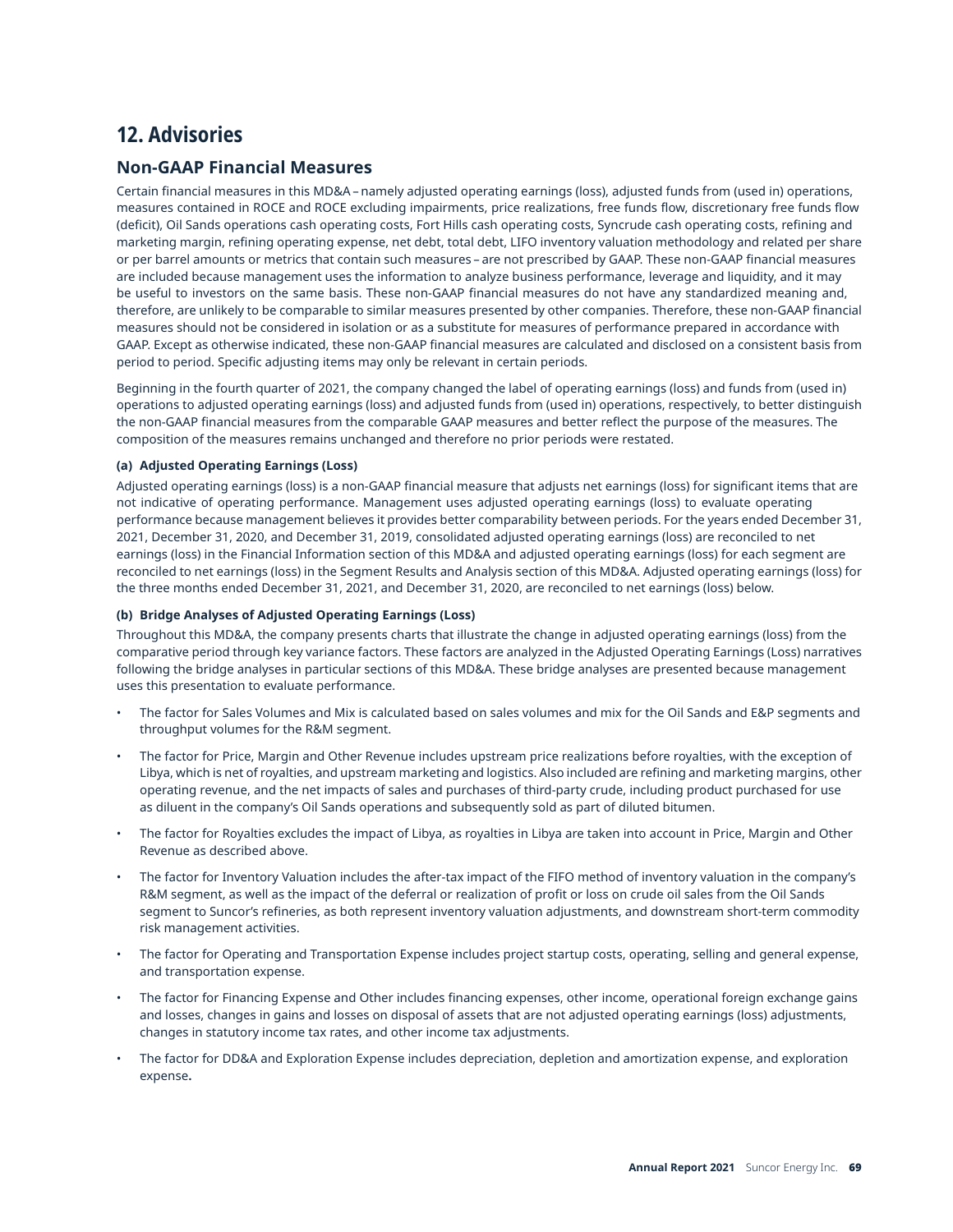# **12. Advisories**

## **Non-GAAP Financial Measures**

Certain financial measures in this MD&A – namely adjusted operating earnings (loss), adjusted funds from (used in) operations, measures contained in ROCE and ROCE excluding impairments, price realizations, free funds flow, discretionary free funds flow (deficit), Oil Sands operations cash operating costs, Fort Hills cash operating costs, Syncrude cash operating costs, refining and marketing margin, refining operating expense, net debt, total debt, LIFO inventory valuation methodology and related per share or per barrel amounts or metrics that contain such measures – are not prescribed by GAAP. These non-GAAP financial measures are included because management uses the information to analyze business performance, leverage and liquidity, and it may be useful to investors on the same basis. These non-GAAP financial measures do not have any standardized meaning and, therefore, are unlikely to be comparable to similar measures presented by other companies. Therefore, these non-GAAP financial measures should not be considered in isolation or as a substitute for measures of performance prepared in accordance with GAAP. Except as otherwise indicated, these non-GAAP financial measures are calculated and disclosed on a consistent basis from period to period. Specific adjusting items may only be relevant in certain periods.

Beginning in the fourth quarter of 2021, the company changed the label of operating earnings (loss) and funds from (used in) operations to adjusted operating earnings (loss) and adjusted funds from (used in) operations, respectively, to better distinguish the non-GAAP financial measures from the comparable GAAP measures and better reflect the purpose of the measures. The composition of the measures remains unchanged and therefore no prior periods were restated.

## **(a) Adjusted Operating Earnings (Loss)**

Adjusted operating earnings (loss) is a non-GAAP financial measure that adjusts net earnings (loss) for significant items that are not indicative of operating performance. Management uses adjusted operating earnings (loss) to evaluate operating performance because management believes it provides better comparability between periods. For the years ended December 31, 2021, December 31, 2020, and December 31, 2019, consolidated adjusted operating earnings (loss) are reconciled to net earnings (loss) in the Financial Information section of this MD&A and adjusted operating earnings (loss) for each segment are reconciled to net earnings (loss) in the Segment Results and Analysis section of this MD&A. Adjusted operating earnings (loss) for the three months ended December 31, 2021, and December 31, 2020, are reconciled to net earnings (loss) below.

## **(b) Bridge Analyses of Adjusted Operating Earnings (Loss)**

Throughout this MD&A, the company presents charts that illustrate the change in adjusted operating earnings (loss) from the comparative period through key variance factors. These factors are analyzed in the Adjusted Operating Earnings (Loss) narratives following the bridge analyses in particular sections of this MD&A. These bridge analyses are presented because management uses this presentation to evaluate performance.

- The factor for Sales Volumes and Mix is calculated based on sales volumes and mix for the Oil Sands and E&P segments and throughput volumes for the R&M segment.
- The factor for Price, Margin and Other Revenue includes upstream price realizations before royalties, with the exception of Libya, which is net of royalties, and upstream marketing and logistics. Also included are refining and marketing margins, other operating revenue, and the net impacts of sales and purchases of third-party crude, including product purchased for use as diluent in the company's Oil Sands operations and subsequently sold as part of diluted bitumen.
- The factor for Royalties excludes the impact of Libya, as royalties in Libya are taken into account in Price, Margin and Other Revenue as described above.
- The factor for Inventory Valuation includes the after-tax impact of the FIFO method of inventory valuation in the company's R&M segment, as well as the impact of the deferral or realization of profit or loss on crude oil sales from the Oil Sands segment to Suncor's refineries, as both represent inventory valuation adjustments, and downstream short-term commodity risk management activities.
- The factor for Operating and Transportation Expense includes project startup costs, operating, selling and general expense, and transportation expense.
- The factor for Financing Expense and Other includes financing expenses, other income, operational foreign exchange gains and losses, changes in gains and losses on disposal of assets that are not adjusted operating earnings (loss) adjustments, changes in statutory income tax rates, and other income tax adjustments.
- The factor for DD&A and Exploration Expense includes depreciation, depletion and amortization expense, and exploration expense**.**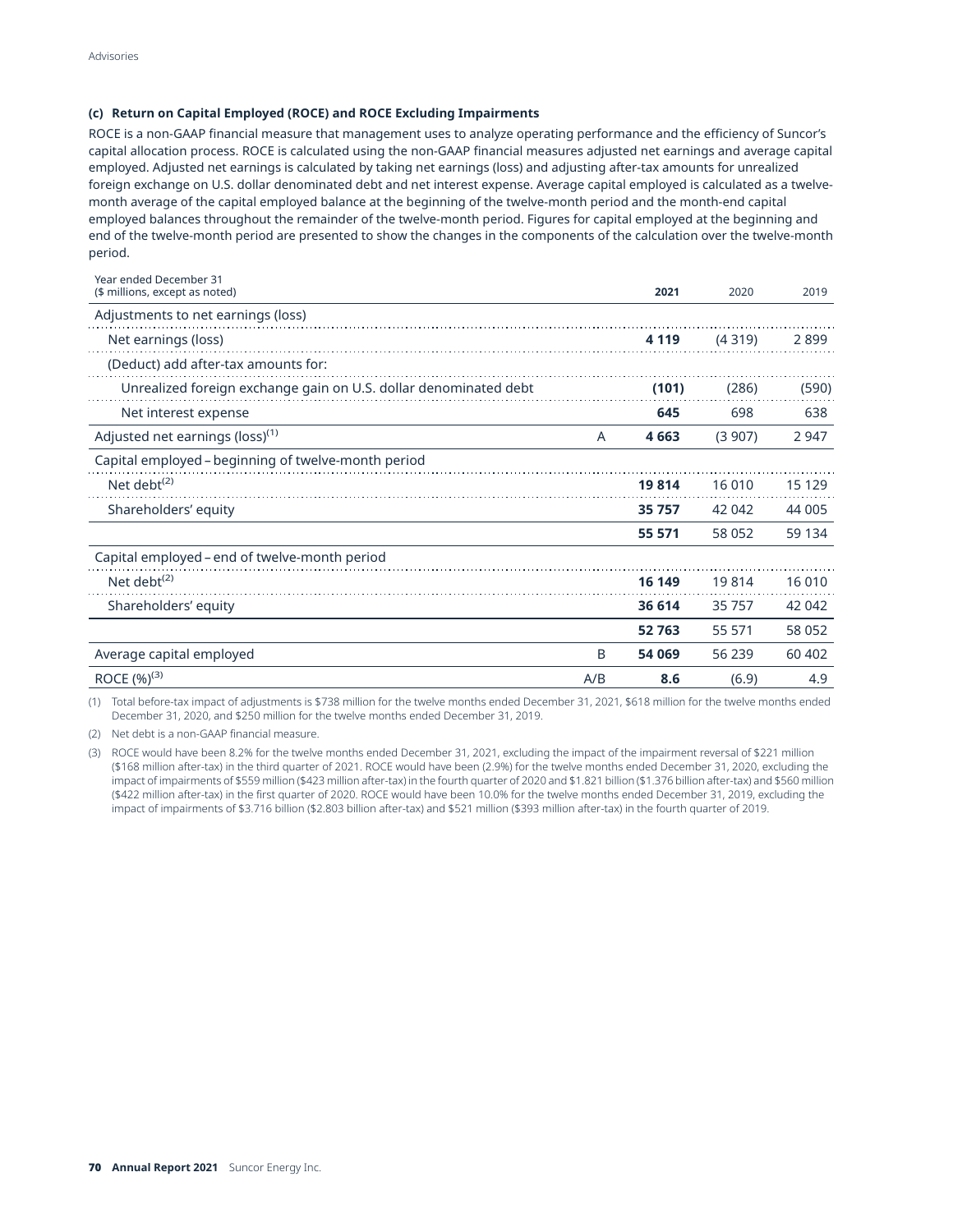## **(c) Return on Capital Employed (ROCE) and ROCE Excluding Impairments**

ROCE is a non-GAAP financial measure that management uses to analyze operating performance and the efficiency of Suncor's capital allocation process. ROCE is calculated using the non-GAAP financial measures adjusted net earnings and average capital employed. Adjusted net earnings is calculated by taking net earnings (loss) and adjusting after-tax amounts for unrealized foreign exchange on U.S. dollar denominated debt and net interest expense. Average capital employed is calculated as a twelvemonth average of the capital employed balance at the beginning of the twelve-month period and the month-end capital employed balances throughout the remainder of the twelve-month period. Figures for capital employed at the beginning and end of the twelve-month period are presented to show the changes in the components of the calculation over the twelve-month period.

| Year ended December 31<br>(\$ millions, except as noted)         |     | 2021    | 2020   | 2019    |
|------------------------------------------------------------------|-----|---------|--------|---------|
| Adjustments to net earnings (loss)                               |     |         |        |         |
| Net earnings (loss)                                              |     | 4 1 1 9 | (4319) | 2899    |
| (Deduct) add after-tax amounts for:                              |     |         |        |         |
| Unrealized foreign exchange gain on U.S. dollar denominated debt |     | (101)   | (286)  | (590)   |
| Net interest expense                                             |     | 645     | 698    | 638     |
| Adjusted net earnings (loss) <sup>(1)</sup>                      | A   | 4 6 63  | (3907) | 2 9 4 7 |
| Capital employed - beginning of twelve-month period              |     |         |        |         |
| Net debt <sup><math>(2)</math></sup>                             |     | 19814   | 16 010 | 15 129  |
| Shareholders' equity                                             |     | 35 757  | 42 042 | 44 005  |
|                                                                  |     | 55 571  | 58 052 | 59 134  |
| Capital employed – end of twelve-month period                    |     |         |        |         |
| Net debt $(2)$                                                   |     | 16 149  | 19814  | 16 010  |
| Shareholders' equity                                             |     | 36 614  | 35 757 | 42 042  |
|                                                                  |     | 52 763  | 55 571 | 58 052  |
| Average capital employed                                         | B   | 54 069  | 56 239 | 60 402  |
| ROCE $(\%)^{(3)}$                                                | A/B | 8.6     | (6.9)  | 4.9     |

(1) Total before-tax impact of adjustments is \$738 million for the twelve months ended December 31, 2021, \$618 million for the twelve months ended December 31, 2020, and \$250 million for the twelve months ended December 31, 2019.

(2) Net debt is a non-GAAP financial measure.

(3) ROCE would have been 8.2% for the twelve months ended December 31, 2021, excluding the impact of the impairment reversal of \$221 million (\$168 million after-tax) in the third quarter of 2021. ROCE would have been (2.9%) for the twelve months ended December 31, 2020, excluding the impact of impairments of \$559 million (\$423 million after-tax) in the fourth quarter of 2020 and \$1.821 billion (\$1.376 billion after-tax) and \$560 million (\$422 million after-tax) in the first quarter of 2020. ROCE would have been 10.0% for the twelve months ended December 31, 2019, excluding the impact of impairments of \$3.716 billion (\$2.803 billion after-tax) and \$521 million (\$393 million after-tax) in the fourth quarter of 2019.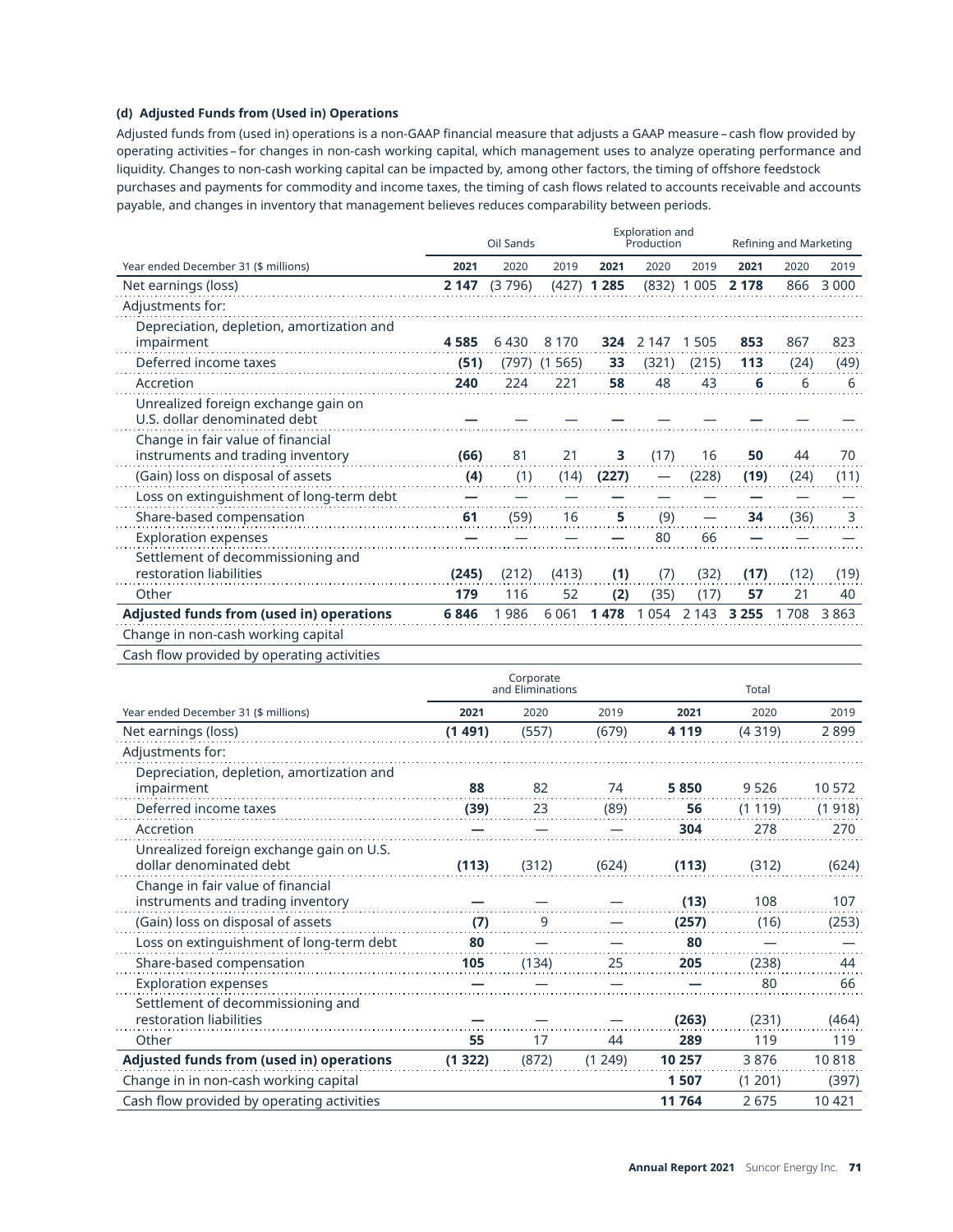## **(d) Adjusted Funds from (Used in) Operations**

Adjusted funds from (used in) operations is a non-GAAP financial measure that adjusts a GAAP measure – cash flow provided by operating activities – for changes in non-cash working capital, which management uses to analyze operating performance and liquidity. Changes to non-cash working capital can be impacted by, among other factors, the timing of offshore feedstock purchases and payments for commodity and income taxes, the timing of cash flows related to accounts receivable and accounts payable, and changes in inventory that management believes reduces comparability between periods.

|                                                                        | Oil Sands |        |                  | Exploration and<br>Production |         |         | Refining and Marketing |      |         |
|------------------------------------------------------------------------|-----------|--------|------------------|-------------------------------|---------|---------|------------------------|------|---------|
| Year ended December 31 (\$ millions)                                   | 2021      | 2020   | 2019             | 2021                          | 2020    | 2019    | 2021                   | 2020 | 2019    |
| Net earnings (loss)                                                    | 2 147     | (3796) |                  | $(427)$ 1 285                 | (832)   | 1 0 0 5 | 2 1 7 8                | 866  | 3 0 0 0 |
| Adjustments for:                                                       |           |        |                  |                               |         |         |                        |      |         |
| Depreciation, depletion, amortization and<br>impairment                | 4585      | 6430   | 8 1 7 0          | 324                           | 2 1 4 7 | 1 5 0 5 | 853                    | 867  | 823     |
| Deferred income taxes                                                  | (51)      |        | $(797)$ $(1565)$ | 33                            | (321)   | (215)   | 113                    | (24) | (49)    |
| Accretion                                                              | 240       | 224    | 221              | 58                            | 48      | 43      | 6                      | 6    | 6       |
| Unrealized foreign exchange gain on<br>U.S. dollar denominated debt    |           |        |                  |                               |         |         |                        |      |         |
| Change in fair value of financial<br>instruments and trading inventory | (66)      | 81     | 21               | 3                             | (17)    | 16      | 50                     | 44   | 70      |
| (Gain) loss on disposal of assets                                      | (4)       | (1)    | (14)             | (227)                         |         | (228)   | (19)                   | (24) | (11)    |
| Loss on extinguishment of long-term debt                               |           |        |                  |                               |         |         |                        |      |         |
| Share-based compensation                                               | 61        | (59)   | 16               | 5                             | (9)     |         | 34                     | (36) | 3       |
| <b>Exploration expenses</b>                                            |           |        |                  |                               | 80      | 66      |                        |      |         |
| Settlement of decommissioning and<br>restoration liabilities           | (245)     | (212)  | (413)            | (1)                           | (7)     | (32)    | (17)                   | (12) | (19)    |
| Other                                                                  | 179       | 116    | 52               | (2)                           | (35)    | (17)    | 57                     | 21   | 40      |
| <b>Adjusted funds from (used in) operations</b>                        | 6846      | 1986   | 6 0 6 1          | 1478                          | 1054    | 2 1 4 3 | 3 2 5 5                | 1708 | 3863    |
| Change in non-cash working capital                                     |           |        |                  |                               |         |         |                        |      |         |
| Cash flow provided by operating activities                             |           |        |                  |                               |         |         |                        |      |         |

|                                                                        |         | Corporate<br>and Eliminations |        | Total   |        |         |
|------------------------------------------------------------------------|---------|-------------------------------|--------|---------|--------|---------|
| Year ended December 31 (\$ millions)                                   | 2021    | 2020                          | 2019   | 2021    | 2020   | 2019    |
| Net earnings (loss)                                                    | (1491)  | (557)                         | (679)  | 4 1 1 9 | (4319) | 2899    |
| Adjustments for:                                                       |         |                               |        |         |        |         |
| Depreciation, depletion, amortization and<br>impairment                | 88      | 82                            | 74     | 5850    | 9526   | 10572   |
| Deferred income taxes                                                  | (39)    | 23                            | (89)   | 56      | (1119) | (1918)  |
| Accretion                                                              |         |                               |        | 304     | 278    | 270     |
| Unrealized foreign exchange gain on U.S.<br>dollar denominated debt    | (113)   | (312)                         | (624)  | (113)   | (312)  | (624)   |
| Change in fair value of financial<br>instruments and trading inventory |         |                               |        | (13)    | 108    | 107     |
| (Gain) loss on disposal of assets                                      | (7)     | 9                             |        | (257)   | (16)   | (253)   |
| Loss on extinguishment of long-term debt                               | 80      |                               |        | 80      |        |         |
| Share-based compensation                                               | 105     | (134)                         | 25     | 205     | (238)  | 44      |
| <b>Exploration expenses</b>                                            |         |                               |        |         | 80     | 66      |
| Settlement of decommissioning and<br>restoration liabilities           |         |                               |        | (263)   | (231)  | (464)   |
| Other                                                                  | 55      | 17                            | 44     | 289     | 119    | 119     |
| <b>Adjusted funds from (used in) operations</b>                        | (1 322) | (872)                         | (1249) | 10 257  | 3876   | 10818   |
| Change in in non-cash working capital                                  |         |                               |        | 1507    | (1201) | (397)   |
| Cash flow provided by operating activities                             |         |                               |        | 11 764  | 2675   | 10 4 21 |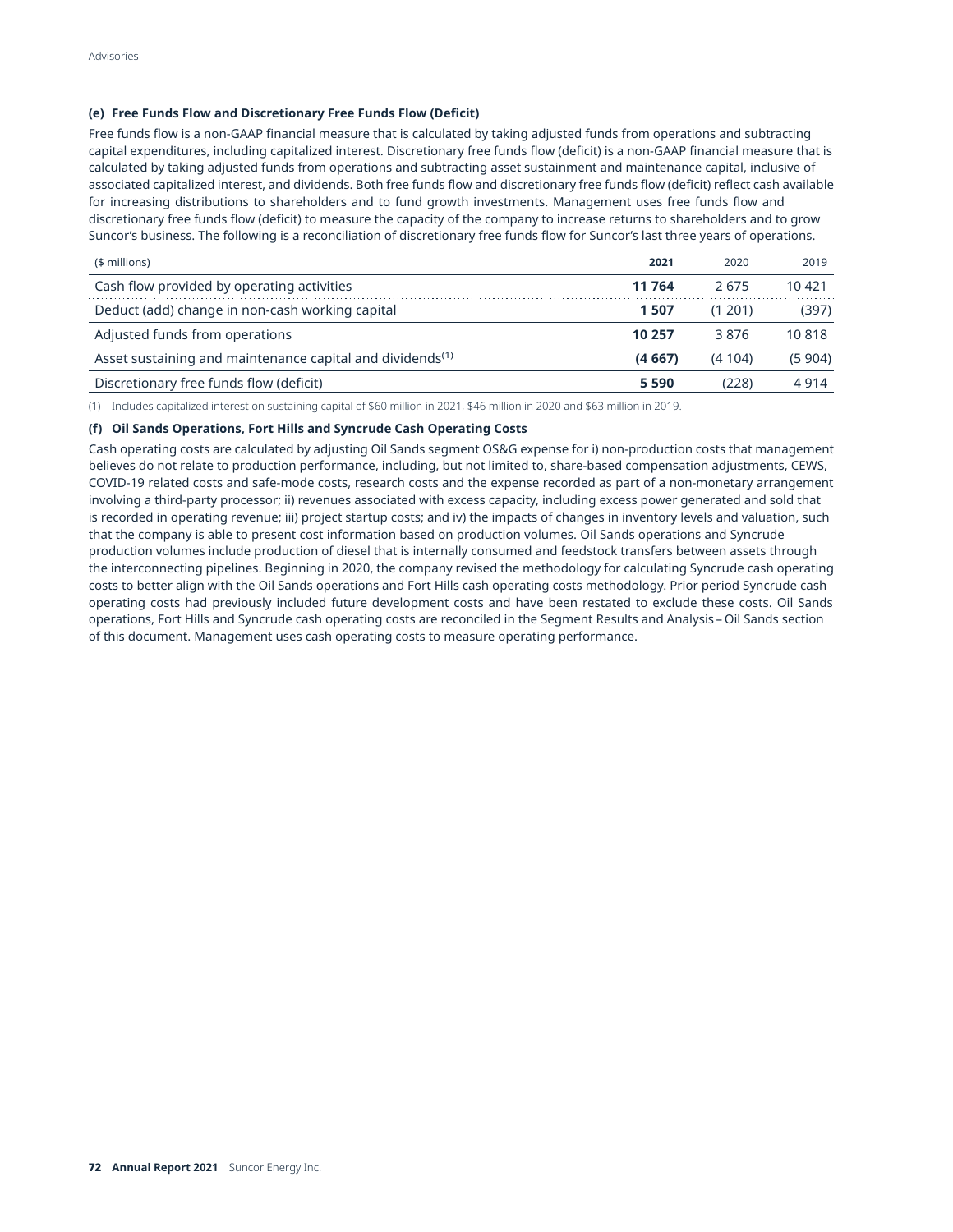### **(e) Free Funds Flow and Discretionary Free Funds Flow (Deficit)**

Free funds flow is a non-GAAP financial measure that is calculated by taking adjusted funds from operations and subtracting capital expenditures, including capitalized interest. Discretionary free funds flow (deficit) is a non-GAAP financial measure that is calculated by taking adjusted funds from operations and subtracting asset sustainment and maintenance capital, inclusive of associated capitalized interest, and dividends. Both free funds flow and discretionary free funds flow (deficit) reflect cash available for increasing distributions to shareholders and to fund growth investments. Management uses free funds flow and discretionary free funds flow (deficit) to measure the capacity of the company to increase returns to shareholders and to grow Suncor's business. The following is a reconciliation of discretionary free funds flow for Suncor's last three years of operations.

| (\$ millions)                                                         | 2021    | 2020     | 2019    |
|-----------------------------------------------------------------------|---------|----------|---------|
| Cash flow provided by operating activities                            | 11 764  | 2.675    | 10 421  |
| Deduct (add) change in non-cash working capital                       | 1507    | (1, 201) | (397)   |
| Adjusted funds from operations                                        | 10 257  | 3876     | 10818   |
| Asset sustaining and maintenance capital and dividends <sup>(1)</sup> | (4667)  | (4104)   | (5 904) |
| Discretionary free funds flow (deficit)                               | 5 5 9 0 | (228)    | 4 914   |

(1) Includes capitalized interest on sustaining capital of \$60 million in 2021, \$46 million in 2020 and \$63 million in 2019.

### **(f) Oil Sands Operations, Fort Hills and Syncrude Cash Operating Costs**

Cash operating costs are calculated by adjusting Oil Sands segment OS&G expense for i) non-production costs that management believes do not relate to production performance, including, but not limited to, share-based compensation adjustments, CEWS, COVID-19 related costs and safe-mode costs, research costs and the expense recorded as part of a non-monetary arrangement involving a third-party processor; ii) revenues associated with excess capacity, including excess power generated and sold that is recorded in operating revenue; iii) project startup costs; and iv) the impacts of changes in inventory levels and valuation, such that the company is able to present cost information based on production volumes. Oil Sands operations and Syncrude production volumes include production of diesel that is internally consumed and feedstock transfers between assets through the interconnecting pipelines. Beginning in 2020, the company revised the methodology for calculating Syncrude cash operating costs to better align with the Oil Sands operations and Fort Hills cash operating costs methodology. Prior period Syncrude cash operating costs had previously included future development costs and have been restated to exclude these costs. Oil Sands operations, Fort Hills and Syncrude cash operating costs are reconciled in the Segment Results and Analysis – Oil Sands section of this document. Management uses cash operating costs to measure operating performance.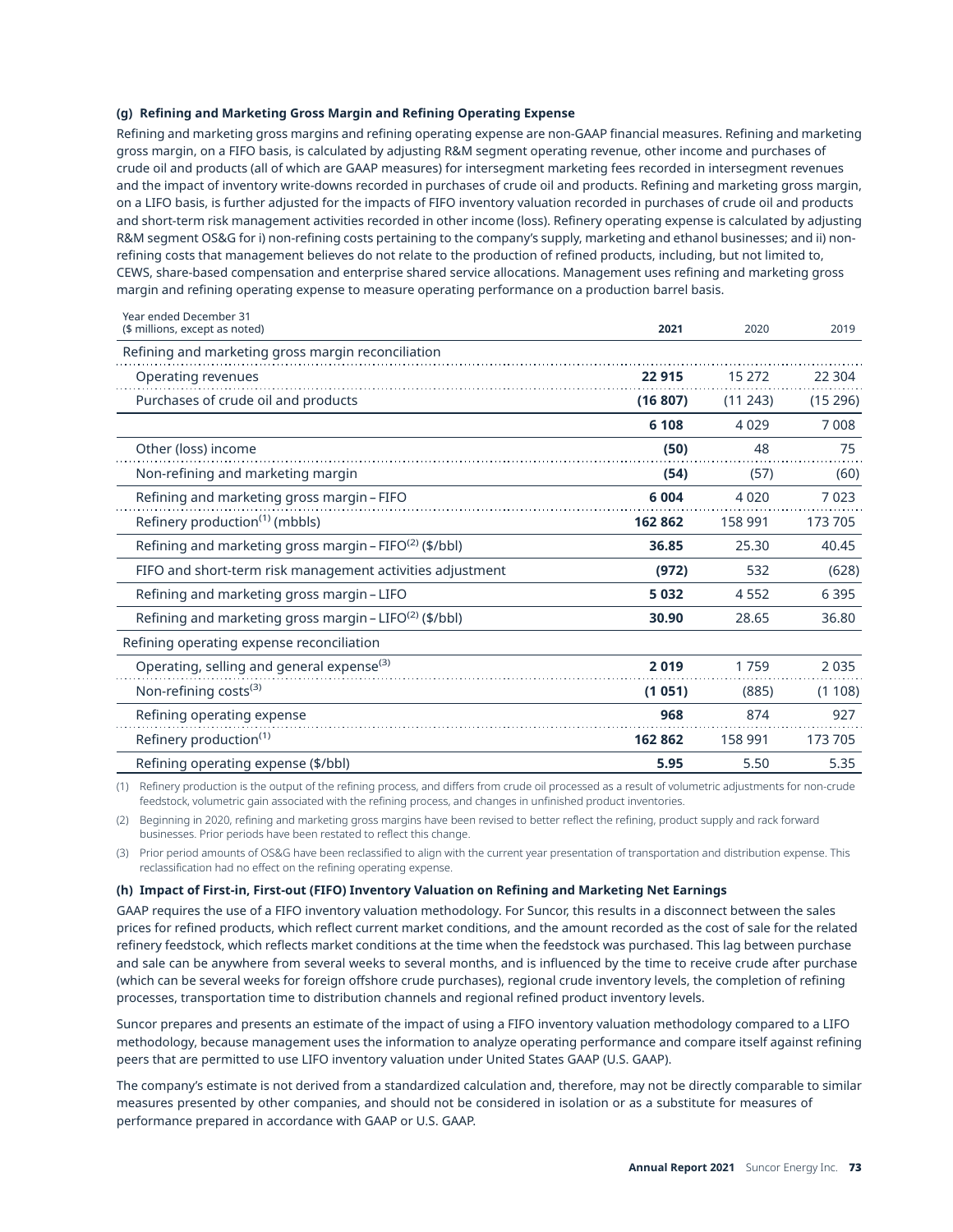## **(g) Refining and Marketing Gross Margin and Refining Operating Expense**

Refining and marketing gross margins and refining operating expense are non-GAAP financial measures. Refining and marketing gross margin, on a FIFO basis, is calculated by adjusting R&M segment operating revenue, other income and purchases of crude oil and products (all of which are GAAP measures) for intersegment marketing fees recorded in intersegment revenues and the impact of inventory write-downs recorded in purchases of crude oil and products. Refining and marketing gross margin, on a LIFO basis, is further adjusted for the impacts of FIFO inventory valuation recorded in purchases of crude oil and products and short-term risk management activities recorded in other income (loss). Refinery operating expense is calculated by adjusting R&M segment OS&G for i) non-refining costs pertaining to the company's supply, marketing and ethanol businesses; and ii) nonrefining costs that management believes do not relate to the production of refined products, including, but not limited to, CEWS, share-based compensation and enterprise shared service allocations. Management uses refining and marketing gross margin and refining operating expense to measure operating performance on a production barrel basis.

| Year ended December 31<br>(\$ millions, except as noted)           | 2021     | 2020    | 2019    |
|--------------------------------------------------------------------|----------|---------|---------|
| Refining and marketing gross margin reconciliation                 |          |         |         |
| Operating revenues                                                 | 22 915   | 15 272  | 22 304  |
| Purchases of crude oil and products                                | (16 807) | (11243) | (15296) |
|                                                                    | 6 108    | 4 0 2 9 | 7008    |
| Other (loss) income                                                | (50)     | 48      | 75      |
| Non-refining and marketing margin                                  | (54)     | (57)    | (60)    |
| Refining and marketing gross margin - FIFO                         | 6 0 0 4  | 4 0 2 0 | 7023    |
| Refinery production <sup>(1)</sup> (mbbls)                         | 162 862  | 158 991 | 173 705 |
| Refining and marketing gross margin – FIFO <sup>(2)</sup> (\$/bbl) | 36.85    | 25.30   | 40.45   |
| FIFO and short-term risk management activities adjustment          | (972)    | 532     | (628)   |
| Refining and marketing gross margin – LIFO                         | 5 0 3 2  | 4 5 5 2 | 6 3 9 5 |
| Refining and marketing gross margin – LIFO <sup>(2)</sup> (\$/bbl) | 30.90    | 28.65   | 36.80   |
| Refining operating expense reconciliation                          |          |         |         |
| Operating, selling and general expense <sup>(3)</sup>              | 2019     | 1759    | 2 0 3 5 |
| Non-refining costs $(3)$                                           | (1051)   | (885)   | (1108)  |
| Refining operating expense                                         | 968      | 874     | 927     |
| Refinery production <sup>(1)</sup>                                 | 162 862  | 158 991 | 173 705 |
| Refining operating expense (\$/bbl)                                | 5.95     | 5.50    | 5.35    |

(1) Refinery production is the output of the refining process, and differs from crude oil processed as a result of volumetric adjustments for non-crude feedstock, volumetric gain associated with the refining process, and changes in unfinished product inventories.

(2) Beginning in 2020, refining and marketing gross margins have been revised to better reflect the refining, product supply and rack forward businesses. Prior periods have been restated to reflect this change.

(3) Prior period amounts of OS&G have been reclassified to align with the current year presentation of transportation and distribution expense. This reclassification had no effect on the refining operating expense.

### **(h) Impact of First-in, First-out (FIFO) Inventory Valuation on Refining and Marketing Net Earnings**

GAAP requires the use of a FIFO inventory valuation methodology. For Suncor, this results in a disconnect between the sales prices for refined products, which reflect current market conditions, and the amount recorded as the cost of sale for the related refinery feedstock, which reflects market conditions at the time when the feedstock was purchased. This lag between purchase and sale can be anywhere from several weeks to several months, and is influenced by the time to receive crude after purchase (which can be several weeks for foreign offshore crude purchases), regional crude inventory levels, the completion of refining processes, transportation time to distribution channels and regional refined product inventory levels.

Suncor prepares and presents an estimate of the impact of using a FIFO inventory valuation methodology compared to a LIFO methodology, because management uses the information to analyze operating performance and compare itself against refining peers that are permitted to use LIFO inventory valuation under United States GAAP (U.S. GAAP).

The company's estimate is not derived from a standardized calculation and, therefore, may not be directly comparable to similar measures presented by other companies, and should not be considered in isolation or as a substitute for measures of performance prepared in accordance with GAAP or U.S. GAAP.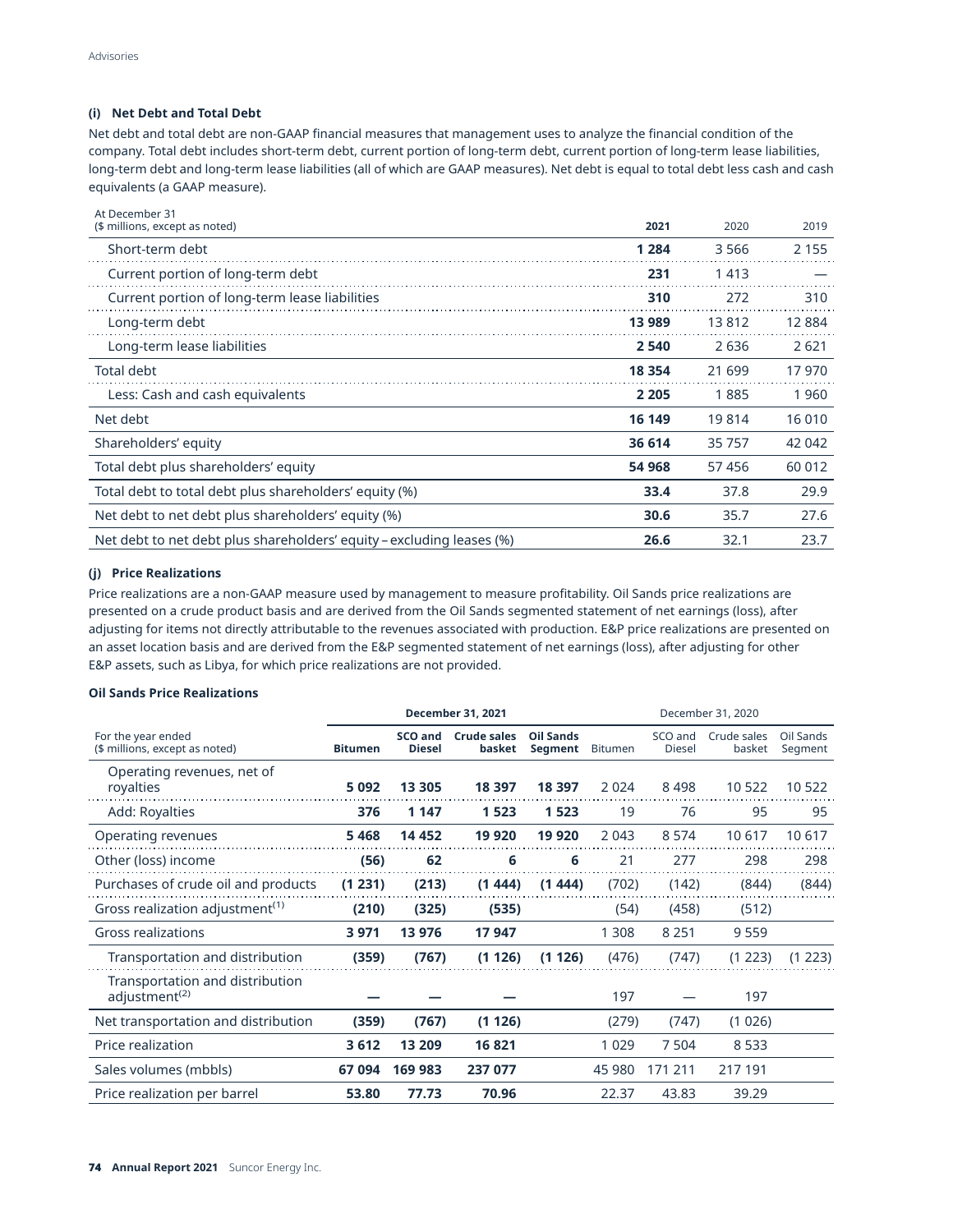## **(i) Net Debt and Total Debt**

Net debt and total debt are non-GAAP financial measures that management uses to analyze the financial condition of the company. Total debt includes short-term debt, current portion of long-term debt, current portion of long-term lease liabilities, long-term debt and long-term lease liabilities (all of which are GAAP measures). Net debt is equal to total debt less cash and cash equivalents (a GAAP measure).

| At December 31<br>(\$ millions, except as noted)                      | 2021    | 2020   | 2019    |
|-----------------------------------------------------------------------|---------|--------|---------|
| Short-term debt                                                       | 1 2 8 4 | 3566   | 2 1 5 5 |
| Current portion of long-term debt                                     | 231     | 1413   |         |
| Current portion of long-term lease liabilities                        | 310     | 272    | 310     |
| Long-term debt                                                        | 13 989  | 13812  | 12 8 84 |
| Long-term lease liabilities                                           | 2 5 4 0 | 2636   | 2621    |
| <b>Total debt</b>                                                     | 18 3 54 | 21 699 | 17970   |
| Less: Cash and cash equivalents                                       | 2 2 0 5 | 1885   | 1960    |
| Net debt                                                              | 16 149  | 19814  | 16 010  |
| Shareholders' equity                                                  | 36 614  | 35 757 | 42 042  |
| Total debt plus shareholders' equity                                  | 54 968  | 57456  | 60 012  |
| Total debt to total debt plus shareholders' equity (%)                | 33.4    | 37.8   | 29.9    |
| Net debt to net debt plus shareholders' equity (%)                    | 30.6    | 35.7   | 27.6    |
| Net debt to net debt plus shareholders' equity – excluding leases (%) | 26.6    | 32.1   | 23.7    |

## **(j) Price Realizations**

Price realizations are a non-GAAP measure used by management to measure profitability. Oil Sands price realizations are presented on a crude product basis and are derived from the Oil Sands segmented statement of net earnings (loss), after adjusting for items not directly attributable to the revenues associated with production. E&P price realizations are presented on an asset location basis and are derived from the E&P segmented statement of net earnings (loss), after adjusting for other E&P assets, such as Libya, for which price realizations are not provided.

## **Oil Sands Price Realizations**

|                                                              | <b>December 31, 2021</b> |                          |                              |                             |                |                          | December 31, 2020     |                      |
|--------------------------------------------------------------|--------------------------|--------------------------|------------------------------|-----------------------------|----------------|--------------------------|-----------------------|----------------------|
| For the year ended<br>(\$ millions, except as noted)         | <b>Bitumen</b>           | SCO and<br><b>Diesel</b> | <b>Crude sales</b><br>basket | <b>Oil Sands</b><br>Segment | <b>Bitumen</b> | SCO and<br><b>Diesel</b> | Crude sales<br>basket | Oil Sands<br>Segment |
| Operating revenues, net of<br>royalties                      | 5092                     | 13 305                   | 18 397                       | 18 397                      | 2 0 2 4        | 8498                     | 10 522                | 10 522               |
| Add: Royalties                                               | 376                      | 1 1 4 7                  | 1 5 2 3                      | 1 5 2 3                     | 19             | 76                       | 95                    | 95                   |
| Operating revenues                                           | 5468                     | 14 4 52                  | 19 9 20                      | 19 9 20                     | 2 0 4 3        | 8 5 7 4                  | 10 617                | 10 617               |
| Other (loss) income                                          | (56)                     | 62                       | 6                            | 6                           | 21             | 277                      | 298                   | 298                  |
| Purchases of crude oil and products                          | (1 231)                  | (213)                    | (1444)                       | (1444)                      | (702)          | (142)                    | (844)                 | (844)                |
| Gross realization adjustment <sup>(1)</sup>                  | (210)                    | (325)                    | (535)                        |                             | (54)           | (458)                    | (512)                 |                      |
| <b>Gross realizations</b>                                    | 3971                     | 13 976                   | 17 947                       |                             | 1 308          | 8 2 5 1                  | 9559                  |                      |
| Transportation and distribution                              | (359)                    | (767)                    | (1126)                       | (1126)                      | (476)          | (747)                    | (1 223)               | (1 223)              |
| Transportation and distribution<br>adjustment <sup>(2)</sup> |                          |                          |                              |                             | 197            |                          | 197                   |                      |
| Net transportation and distribution                          | (359)                    | (767)                    | (1126)                       |                             | (279)          | (747)                    | (1026)                |                      |
| Price realization                                            | 3 612                    | 13 209                   | 16 821                       |                             | 1 0 2 9        | 7 5 0 4                  | 8 5 3 3               |                      |
| Sales volumes (mbbls)                                        | 67 094                   | 169 983                  | 237 077                      |                             | 45 980         | 171 211                  | 217 191               |                      |
| Price realization per barrel                                 | 53.80                    | 77.73                    | 70.96                        |                             | 22.37          | 43.83                    | 39.29                 |                      |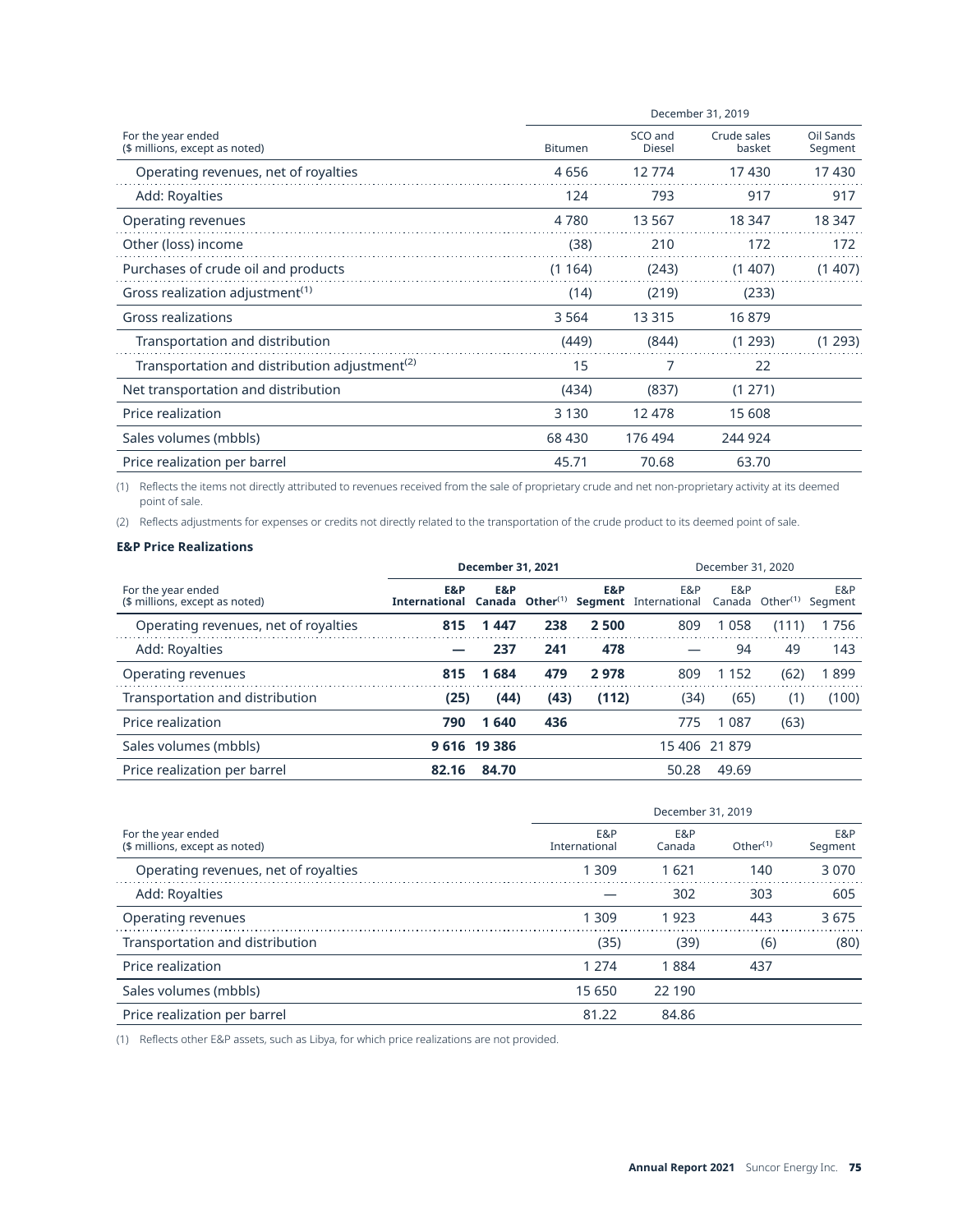|                                                           | December 31, 2019 |                          |                       |                      |  |  |  |  |  |
|-----------------------------------------------------------|-------------------|--------------------------|-----------------------|----------------------|--|--|--|--|--|
| For the year ended<br>(\$ millions, except as noted)      | <b>Bitumen</b>    | SCO and<br><b>Diesel</b> | Crude sales<br>basket | Oil Sands<br>Segment |  |  |  |  |  |
| Operating revenues, net of royalties                      | 4656              | 12774                    | 17430                 | 17430                |  |  |  |  |  |
| Add: Royalties                                            | 124               | 793                      | 917                   | 917                  |  |  |  |  |  |
| Operating revenues                                        | 4780              | 13 5 67                  | 18 347                | 18 347               |  |  |  |  |  |
| Other (loss) income                                       | (38)              | 210                      | 172                   | 172                  |  |  |  |  |  |
| Purchases of crude oil and products                       | (1164)            | (243)                    | (1407)                | (1407)               |  |  |  |  |  |
| Gross realization adjustment <sup>(1)</sup>               | (14)              | (219)                    | (233)                 |                      |  |  |  |  |  |
| Gross realizations                                        | 3 5 6 4           | 13 3 15                  | 16879                 |                      |  |  |  |  |  |
| Transportation and distribution                           | (449)             | (844)                    | (1 293)               | (1 293)              |  |  |  |  |  |
| Transportation and distribution adjustment <sup>(2)</sup> | 15                | 7                        | 22                    |                      |  |  |  |  |  |
| Net transportation and distribution                       | (434)             | (837)                    | (1271)                |                      |  |  |  |  |  |
| Price realization                                         | 3 1 3 0           | 12 478                   | 15 608                |                      |  |  |  |  |  |
| Sales volumes (mbbls)                                     | 68 430            | 176 494                  | 244 924               |                      |  |  |  |  |  |
| Price realization per barrel                              | 45.71             | 70.68                    | 63.70                 |                      |  |  |  |  |  |

(1) Reflects the items not directly attributed to revenues received from the sale of proprietary crude and net non-proprietary activity at its deemed point of sale.

(2) Reflects adjustments for expenses or credits not directly related to the transportation of the crude product to its deemed point of sale.

## **E&P Price Realizations**

|                                                      | <b>December 31, 2021</b>    |              |                                  |       | December 31, 2020            |               |                      |                |  |
|------------------------------------------------------|-----------------------------|--------------|----------------------------------|-------|------------------------------|---------------|----------------------|----------------|--|
| For the year ended<br>(\$ millions, except as noted) | E&P<br><b>International</b> | E&P          | Canada Other $^{\left(1\right)}$ | E&P   | E&P<br>Segment International | E&P<br>Canada | Other <sup>(1)</sup> | E&P<br>Segment |  |
| Operating revenues, net of royalties                 | 815                         | 1447         | 238                              | 2500  | 809                          | 1058          | (111)                | 1756           |  |
| Add: Royalties                                       |                             | 237          | 241                              | 478   |                              | 94            | 49                   | 143            |  |
| Operating revenues                                   | 815                         | 1684         | 479                              | 2978  | 809                          | 1 1 5 2       | (62)                 | 1899           |  |
| Transportation and distribution                      | (25)                        | (44)         | (43)                             | (112) | (34)                         | (65)          | (1)                  | (100)          |  |
| Price realization                                    | 790                         | 1640         | 436                              |       | 775                          | 1 0 8 7       | (63)                 |                |  |
| Sales volumes (mbbls)                                |                             | 9 616 19 386 |                                  |       | 15 406 21 879                |               |                      |                |  |
| Price realization per barrel                         | 82.16                       | 84.70        |                                  |       | 50.28                        | 49.69         |                      |                |  |

|                                                      | December 31, 2019    |               |             |                |  |  |  |  |
|------------------------------------------------------|----------------------|---------------|-------------|----------------|--|--|--|--|
| For the year ended<br>(\$ millions, except as noted) | E&P<br>International | E&P<br>Canada | Other $(1)$ | E&P<br>Segment |  |  |  |  |
| Operating revenues, net of royalties                 | 1 3 0 9              | 1621          | 140         | 3070           |  |  |  |  |
| Add: Royalties                                       |                      | 302           | 303         | 605            |  |  |  |  |
| Operating revenues                                   | 1 3 0 9              | 1923          | 443         | 3675           |  |  |  |  |
| Transportation and distribution                      | (35)                 | (39)          | (6)         | (80)           |  |  |  |  |
| Price realization                                    | 1 2 7 4              | 1884          | 437         |                |  |  |  |  |
| Sales volumes (mbbls)                                | 15 650               | 22 190        |             |                |  |  |  |  |
| Price realization per barrel                         | 81.22                | 84.86         |             |                |  |  |  |  |

(1) Reflects other E&P assets, such as Libya, for which price realizations are not provided.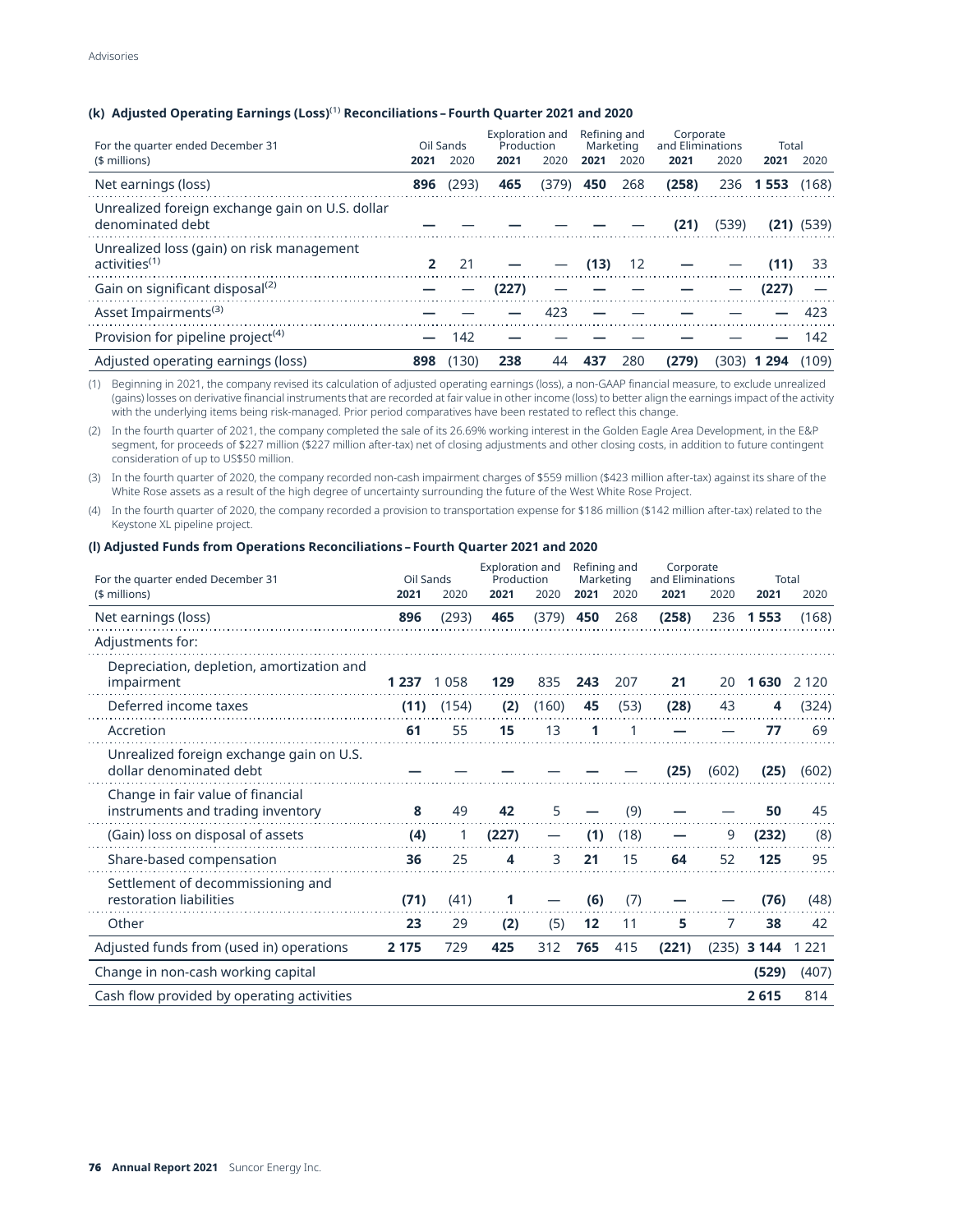## **(k) Adjusted Operating Earnings (Loss)**(1) **Reconciliations–Fourth Quarter 2021 and 2020**

| For the quarter ended December 31<br>(\$ millions)                     | 2021 | Oil Sands<br>2020 | Exploration and<br>Production<br>2021 | 2020  | Refining and<br>Marketing<br>2021 | 2020 | Corporate<br>and Eliminations<br>2021 | 2020  | Total<br>2021     | 2020           |
|------------------------------------------------------------------------|------|-------------------|---------------------------------------|-------|-----------------------------------|------|---------------------------------------|-------|-------------------|----------------|
| Net earnings (loss)                                                    | 896  | (293)             | 465                                   | (379) | 450                               | 268  | (258)                                 |       | 236 1553          | (168)          |
| Unrealized foreign exchange gain on U.S. dollar<br>denominated debt    |      |                   |                                       |       |                                   |      | (21)                                  | (539) |                   | $(21)$ $(539)$ |
| Unrealized loss (gain) on risk management<br>activities <sup>(1)</sup> | 2    | 21                |                                       |       | (13)                              | -12  |                                       |       |                   | 33             |
| Gain on significant disposal <sup>(2)</sup>                            |      |                   | (227)                                 |       |                                   |      |                                       |       | (227)             |                |
| Asset Impairments <sup>(3)</sup>                                       |      |                   |                                       | 423   |                                   |      |                                       |       |                   | 423            |
| Provision for pipeline project <sup>(4)</sup>                          |      | 142               |                                       |       |                                   |      |                                       |       |                   | 142            |
| Adjusted operating earnings (loss)                                     | 898  | (130)             | 238                                   | 44    | 437                               | 280  | (279)                                 |       | (303) <b>1294</b> | (109)          |

(1) Beginning in 2021, the company revised its calculation of adjusted operating earnings (loss), a non-GAAP financial measure, to exclude unrealized (gains) losses on derivative financial instruments that are recorded at fair value in other income (loss) to better align the earnings impact of the activity with the underlying items being risk-managed. Prior period comparatives have been restated to reflect this change.

(2) In the fourth quarter of 2021, the company completed the sale of its 26.69% working interest in the Golden Eagle Area Development, in the E&P segment, for proceeds of \$227 million (\$227 million after-tax) net of closing adjustments and other closing costs, in addition to future contingent consideration of up to US\$50 million.

(3) In the fourth quarter of 2020, the company recorded non-cash impairment charges of \$559 million (\$423 million after-tax) against its share of the White Rose assets as a result of the high degree of uncertainty surrounding the future of the West White Rose Project.

(4) In the fourth quarter of 2020, the company recorded a provision to transportation expense for \$186 million (\$142 million after-tax) related to the Keystone XL pipeline project.

### **(l) Adjusted Funds from Operations Reconciliations–Fourth Quarter 2021 and 2020**

| For the quarter ended December 31                                      | Oil Sands |       | <b>Exploration and</b><br>Production |       | Refining and<br>Marketing |      | Corporate<br>and Eliminations |       | Total         |           |
|------------------------------------------------------------------------|-----------|-------|--------------------------------------|-------|---------------------------|------|-------------------------------|-------|---------------|-----------|
| (\$ millions)                                                          | 2021      | 2020  | 2021                                 | 2020  | 2021                      | 2020 | 2021                          | 2020  | 2021          | 2020      |
| Net earnings (loss)                                                    | 896       | (293) | 465                                  | (379) | 450                       | 268  | (258)                         | 236   | 1553          | (168)     |
| Adjustments for:                                                       |           |       |                                      |       |                           |      |                               |       |               |           |
| Depreciation, depletion, amortization and<br>impairment                | 1 2 3 7   | 1058  | 129                                  | 835   | 243                       | 207  | 21                            | 20    | 1 630         | 2 1 2 0   |
| Deferred income taxes                                                  | (11)      | (154) | (2)                                  | (160) | 45                        | (53) | (28)                          | 43    | 4             | (324)     |
| Accretion                                                              | 61        | 55    | 15                                   | 13    | 1                         |      |                               |       | 77            | 69        |
| Unrealized foreign exchange gain on U.S.<br>dollar denominated debt    |           |       |                                      |       |                           |      | (25)                          | (602) | (25)          | (602)     |
| Change in fair value of financial<br>instruments and trading inventory | 8         | 49    | 42                                   | 5     |                           | (9)  |                               |       | 50            | 45        |
| (Gain) loss on disposal of assets                                      | (4)       | 1     | (227)                                |       | (1)                       | (18) |                               | 9     | (232)         | (8)       |
| Share-based compensation                                               | 36        | 25    | 4                                    | 3     | 21                        | 15   | 64                            | 52    | 125           | 95        |
| Settlement of decommissioning and<br>restoration liabilities           | (71)      | (41)  | 1                                    |       | (6)                       | (7)  |                               |       | (76)          | (48)      |
| Other                                                                  | 23        | 29    | (2)                                  | (5)   | 12                        | 11   | 5                             | 7     | 38            | 42        |
| Adjusted funds from (used in) operations                               | 2 1 7 5   | 729   | 425                                  | 312   | 765                       | 415  | (221)                         |       | $(235)$ 3 144 | 221<br>1. |
| Change in non-cash working capital                                     |           |       |                                      |       |                           |      |                               |       | (529)         | (407)     |
| Cash flow provided by operating activities                             |           |       |                                      |       |                           |      |                               |       | 2615          | 814       |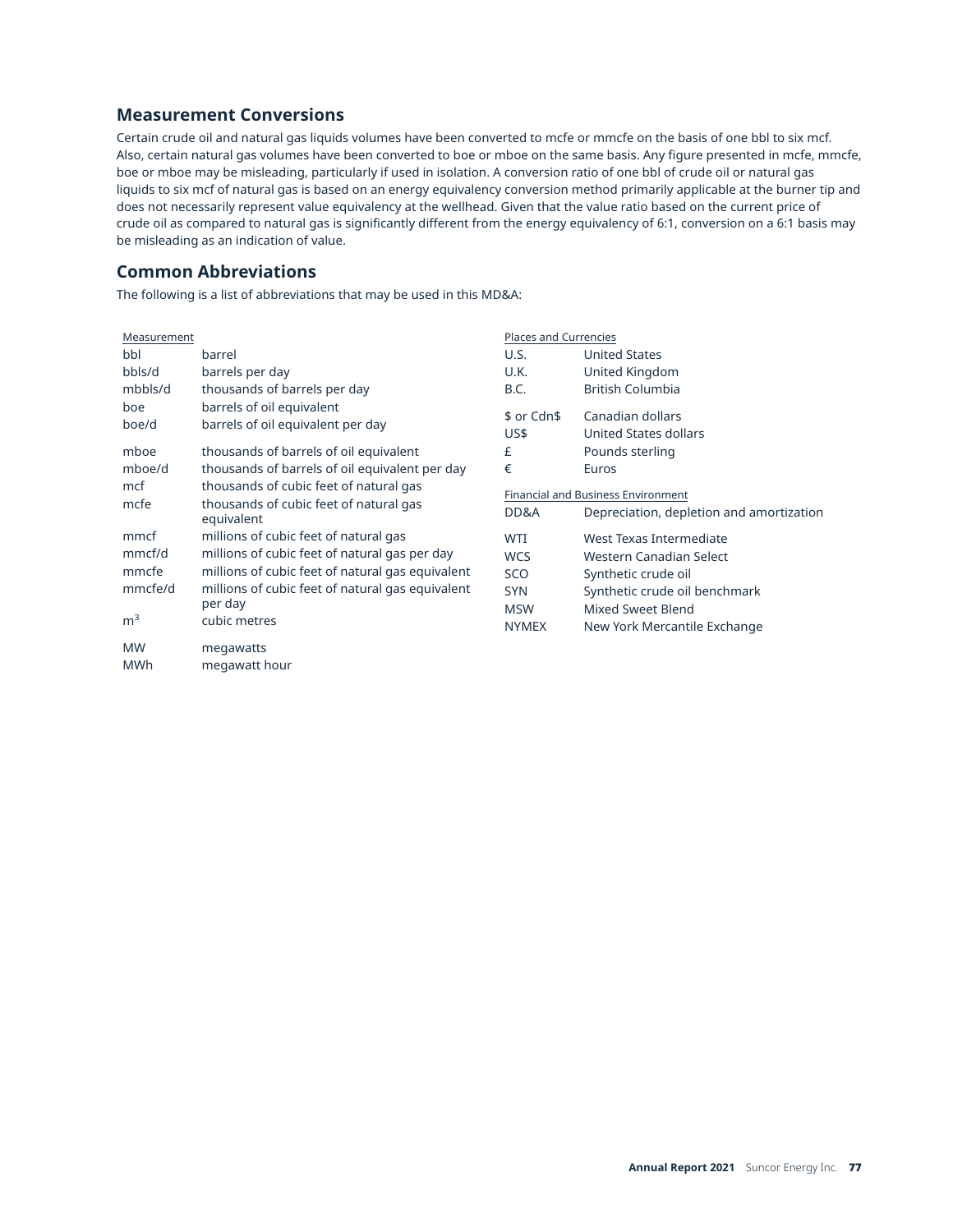# **Measurement Conversions**

Certain crude oil and natural gas liquids volumes have been converted to mcfe or mmcfe on the basis of one bbl to six mcf. Also, certain natural gas volumes have been converted to boe or mboe on the same basis. Any figure presented in mcfe, mmcfe, boe or mboe may be misleading, particularly if used in isolation. A conversion ratio of one bbl of crude oil or natural gas liquids to six mcf of natural gas is based on an energy equivalency conversion method primarily applicable at the burner tip and does not necessarily represent value equivalency at the wellhead. Given that the value ratio based on the current price of crude oil as compared to natural gas is significantly different from the energy equivalency of 6:1, conversion on a 6:1 basis may be misleading as an indication of value.

## **Common Abbreviations**

The following is a list of abbreviations that may be used in this MD&A:

| Measurement                                          |                                                                                                                                                                                                                           | <b>Places and Currencies</b>                                                |                                                                                                                                                                        |  |  |  |
|------------------------------------------------------|---------------------------------------------------------------------------------------------------------------------------------------------------------------------------------------------------------------------------|-----------------------------------------------------------------------------|------------------------------------------------------------------------------------------------------------------------------------------------------------------------|--|--|--|
| bbl                                                  | barrel                                                                                                                                                                                                                    | U.S.                                                                        | <b>United States</b>                                                                                                                                                   |  |  |  |
| bbls/d                                               | barrels per day                                                                                                                                                                                                           | U.K.                                                                        | United Kingdom                                                                                                                                                         |  |  |  |
| mbbls/d                                              | thousands of barrels per day                                                                                                                                                                                              | B.C.                                                                        | <b>British Columbia</b>                                                                                                                                                |  |  |  |
| boe<br>boe/d                                         | barrels of oil equivalent<br>barrels of oil equivalent per day                                                                                                                                                            | \$ or Cdn\$<br>US\$                                                         | Canadian dollars<br>United States dollars                                                                                                                              |  |  |  |
| mboe                                                 | thousands of barrels of oil equivalent                                                                                                                                                                                    | £                                                                           | Pounds sterling                                                                                                                                                        |  |  |  |
| mboe/d                                               | thousands of barrels of oil equivalent per day                                                                                                                                                                            | €                                                                           | Euros                                                                                                                                                                  |  |  |  |
| mcf<br>mcfe                                          | thousands of cubic feet of natural gas<br>thousands of cubic feet of natural gas<br>equivalent                                                                                                                            | DD&A                                                                        | Financial and Business Environment<br>Depreciation, depletion and amortization                                                                                         |  |  |  |
| mmcf<br>mmcf/d<br>mmcfe<br>mmcfe/d<br>m <sup>3</sup> | millions of cubic feet of natural gas<br>millions of cubic feet of natural gas per day<br>millions of cubic feet of natural gas equivalent<br>millions of cubic feet of natural gas equivalent<br>per day<br>cubic metres | <b>WTI</b><br><b>WCS</b><br>SCO<br><b>SYN</b><br><b>MSW</b><br><b>NYMEX</b> | West Texas Intermediate<br>Western Canadian Select<br>Synthetic crude oil<br>Synthetic crude oil benchmark<br><b>Mixed Sweet Blend</b><br>New York Mercantile Exchange |  |  |  |
| <b>MW</b><br><b>MWh</b>                              | megawatts<br>megawatt hour                                                                                                                                                                                                |                                                                             |                                                                                                                                                                        |  |  |  |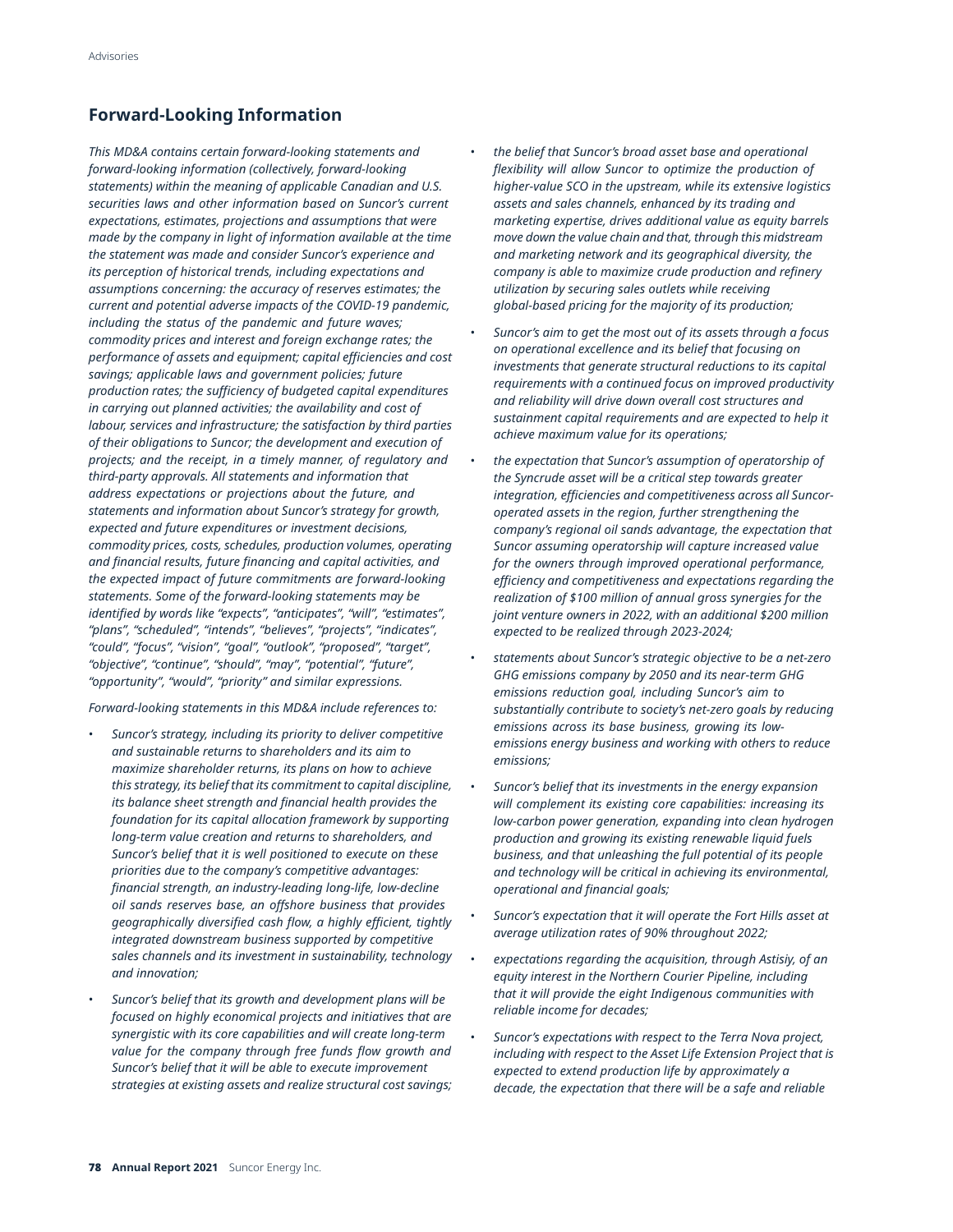# **Forward-Looking Information**

*This MD&A contains certain forward-looking statements and forward-looking information (collectively, forward-looking statements) within the meaning of applicable Canadian and U.S. securities laws and other information based on Suncor's current expectations, estimates, projections and assumptions that were made by the company in light of information available at the time the statement was made and consider Suncor's experience and its perception of historical trends, including expectations and assumptions concerning: the accuracy of reserves estimates; the current and potential adverse impacts of the COVID-19 pandemic, including the status of the pandemic and future waves; commodity prices and interest and foreign exchange rates; the performance of assets and equipment; capital efficiencies and cost savings; applicable laws and government policies; future production rates; the sufficiency of budgeted capital expenditures in carrying out planned activities; the availability and cost of labour, services and infrastructure; the satisfaction by third parties of their obligations to Suncor; the development and execution of projects; and the receipt, in a timely manner, of regulatory and third-party approvals. All statements and information that address expectations or projections about the future, and statements and information about Suncor's strategy for growth, expected and future expenditures or investment decisions, commodity prices, costs, schedules, production volumes, operating and financial results, future financing and capital activities, and the expected impact of future commitments are forward-looking statements. Some of the forward-looking statements may be identified by words like "expects", "anticipates", "will", "estimates", "plans", "scheduled", "intends", "believes", "projects", "indicates", "could", "focus", "vision", "goal", "outlook", "proposed", "target", "objective", "continue", "should", "may", "potential", "future", "opportunity", "would", "priority" and similar expressions.* 

*Forward-looking statements in this MD&A include references to:* 

- *Suncor's strategy, including its priority to deliver competitive and sustainable returns to shareholders and its aim to maximize shareholder returns, its plans on how to achieve this strategy, its belief that its commitment to capital discipline, its balance sheet strength and financial health provides the foundation for its capital allocation framework by supporting long-term value creation and returns to shareholders, and Suncor's belief that it is well positioned to execute on these priorities due to the company's competitive advantages: financial strength, an industry-leading long-life, low-decline oil sands reserves base, an offshore business that provides geographically diversified cash flow, a highly efficient, tightly integrated downstream business supported by competitive sales channels and its investment in sustainability, technology and innovation;*
- *Suncor's belief that its growth and development plans will be focused on highly economical projects and initiatives that are synergistic with its core capabilities and will create long-term value for the company through free funds flow growth and Suncor's belief that it will be able to execute improvement strategies at existing assets and realize structural cost savings;*
- *the belief that Suncor's broad asset base and operational flexibility will allow Suncor to optimize the production of higher-value SCO in the upstream, while its extensive logistics assets and sales channels, enhanced by its trading and marketing expertise, drives additional value as equity barrels move down the value chain and that, through this midstream and marketing network and its geographical diversity, the company is able to maximize crude production and refinery utilization by securing sales outlets while receiving global-based pricing for the majority of its production;*
- *Suncor's aim to get the most out of its assets through a focus on operational excellence and its belief that focusing on investments that generate structural reductions to its capital requirements with a continued focus on improved productivity and reliability will drive down overall cost structures and sustainment capital requirements and are expected to help it achieve maximum value for its operations;*
- *the expectation that Suncor's assumption of operatorship of the Syncrude asset will be a critical step towards greater integration, efficiencies and competitiveness across all Suncoroperated assets in the region, further strengthening the company's regional oil sands advantage, the expectation that Suncor assuming operatorship will capture increased value for the owners through improved operational performance, efficiency and competitiveness and expectations regarding the realization of \$100 million of annual gross synergies for the joint venture owners in 2022, with an additional \$200 million expected to be realized through 2023-2024;*
- *statements about Suncor's strategic objective to be a net-zero GHG emissions company by 2050 and its near-term GHG emissions reduction goal, including Suncor's aim to substantially contribute to society's net-zero goals by reducing emissions across its base business, growing its lowemissions energy business and working with others to reduce emissions;*
- *Suncor's belief that its investments in the energy expansion will complement its existing core capabilities: increasing its low-carbon power generation, expanding into clean hydrogen production and growing its existing renewable liquid fuels business, and that unleashing the full potential of its people and technology will be critical in achieving its environmental, operational and financial goals;*
- *Suncor's expectation that it will operate the Fort Hills asset at average utilization rates of 90% throughout 2022;*
- *expectations regarding the acquisition, through Astisiy, of an equity interest in the Northern Courier Pipeline, including that it will provide the eight Indigenous communities with reliable income for decades;*
- *Suncor's expectations with respect to the Terra Nova project, including with respect to the Asset Life Extension Project that is expected to extend production life by approximately a decade, the expectation that there will be a safe and reliable*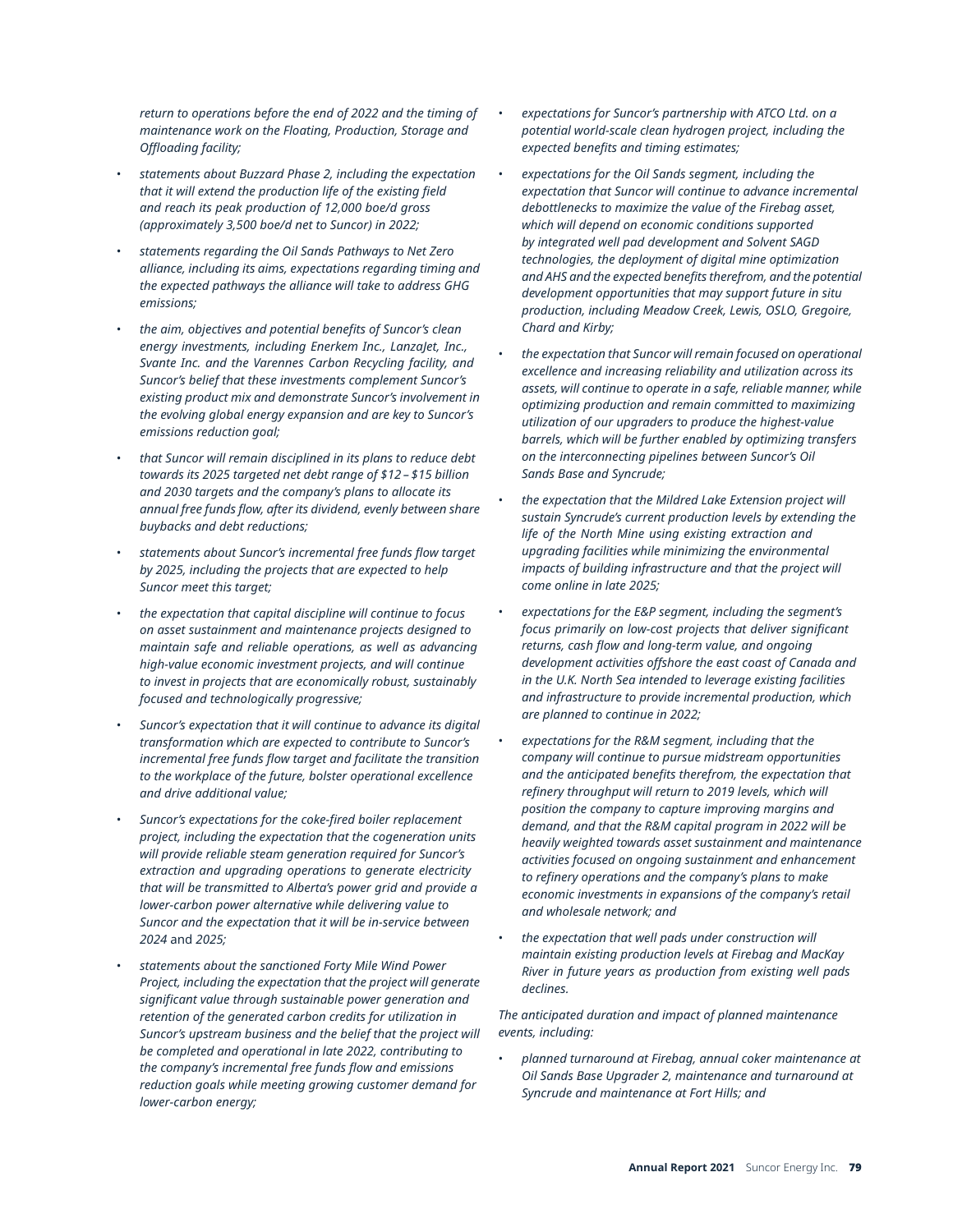*return to operations before the end of 2022 and the timing of maintenance work on the Floating, Production, Storage and Offloading facility;* 

- *statements about Buzzard Phase 2, including the expectation that it will extend the production life of the existing field and reach its peak production of 12,000 boe/d gross (approximately 3,500 boe/d net to Suncor) in 2022;*
- *statements regarding the Oil Sands Pathways to Net Zero alliance, including its aims, expectations regarding timing and the expected pathways the alliance will take to address GHG emissions;*
- *the aim, objectives and potential benefits of Suncor's clean energy investments, including Enerkem Inc., LanzaJet, Inc., Svante Inc. and the Varennes Carbon Recycling facility, and Suncor's belief that these investments complement Suncor's existing product mix and demonstrate Suncor's involvement in the evolving global energy expansion and are key to Suncor's emissions reduction goal;*
- *that Suncor will remain disciplined in its plans to reduce debt towards its 2025 targeted net debt range of \$12 – \$15 billion and 2030 targets and the company's plans to allocate its annual free funds flow, after its dividend, evenly between share buybacks and debt reductions;*
- *statements about Suncor's incremental free funds flow target by 2025, including the projects that are expected to help Suncor meet this target;*
- *the expectation that capital discipline will continue to focus on asset sustainment and maintenance projects designed to maintain safe and reliable operations, as well as advancing high-value economic investment projects, and will continue to invest in projects that are economically robust, sustainably focused and technologically progressive;*
- *Suncor's expectation that it will continue to advance its digital transformation which are expected to contribute to Suncor's incremental free funds flow target and facilitate the transition to the workplace of the future, bolster operational excellence and drive additional value;*
- *Suncor's expectations for the coke-fired boiler replacement project, including the expectation that the cogeneration units will provide reliable steam generation required for Suncor's extraction and upgrading operations to generate electricity that will be transmitted to Alberta's power grid and provide a lower-carbon power alternative while delivering value to Suncor and the expectation that it will be in-service between 2024* and *2025;*
- *statements about the sanctioned Forty Mile Wind Power Project, including the expectation that the project will generate significant value through sustainable power generation and retention of the generated carbon credits for utilization in Suncor's upstream business and the belief that the project will be completed and operational in late 2022, contributing to the company's incremental free funds flow and emissions reduction goals while meeting growing customer demand for lower-carbon energy;*
- *expectations for Suncor's partnership with ATCO Ltd. on a potential world-scale clean hydrogen project, including the expected benefits and timing estimates;*
- *expectations for the Oil Sands segment, including the expectation that Suncor will continue to advance incremental debottlenecks to maximize the value of the Firebag asset, which will depend on economic conditions supported by integrated well pad development and Solvent SAGD technologies, the deployment of digital mine optimization and AHS and the expected benefits therefrom, and the potential development opportunities that may support future in situ production, including Meadow Creek, Lewis, OSLO, Gregoire, Chard and Kirby;*
- *the expectation that Suncor will remain focused on operational excellence and increasing reliability and utilization across its assets, will continue to operate in a safe, reliable manner, while optimizing production and remain committed to maximizing utilization of our upgraders to produce the highest-value barrels, which will be further enabled by optimizing transfers on the interconnecting pipelines between Suncor's Oil Sands Base and Syncrude;*
- *the expectation that the Mildred Lake Extension project will sustain Syncrude's current production levels by extending the life of the North Mine using existing extraction and upgrading facilities while minimizing the environmental impacts of building infrastructure and that the project will come online in late 2025;*
- *expectations for the E&P segment, including the segment's focus primarily on low-cost projects that deliver significant returns, cash flow and long-term value, and ongoing development activities offshore the east coast of Canada and in the U.K. North Sea intended to leverage existing facilities and infrastructure to provide incremental production, which are planned to continue in 2022;*
- *expectations for the R&M segment, including that the company will continue to pursue midstream opportunities and the anticipated benefits therefrom, the expectation that refinery throughput will return to 2019 levels, which will position the company to capture improving margins and demand, and that the R&M capital program in 2022 will be heavily weighted towards asset sustainment and maintenance activities focused on ongoing sustainment and enhancement to refinery operations and the company's plans to make economic investments in expansions of the company's retail and wholesale network; and*
- *the expectation that well pads under construction will maintain existing production levels at Firebag and MacKay River in future years as production from existing well pads declines.*

*The anticipated duration and impact of planned maintenance events, including:* 

• *planned turnaround at Firebag, annual coker maintenance at Oil Sands Base Upgrader 2, maintenance and turnaround at Syncrude and maintenance at Fort Hills; and*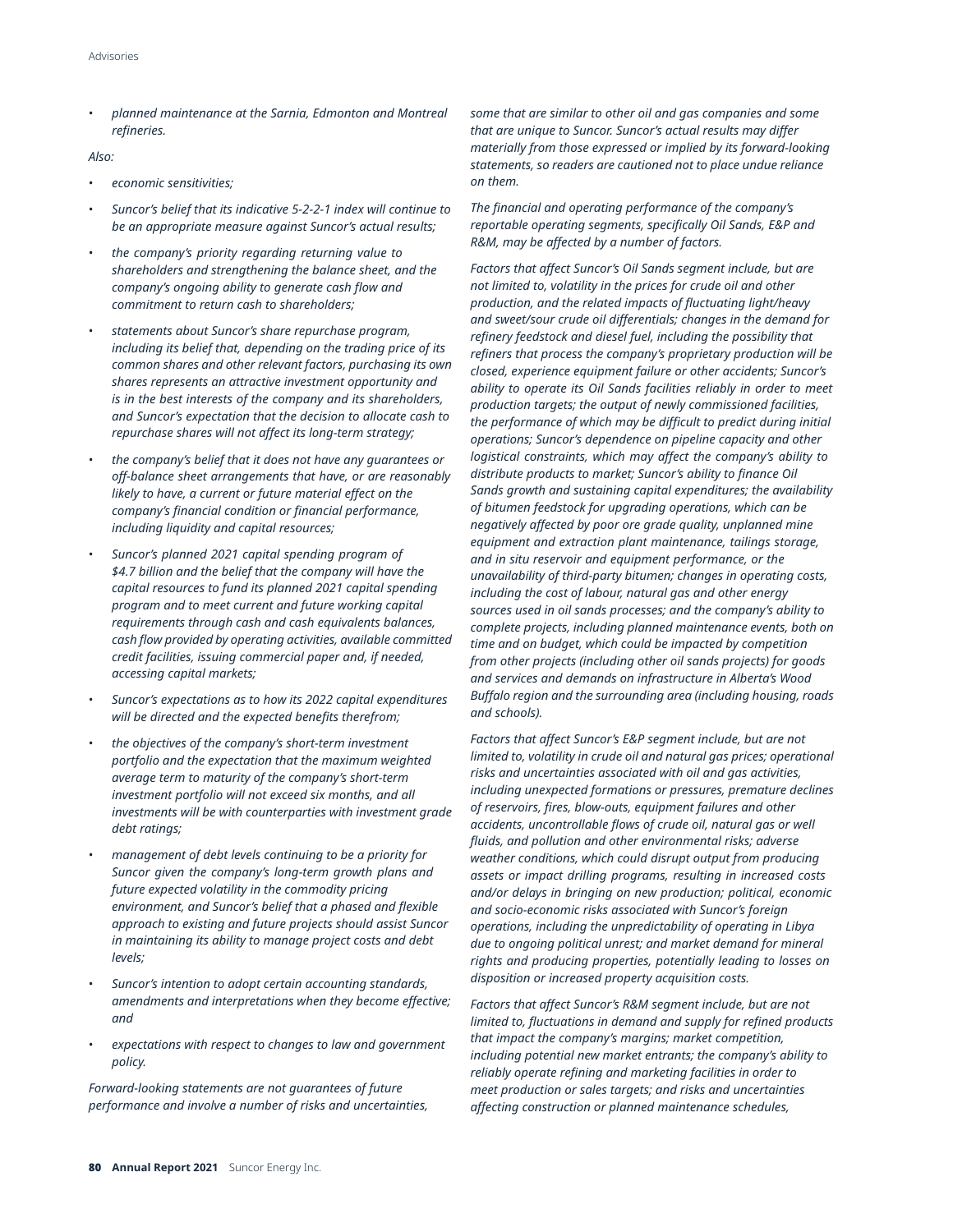• *planned maintenance at the Sarnia, Edmonton and Montreal refineries.* 

### *Also:*

- *economic sensitivities;*
- *Suncor's belief that its indicative 5-2-2-1 index will continue to be an appropriate measure against Suncor's actual results;*
- *the company's priority regarding returning value to shareholders and strengthening the balance sheet, and the company's ongoing ability to generate cash flow and commitment to return cash to shareholders;*
- *statements about Suncor's share repurchase program, including its belief that, depending on the trading price of its common shares and other relevant factors, purchasing its own shares represents an attractive investment opportunity and is in the best interests of the company and its shareholders, and Suncor's expectation that the decision to allocate cash to repurchase shares will not affect its long-term strategy;*
- *the company's belief that it does not have any guarantees or off-balance sheet arrangements that have, or are reasonably likely to have, a current or future material effect on the company's financial condition or financial performance, including liquidity and capital resources;*
- *Suncor's planned 2021 capital spending program of \$4.7 billion and the belief that the company will have the capital resources to fund its planned 2021 capital spending program and to meet current and future working capital requirements through cash and cash equivalents balances, cash flow provided by operating activities, available committed credit facilities, issuing commercial paper and, if needed, accessing capital markets;*
- *Suncor's expectations as to how its 2022 capital expenditures will be directed and the expected benefits therefrom;*
- *the objectives of the company's short-term investment portfolio and the expectation that the maximum weighted average term to maturity of the company's short-term investment portfolio will not exceed six months, and all investments will be with counterparties with investment grade debt ratings;*
- *management of debt levels continuing to be a priority for Suncor given the company's long-term growth plans and future expected volatility in the commodity pricing environment, and Suncor's belief that a phased and flexible approach to existing and future projects should assist Suncor in maintaining its ability to manage project costs and debt levels;*
- *Suncor's intention to adopt certain accounting standards, amendments and interpretations when they become effective; and*
- *expectations with respect to changes to law and government policy.*

*performance and involve a number of risks and uncertainties, affecting construction or planned maintenance schedules,* 

*some that are similar to other oil and gas companies and some that are unique to Suncor. Suncor's actual results may differ materially from those expressed or implied by its forward-looking statements, so readers are cautioned not to place undue reliance on them.* 

*The financial and operating performance of the company's reportable operating segments, specifically Oil Sands, E&P and R&M, may be affected by a number of factors.* 

*Factors that affect Suncor's Oil Sands segment include, but are not limited to, volatility in the prices for crude oil and other production, and the related impacts of fluctuating light/heavy and sweet/sour crude oil differentials; changes in the demand for refinery feedstock and diesel fuel, including the possibility that refiners that process the company's proprietary production will be closed, experience equipment failure or other accidents; Suncor's ability to operate its Oil Sands facilities reliably in order to meet production targets; the output of newly commissioned facilities, the performance of which may be difficult to predict during initial operations; Suncor's dependence on pipeline capacity and other logistical constraints, which may affect the company's ability to distribute products to market; Suncor's ability to finance Oil Sands growth and sustaining capital expenditures; the availability of bitumen feedstock for upgrading operations, which can be negatively affected by poor ore grade quality, unplanned mine equipment and extraction plant maintenance, tailings storage, and in situ reservoir and equipment performance, or the unavailability of third-party bitumen; changes in operating costs, including the cost of labour, natural gas and other energy sources used in oil sands processes; and the company's ability to complete projects, including planned maintenance events, both on time and on budget, which could be impacted by competition from other projects (including other oil sands projects) for goods and services and demands on infrastructure in Alberta's Wood Buffalo region and the surrounding area (including housing, roads and schools).* 

*Factors that affect Suncor's E&P segment include, but are not limited to, volatility in crude oil and natural gas prices; operational risks and uncertainties associated with oil and gas activities, including unexpected formations or pressures, premature declines of reservoirs, fires, blow-outs, equipment failures and other accidents, uncontrollable flows of crude oil, natural gas or well fluids, and pollution and other environmental risks; adverse weather conditions, which could disrupt output from producing assets or impact drilling programs, resulting in increased costs and/or delays in bringing on new production; political, economic and socio-economic risks associated with Suncor's foreign operations, including the unpredictability of operating in Libya due to ongoing political unrest; and market demand for mineral rights and producing properties, potentially leading to losses on disposition or increased property acquisition costs.* 

*Factors that affect Suncor's R&M segment include, but are not limited to, fluctuations in demand and supply for refined products that impact the company's margins; market competition, including potential new market entrants; the company's ability to reliably operate refining and marketing facilities in order to Forward-looking statements are not guarantees of future meet production or sales targets; and risks and uncertainties*